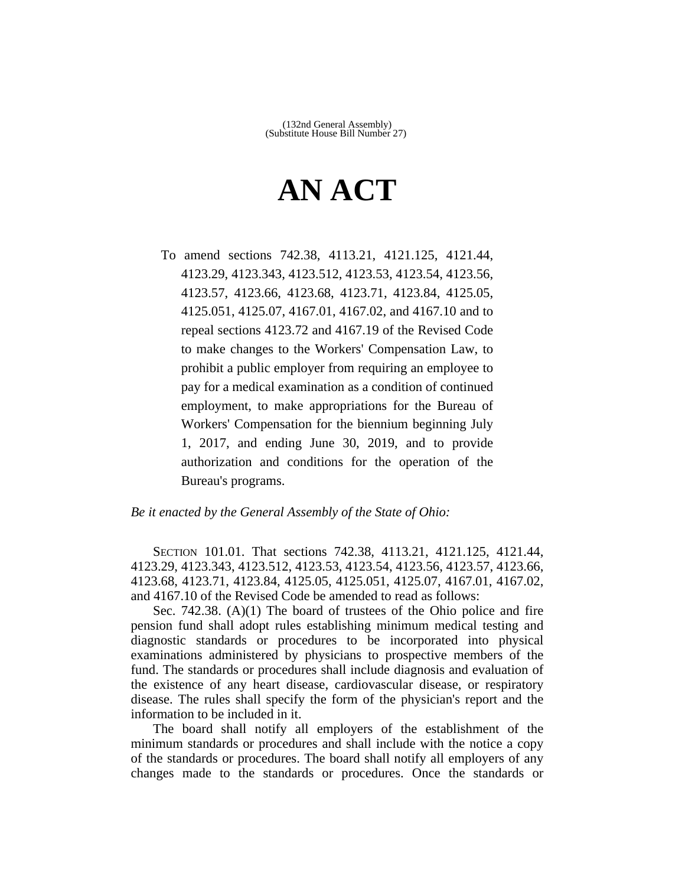## **AN ACT**

To amend sections 742.38, 4113.21, 4121.125, 4121.44, 4123.29, 4123.343, 4123.512, 4123.53, 4123.54, 4123.56, 4123.57, 4123.66, 4123.68, 4123.71, 4123.84, 4125.05, 4125.051, 4125.07, 4167.01, 4167.02, and 4167.10 and to repeal sections 4123.72 and 4167.19 of the Revised Code to make changes to the Workers' Compensation Law, to prohibit a public employer from requiring an employee to pay for a medical examination as a condition of continued employment, to make appropriations for the Bureau of Workers' Compensation for the biennium beginning July 1, 2017, and ending June 30, 2019, and to provide authorization and conditions for the operation of the Bureau's programs.

## *Be it enacted by the General Assembly of the State of Ohio:*

SECTION 101.01. That sections 742.38, 4113.21, 4121.125, 4121.44, 4123.29, 4123.343, 4123.512, 4123.53, 4123.54, 4123.56, 4123.57, 4123.66, 4123.68, 4123.71, 4123.84, 4125.05, 4125.051, 4125.07, 4167.01, 4167.02, and 4167.10 of the Revised Code be amended to read as follows:

Sec. 742.38. (A)(1) The board of trustees of the Ohio police and fire pension fund shall adopt rules establishing minimum medical testing and diagnostic standards or procedures to be incorporated into physical examinations administered by physicians to prospective members of the fund. The standards or procedures shall include diagnosis and evaluation of the existence of any heart disease, cardiovascular disease, or respiratory disease. The rules shall specify the form of the physician's report and the information to be included in it.

The board shall notify all employers of the establishment of the minimum standards or procedures and shall include with the notice a copy of the standards or procedures. The board shall notify all employers of any changes made to the standards or procedures. Once the standards or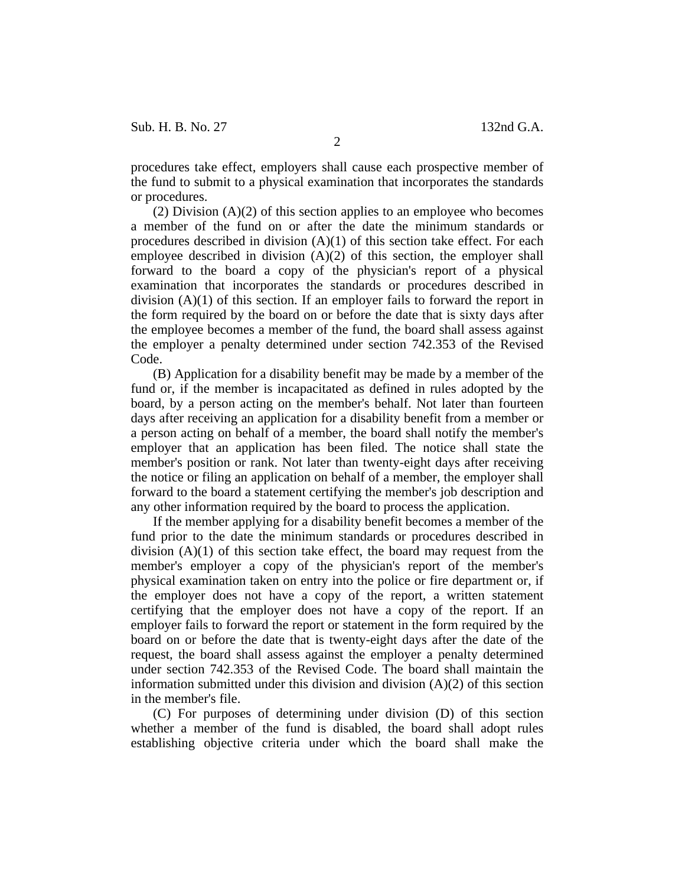procedures take effect, employers shall cause each prospective member of the fund to submit to a physical examination that incorporates the standards or procedures.

(2) Division (A)(2) of this section applies to an employee who becomes a member of the fund on or after the date the minimum standards or procedures described in division (A)(1) of this section take effect. For each employee described in division (A)(2) of this section, the employer shall forward to the board a copy of the physician's report of a physical examination that incorporates the standards or procedures described in division (A)(1) of this section. If an employer fails to forward the report in the form required by the board on or before the date that is sixty days after the employee becomes a member of the fund, the board shall assess against the employer a penalty determined under section 742.353 of the Revised Code.

(B) Application for a disability benefit may be made by a member of the fund or, if the member is incapacitated as defined in rules adopted by the board, by a person acting on the member's behalf. Not later than fourteen days after receiving an application for a disability benefit from a member or a person acting on behalf of a member, the board shall notify the member's employer that an application has been filed. The notice shall state the member's position or rank. Not later than twenty-eight days after receiving the notice or filing an application on behalf of a member, the employer shall forward to the board a statement certifying the member's job description and any other information required by the board to process the application.

If the member applying for a disability benefit becomes a member of the fund prior to the date the minimum standards or procedures described in division (A)(1) of this section take effect, the board may request from the member's employer a copy of the physician's report of the member's physical examination taken on entry into the police or fire department or, if the employer does not have a copy of the report, a written statement certifying that the employer does not have a copy of the report. If an employer fails to forward the report or statement in the form required by the board on or before the date that is twenty-eight days after the date of the request, the board shall assess against the employer a penalty determined under section 742.353 of the Revised Code. The board shall maintain the information submitted under this division and division (A)(2) of this section in the member's file.

(C) For purposes of determining under division (D) of this section whether a member of the fund is disabled, the board shall adopt rules establishing objective criteria under which the board shall make the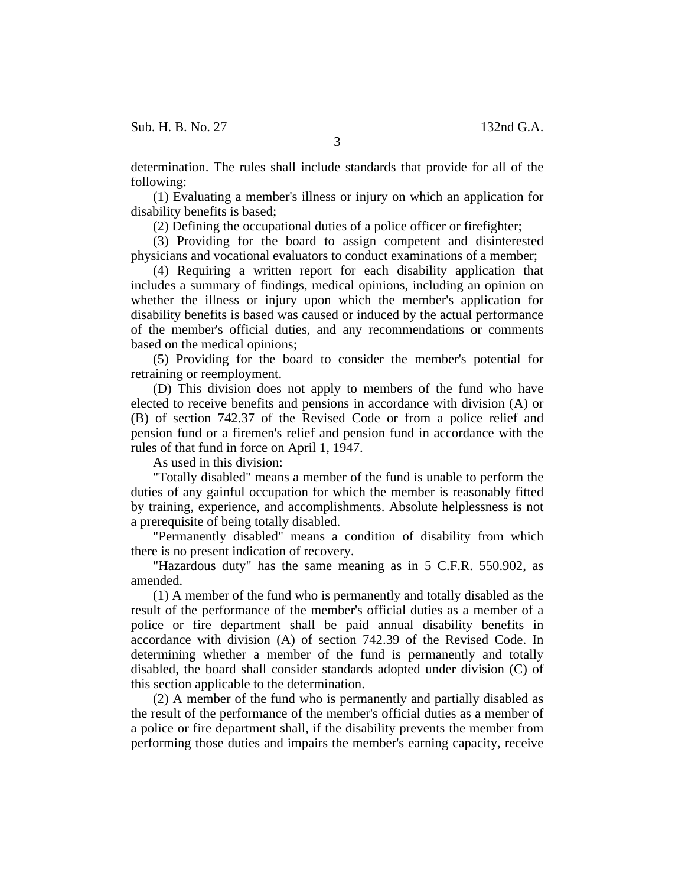determination. The rules shall include standards that provide for all of the following:

(1) Evaluating a member's illness or injury on which an application for disability benefits is based;

(2) Defining the occupational duties of a police officer or firefighter;

(3) Providing for the board to assign competent and disinterested physicians and vocational evaluators to conduct examinations of a member;

(4) Requiring a written report for each disability application that includes a summary of findings, medical opinions, including an opinion on whether the illness or injury upon which the member's application for disability benefits is based was caused or induced by the actual performance of the member's official duties, and any recommendations or comments based on the medical opinions;

(5) Providing for the board to consider the member's potential for retraining or reemployment.

(D) This division does not apply to members of the fund who have elected to receive benefits and pensions in accordance with division (A) or (B) of section 742.37 of the Revised Code or from a police relief and pension fund or a firemen's relief and pension fund in accordance with the rules of that fund in force on April 1, 1947.

As used in this division:

"Totally disabled" means a member of the fund is unable to perform the duties of any gainful occupation for which the member is reasonably fitted by training, experience, and accomplishments. Absolute helplessness is not a prerequisite of being totally disabled.

"Permanently disabled" means a condition of disability from which there is no present indication of recovery.

"Hazardous duty" has the same meaning as in 5 C.F.R. 550.902, as amended.

(1) A member of the fund who is permanently and totally disabled as the result of the performance of the member's official duties as a member of a police or fire department shall be paid annual disability benefits in accordance with division (A) of section 742.39 of the Revised Code. In determining whether a member of the fund is permanently and totally disabled, the board shall consider standards adopted under division (C) of this section applicable to the determination.

(2) A member of the fund who is permanently and partially disabled as the result of the performance of the member's official duties as a member of a police or fire department shall, if the disability prevents the member from performing those duties and impairs the member's earning capacity, receive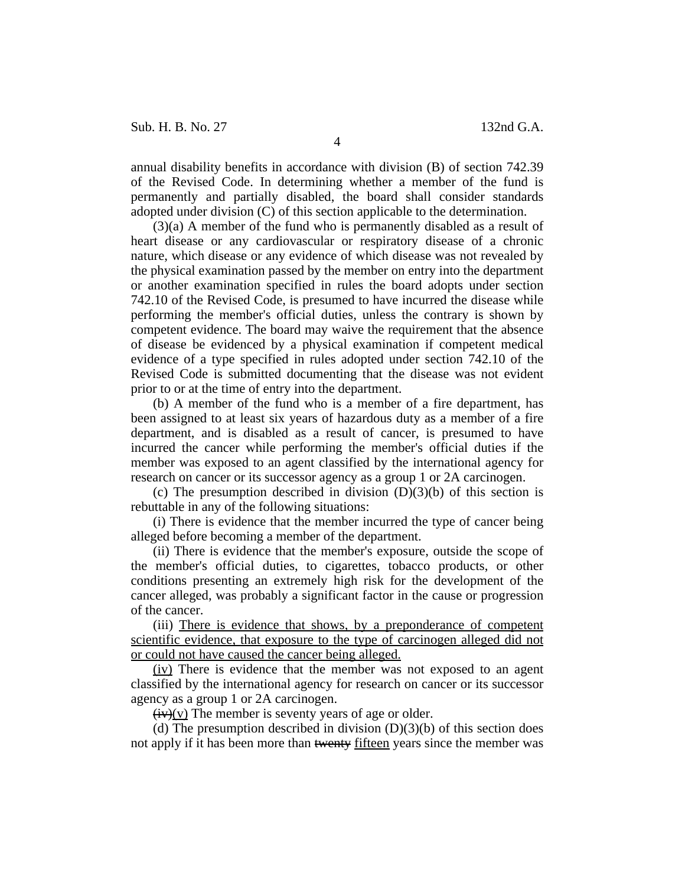annual disability benefits in accordance with division (B) of section 742.39 of the Revised Code. In determining whether a member of the fund is permanently and partially disabled, the board shall consider standards adopted under division (C) of this section applicable to the determination.

(3)(a) A member of the fund who is permanently disabled as a result of heart disease or any cardiovascular or respiratory disease of a chronic nature, which disease or any evidence of which disease was not revealed by the physical examination passed by the member on entry into the department or another examination specified in rules the board adopts under section 742.10 of the Revised Code, is presumed to have incurred the disease while performing the member's official duties, unless the contrary is shown by competent evidence. The board may waive the requirement that the absence of disease be evidenced by a physical examination if competent medical evidence of a type specified in rules adopted under section 742.10 of the Revised Code is submitted documenting that the disease was not evident prior to or at the time of entry into the department.

(b) A member of the fund who is a member of a fire department, has been assigned to at least six years of hazardous duty as a member of a fire department, and is disabled as a result of cancer, is presumed to have incurred the cancer while performing the member's official duties if the member was exposed to an agent classified by the international agency for research on cancer or its successor agency as a group 1 or 2A carcinogen.

(c) The presumption described in division  $(D)(3)(b)$  of this section is rebuttable in any of the following situations:

(i) There is evidence that the member incurred the type of cancer being alleged before becoming a member of the department.

(ii) There is evidence that the member's exposure, outside the scope of the member's official duties, to cigarettes, tobacco products, or other conditions presenting an extremely high risk for the development of the cancer alleged, was probably a significant factor in the cause or progression of the cancer.

(iii) There is evidence that shows, by a preponderance of competent scientific evidence, that exposure to the type of carcinogen alleged did not or could not have caused the cancer being alleged.

(iv) There is evidence that the member was not exposed to an agent classified by the international agency for research on cancer or its successor agency as a group 1 or 2A carcinogen.

 $(iv)(v)$  The member is seventy years of age or older.

(d) The presumption described in division  $(D)(3)(b)$  of this section does not apply if it has been more than twenty fifteen years since the member was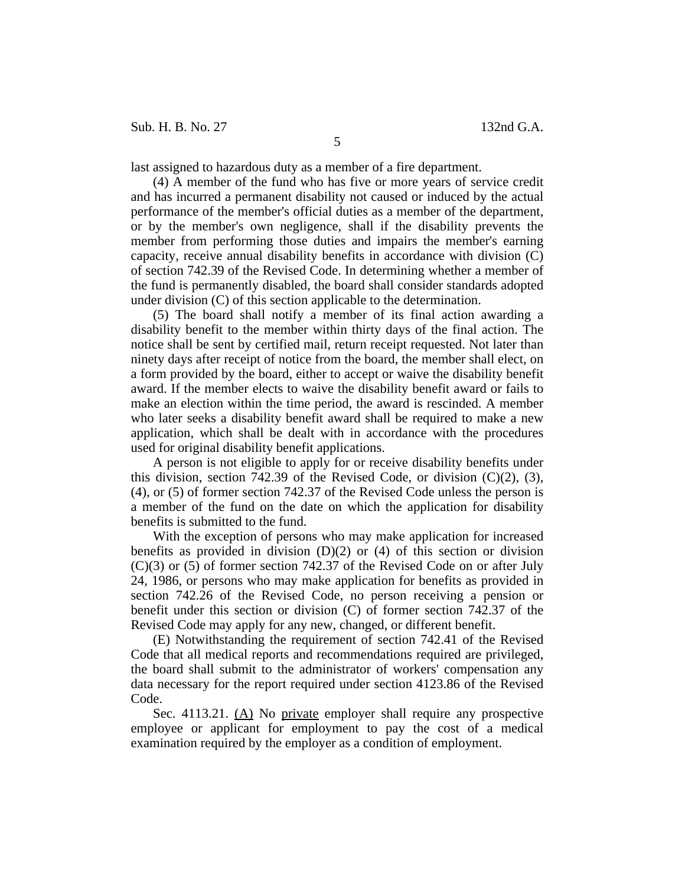last assigned to hazardous duty as a member of a fire department.

(4) A member of the fund who has five or more years of service credit and has incurred a permanent disability not caused or induced by the actual performance of the member's official duties as a member of the department, or by the member's own negligence, shall if the disability prevents the member from performing those duties and impairs the member's earning capacity, receive annual disability benefits in accordance with division (C) of section 742.39 of the Revised Code. In determining whether a member of the fund is permanently disabled, the board shall consider standards adopted under division (C) of this section applicable to the determination.

(5) The board shall notify a member of its final action awarding a disability benefit to the member within thirty days of the final action. The notice shall be sent by certified mail, return receipt requested. Not later than ninety days after receipt of notice from the board, the member shall elect, on a form provided by the board, either to accept or waive the disability benefit award. If the member elects to waive the disability benefit award or fails to make an election within the time period, the award is rescinded. A member who later seeks a disability benefit award shall be required to make a new application, which shall be dealt with in accordance with the procedures used for original disability benefit applications.

A person is not eligible to apply for or receive disability benefits under this division, section 742.39 of the Revised Code, or division  $(C)(2)$ ,  $(3)$ , (4), or (5) of former section 742.37 of the Revised Code unless the person is a member of the fund on the date on which the application for disability benefits is submitted to the fund.

With the exception of persons who may make application for increased benefits as provided in division  $(D)(2)$  or  $(4)$  of this section or division (C)(3) or (5) of former section 742.37 of the Revised Code on or after July 24, 1986, or persons who may make application for benefits as provided in section 742.26 of the Revised Code, no person receiving a pension or benefit under this section or division (C) of former section 742.37 of the Revised Code may apply for any new, changed, or different benefit.

(E) Notwithstanding the requirement of section 742.41 of the Revised Code that all medical reports and recommendations required are privileged, the board shall submit to the administrator of workers' compensation any data necessary for the report required under section 4123.86 of the Revised Code.

Sec. 4113.21.  $(A)$  No private employer shall require any prospective employee or applicant for employment to pay the cost of a medical examination required by the employer as a condition of employment.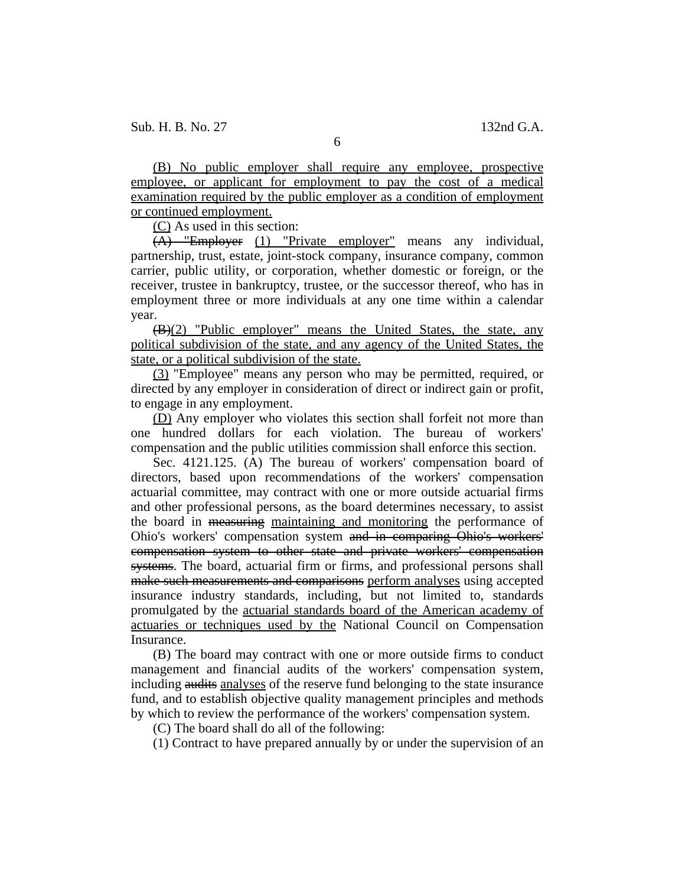(B) No public employer shall require any employee, prospective employee, or applicant for employment to pay the cost of a medical examination required by the public employer as a condition of employment or continued employment.

(C) As used in this section:

(A) "Employer (1) "Private employer" means any individual, partnership, trust, estate, joint-stock company, insurance company, common carrier, public utility, or corporation, whether domestic or foreign, or the receiver, trustee in bankruptcy, trustee, or the successor thereof, who has in employment three or more individuals at any one time within a calendar year.

(B)(2) "Public employer" means the United States, the state, any political subdivision of the state, and any agency of the United States, the state, or a political subdivision of the state.

(3) "Employee" means any person who may be permitted, required, or directed by any employer in consideration of direct or indirect gain or profit, to engage in any employment.

(D) Any employer who violates this section shall forfeit not more than one hundred dollars for each violation. The bureau of workers' compensation and the public utilities commission shall enforce this section.

Sec. 4121.125. (A) The bureau of workers' compensation board of directors, based upon recommendations of the workers' compensation actuarial committee, may contract with one or more outside actuarial firms and other professional persons, as the board determines necessary, to assist the board in measuring maintaining and monitoring the performance of Ohio's workers' compensation system and in comparing Ohio's workers' compensation system to other state and private workers' compensation systems. The board, actuarial firm or firms, and professional persons shall make such measurements and comparisons perform analyses using accepted insurance industry standards, including, but not limited to, standards promulgated by the actuarial standards board of the American academy of actuaries or techniques used by the National Council on Compensation Insurance.

(B) The board may contract with one or more outside firms to conduct management and financial audits of the workers' compensation system, including audits analyses of the reserve fund belonging to the state insurance fund, and to establish objective quality management principles and methods by which to review the performance of the workers' compensation system.

(C) The board shall do all of the following:

(1) Contract to have prepared annually by or under the supervision of an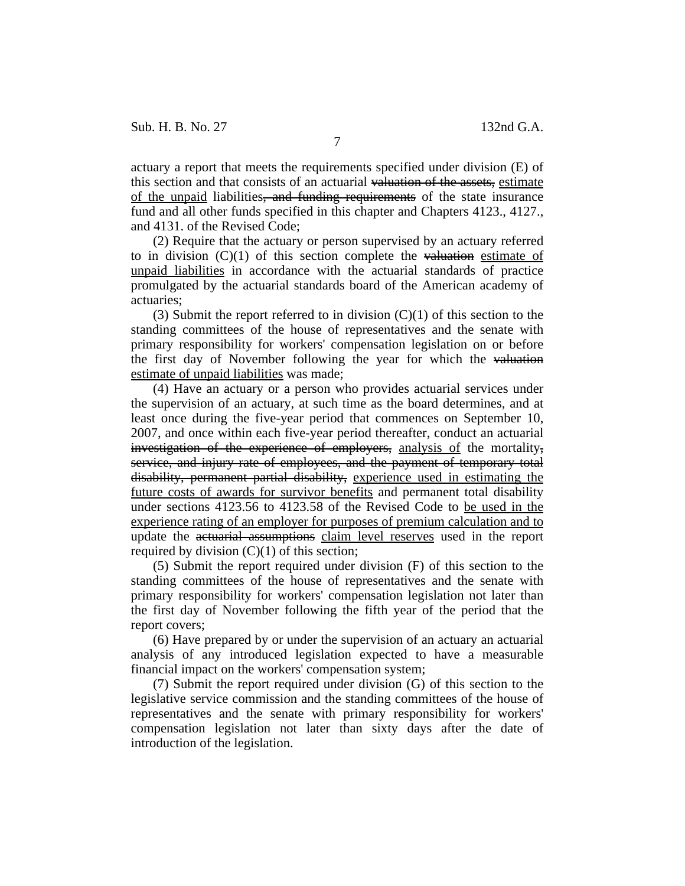actuary a report that meets the requirements specified under division (E) of this section and that consists of an actuarial valuation of the assets, estimate of the unpaid liabilities, and funding requirements of the state insurance fund and all other funds specified in this chapter and Chapters 4123., 4127., and 4131. of the Revised Code;

(2) Require that the actuary or person supervised by an actuary referred to in division  $(C)(1)$  of this section complete the valuation estimate of unpaid liabilities in accordance with the actuarial standards of practice promulgated by the actuarial standards board of the American academy of actuaries;

(3) Submit the report referred to in division  $(C)(1)$  of this section to the standing committees of the house of representatives and the senate with primary responsibility for workers' compensation legislation on or before the first day of November following the year for which the valuation estimate of unpaid liabilities was made;

(4) Have an actuary or a person who provides actuarial services under the supervision of an actuary, at such time as the board determines, and at least once during the five-year period that commences on September 10, 2007, and once within each five-year period thereafter, conduct an actuarial investigation of the experience of employers, analysis of the mortality, service, and injury rate of employees, and the payment of temporary total disability, permanent partial disability, experience used in estimating the future costs of awards for survivor benefits and permanent total disability under sections 4123.56 to 4123.58 of the Revised Code to be used in the experience rating of an employer for purposes of premium calculation and to update the actuarial assumptions claim level reserves used in the report required by division  $(C)(1)$  of this section;

(5) Submit the report required under division (F) of this section to the standing committees of the house of representatives and the senate with primary responsibility for workers' compensation legislation not later than the first day of November following the fifth year of the period that the report covers;

(6) Have prepared by or under the supervision of an actuary an actuarial analysis of any introduced legislation expected to have a measurable financial impact on the workers' compensation system;

(7) Submit the report required under division (G) of this section to the legislative service commission and the standing committees of the house of representatives and the senate with primary responsibility for workers' compensation legislation not later than sixty days after the date of introduction of the legislation.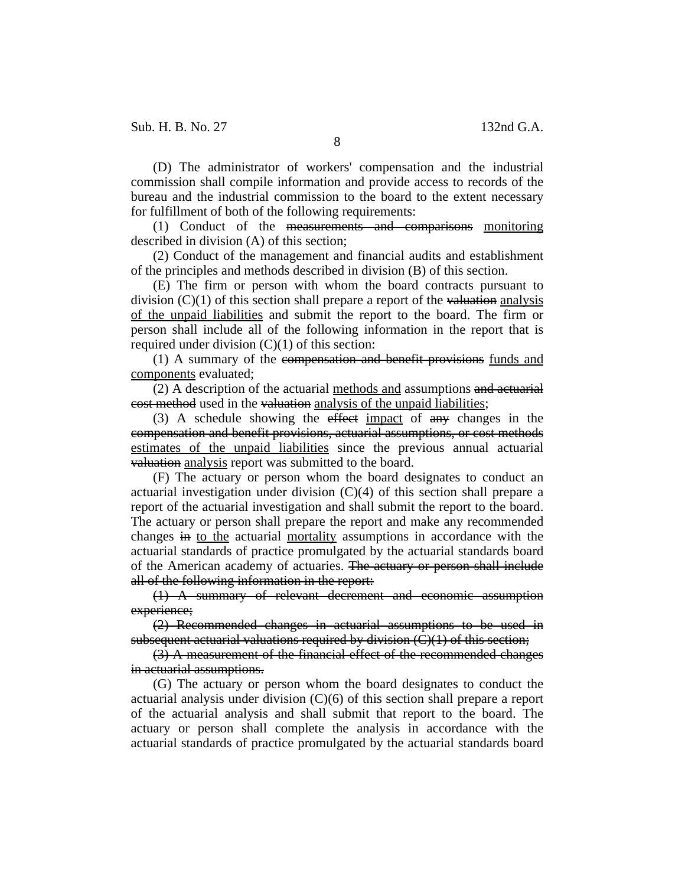(D) The administrator of workers' compensation and the industrial commission shall compile information and provide access to records of the bureau and the industrial commission to the board to the extent necessary for fulfillment of both of the following requirements:

(1) Conduct of the measurements and comparisons monitoring described in division (A) of this section;

(2) Conduct of the management and financial audits and establishment of the principles and methods described in division (B) of this section.

(E) The firm or person with whom the board contracts pursuant to division  $(C)(1)$  of this section shall prepare a report of the valuation analysis of the unpaid liabilities and submit the report to the board. The firm or person shall include all of the following information in the report that is required under division  $(C)(1)$  of this section:

(1) A summary of the compensation and benefit provisions funds and components evaluated;

(2) A description of the actuarial methods and assumptions and actuarial cost method used in the valuation analysis of the unpaid liabilities;

(3) A schedule showing the effect impact of any changes in the compensation and benefit provisions, actuarial assumptions, or cost methods estimates of the unpaid liabilities since the previous annual actuarial valuation analysis report was submitted to the board.

(F) The actuary or person whom the board designates to conduct an actuarial investigation under division (C)(4) of this section shall prepare a report of the actuarial investigation and shall submit the report to the board. The actuary or person shall prepare the report and make any recommended changes in to the actuarial mortality assumptions in accordance with the actuarial standards of practice promulgated by the actuarial standards board of the American academy of actuaries. The actuary or person shall include all of the following information in the report:

(1) A summary of relevant decrement and economic assumption experience;

(2) Recommended changes in actuarial assumptions to be used in subsequent actuarial valuations required by division (C)(1) of this section;

(3) A measurement of the financial effect of the recommended changes in actuarial assumptions.

(G) The actuary or person whom the board designates to conduct the actuarial analysis under division (C)(6) of this section shall prepare a report of the actuarial analysis and shall submit that report to the board. The actuary or person shall complete the analysis in accordance with the actuarial standards of practice promulgated by the actuarial standards board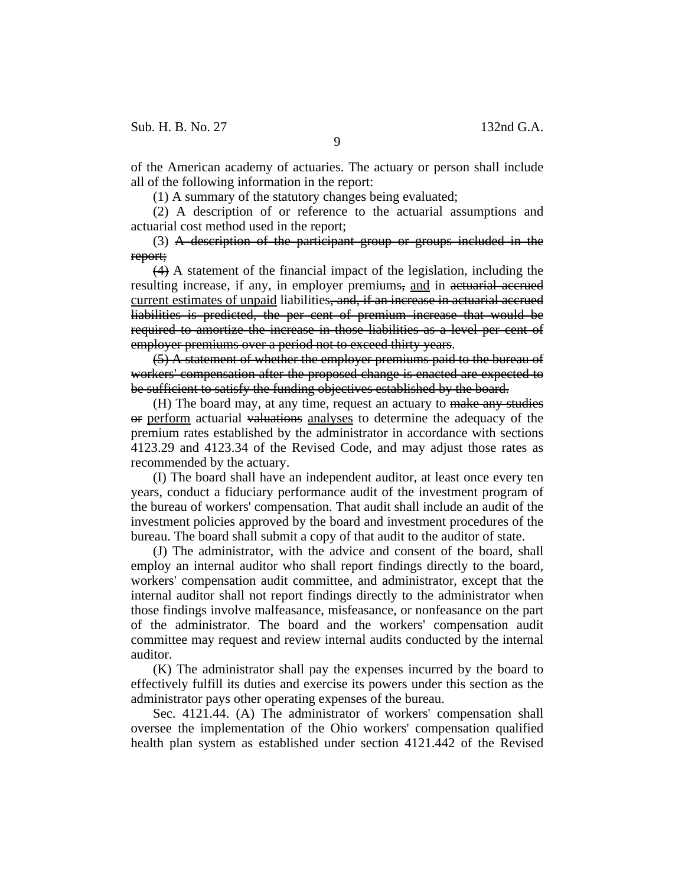of the American academy of actuaries. The actuary or person shall include all of the following information in the report:

(1) A summary of the statutory changes being evaluated;

(2) A description of or reference to the actuarial assumptions and actuarial cost method used in the report;

(3) A description of the participant group or groups included in the report;

(4) A statement of the financial impact of the legislation, including the resulting increase, if any, in employer premiums, and in actuarial accrued current estimates of unpaid liabilities, and, if an increase in actuarial accrued liabilities is predicted, the per cent of premium increase that would be required to amortize the increase in those liabilities as a level per cent of employer premiums over a period not to exceed thirty years.

(5) A statement of whether the employer premiums paid to the bureau of workers' compensation after the proposed change is enacted are expected to be sufficient to satisfy the funding objectives established by the board.

(H) The board may, at any time, request an actuary to make any studies or perform actuarial valuations analyses to determine the adequacy of the premium rates established by the administrator in accordance with sections 4123.29 and 4123.34 of the Revised Code, and may adjust those rates as recommended by the actuary.

(I) The board shall have an independent auditor, at least once every ten years, conduct a fiduciary performance audit of the investment program of the bureau of workers' compensation. That audit shall include an audit of the investment policies approved by the board and investment procedures of the bureau. The board shall submit a copy of that audit to the auditor of state.

(J) The administrator, with the advice and consent of the board, shall employ an internal auditor who shall report findings directly to the board, workers' compensation audit committee, and administrator, except that the internal auditor shall not report findings directly to the administrator when those findings involve malfeasance, misfeasance, or nonfeasance on the part of the administrator. The board and the workers' compensation audit committee may request and review internal audits conducted by the internal auditor.

(K) The administrator shall pay the expenses incurred by the board to effectively fulfill its duties and exercise its powers under this section as the administrator pays other operating expenses of the bureau.

Sec. 4121.44. (A) The administrator of workers' compensation shall oversee the implementation of the Ohio workers' compensation qualified health plan system as established under section 4121.442 of the Revised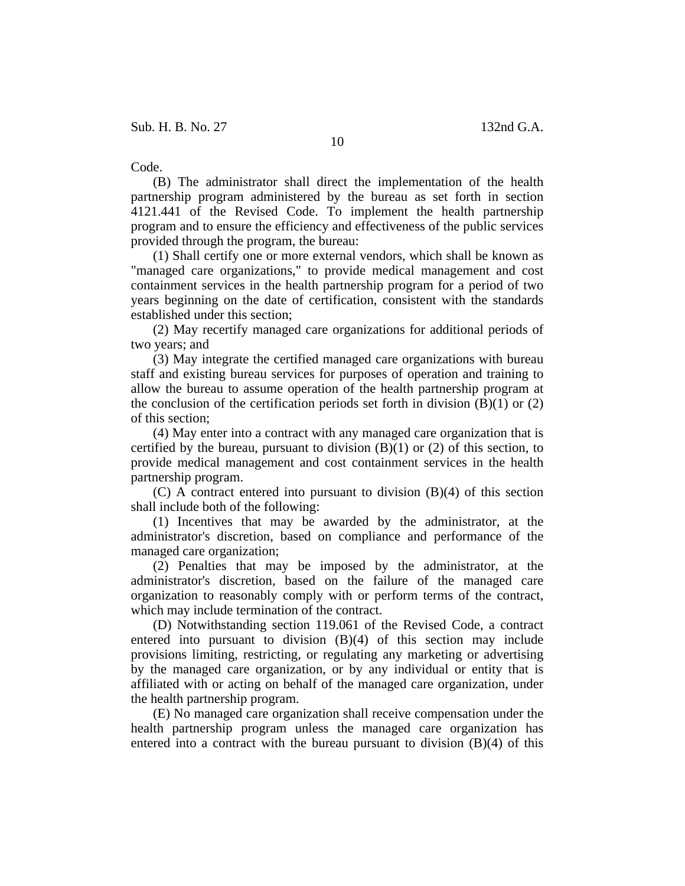Code.

(B) The administrator shall direct the implementation of the health partnership program administered by the bureau as set forth in section 4121.441 of the Revised Code. To implement the health partnership program and to ensure the efficiency and effectiveness of the public services provided through the program, the bureau:

(1) Shall certify one or more external vendors, which shall be known as "managed care organizations," to provide medical management and cost containment services in the health partnership program for a period of two years beginning on the date of certification, consistent with the standards established under this section;

(2) May recertify managed care organizations for additional periods of two years; and

(3) May integrate the certified managed care organizations with bureau staff and existing bureau services for purposes of operation and training to allow the bureau to assume operation of the health partnership program at the conclusion of the certification periods set forth in division  $(B)(1)$  or  $(2)$ of this section;

(4) May enter into a contract with any managed care organization that is certified by the bureau, pursuant to division  $(B)(1)$  or  $(2)$  of this section, to provide medical management and cost containment services in the health partnership program.

(C) A contract entered into pursuant to division (B)(4) of this section shall include both of the following:

(1) Incentives that may be awarded by the administrator, at the administrator's discretion, based on compliance and performance of the managed care organization;

(2) Penalties that may be imposed by the administrator, at the administrator's discretion, based on the failure of the managed care organization to reasonably comply with or perform terms of the contract, which may include termination of the contract.

(D) Notwithstanding section 119.061 of the Revised Code, a contract entered into pursuant to division (B)(4) of this section may include provisions limiting, restricting, or regulating any marketing or advertising by the managed care organization, or by any individual or entity that is affiliated with or acting on behalf of the managed care organization, under the health partnership program.

(E) No managed care organization shall receive compensation under the health partnership program unless the managed care organization has entered into a contract with the bureau pursuant to division (B)(4) of this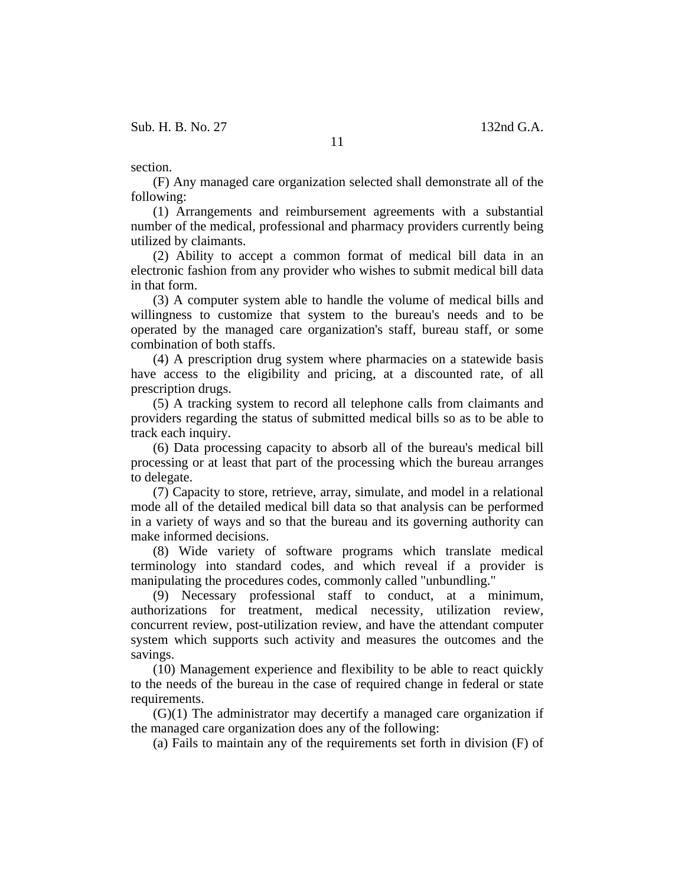11

section.

(F) Any managed care organization selected shall demonstrate all of the following:

(1) Arrangements and reimbursement agreements with a substantial number of the medical, professional and pharmacy providers currently being utilized by claimants.

(2) Ability to accept a common format of medical bill data in an electronic fashion from any provider who wishes to submit medical bill data in that form.

(3) A computer system able to handle the volume of medical bills and willingness to customize that system to the bureau's needs and to be operated by the managed care organization's staff, bureau staff, or some combination of both staffs.

(4) A prescription drug system where pharmacies on a statewide basis have access to the eligibility and pricing, at a discounted rate, of all prescription drugs.

(5) A tracking system to record all telephone calls from claimants and providers regarding the status of submitted medical bills so as to be able to track each inquiry.

(6) Data processing capacity to absorb all of the bureau's medical bill processing or at least that part of the processing which the bureau arranges to delegate.

(7) Capacity to store, retrieve, array, simulate, and model in a relational mode all of the detailed medical bill data so that analysis can be performed in a variety of ways and so that the bureau and its governing authority can make informed decisions.

(8) Wide variety of software programs which translate medical terminology into standard codes, and which reveal if a provider is manipulating the procedures codes, commonly called "unbundling."

(9) Necessary professional staff to conduct, at a minimum, authorizations for treatment, medical necessity, utilization review, concurrent review, post-utilization review, and have the attendant computer system which supports such activity and measures the outcomes and the savings.

(10) Management experience and flexibility to be able to react quickly to the needs of the bureau in the case of required change in federal or state requirements.

(G)(1) The administrator may decertify a managed care organization if the managed care organization does any of the following:

(a) Fails to maintain any of the requirements set forth in division (F) of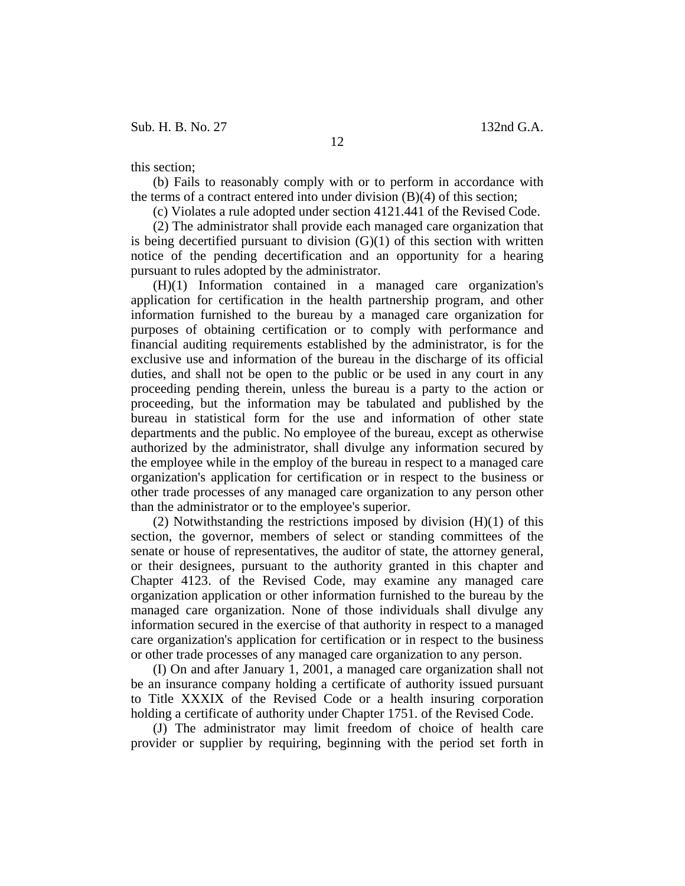this section;

(b) Fails to reasonably comply with or to perform in accordance with the terms of a contract entered into under division  $(B)(4)$  of this section;

(c) Violates a rule adopted under section 4121.441 of the Revised Code.

(2) The administrator shall provide each managed care organization that is being decertified pursuant to division  $(G)(1)$  of this section with written notice of the pending decertification and an opportunity for a hearing pursuant to rules adopted by the administrator.

(H)(1) Information contained in a managed care organization's application for certification in the health partnership program, and other information furnished to the bureau by a managed care organization for purposes of obtaining certification or to comply with performance and financial auditing requirements established by the administrator, is for the exclusive use and information of the bureau in the discharge of its official duties, and shall not be open to the public or be used in any court in any proceeding pending therein, unless the bureau is a party to the action or proceeding, but the information may be tabulated and published by the bureau in statistical form for the use and information of other state departments and the public. No employee of the bureau, except as otherwise authorized by the administrator, shall divulge any information secured by the employee while in the employ of the bureau in respect to a managed care organization's application for certification or in respect to the business or other trade processes of any managed care organization to any person other than the administrator or to the employee's superior.

(2) Notwithstanding the restrictions imposed by division (H)(1) of this section, the governor, members of select or standing committees of the senate or house of representatives, the auditor of state, the attorney general, or their designees, pursuant to the authority granted in this chapter and Chapter 4123. of the Revised Code, may examine any managed care organization application or other information furnished to the bureau by the managed care organization. None of those individuals shall divulge any information secured in the exercise of that authority in respect to a managed care organization's application for certification or in respect to the business or other trade processes of any managed care organization to any person.

(I) On and after January 1, 2001, a managed care organization shall not be an insurance company holding a certificate of authority issued pursuant to Title XXXIX of the Revised Code or a health insuring corporation holding a certificate of authority under Chapter 1751. of the Revised Code.

(J) The administrator may limit freedom of choice of health care provider or supplier by requiring, beginning with the period set forth in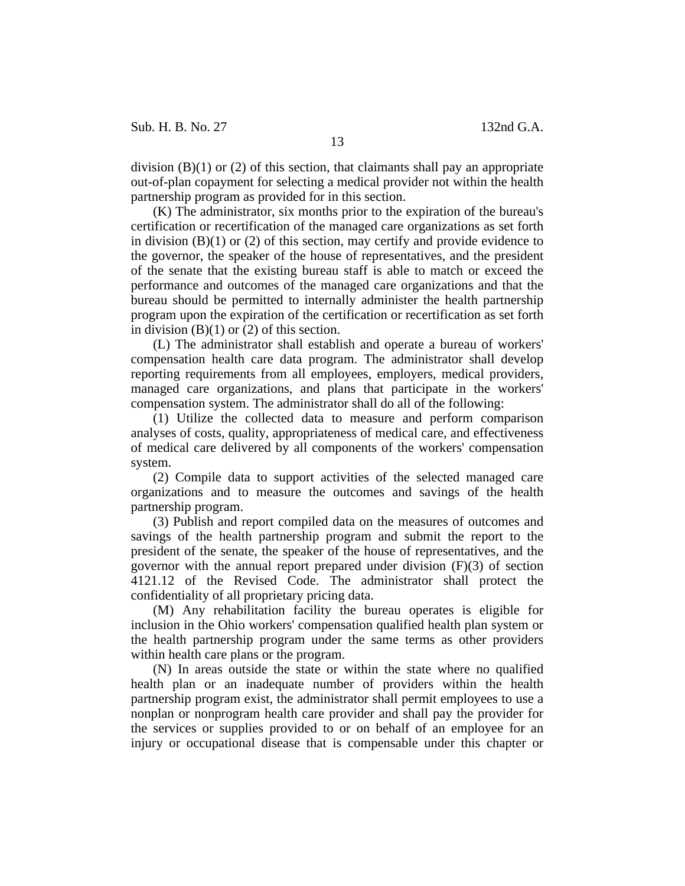division  $(B)(1)$  or  $(2)$  of this section, that claimants shall pay an appropriate out-of-plan copayment for selecting a medical provider not within the health partnership program as provided for in this section.

(K) The administrator, six months prior to the expiration of the bureau's certification or recertification of the managed care organizations as set forth in division  $(B)(1)$  or  $(2)$  of this section, may certify and provide evidence to the governor, the speaker of the house of representatives, and the president of the senate that the existing bureau staff is able to match or exceed the performance and outcomes of the managed care organizations and that the bureau should be permitted to internally administer the health partnership program upon the expiration of the certification or recertification as set forth in division (B)(1) or (2) of this section.

(L) The administrator shall establish and operate a bureau of workers' compensation health care data program. The administrator shall develop reporting requirements from all employees, employers, medical providers, managed care organizations, and plans that participate in the workers' compensation system. The administrator shall do all of the following:

(1) Utilize the collected data to measure and perform comparison analyses of costs, quality, appropriateness of medical care, and effectiveness of medical care delivered by all components of the workers' compensation system.

(2) Compile data to support activities of the selected managed care organizations and to measure the outcomes and savings of the health partnership program.

(3) Publish and report compiled data on the measures of outcomes and savings of the health partnership program and submit the report to the president of the senate, the speaker of the house of representatives, and the governor with the annual report prepared under division (F)(3) of section 4121.12 of the Revised Code. The administrator shall protect the confidentiality of all proprietary pricing data.

(M) Any rehabilitation facility the bureau operates is eligible for inclusion in the Ohio workers' compensation qualified health plan system or the health partnership program under the same terms as other providers within health care plans or the program.

(N) In areas outside the state or within the state where no qualified health plan or an inadequate number of providers within the health partnership program exist, the administrator shall permit employees to use a nonplan or nonprogram health care provider and shall pay the provider for the services or supplies provided to or on behalf of an employee for an injury or occupational disease that is compensable under this chapter or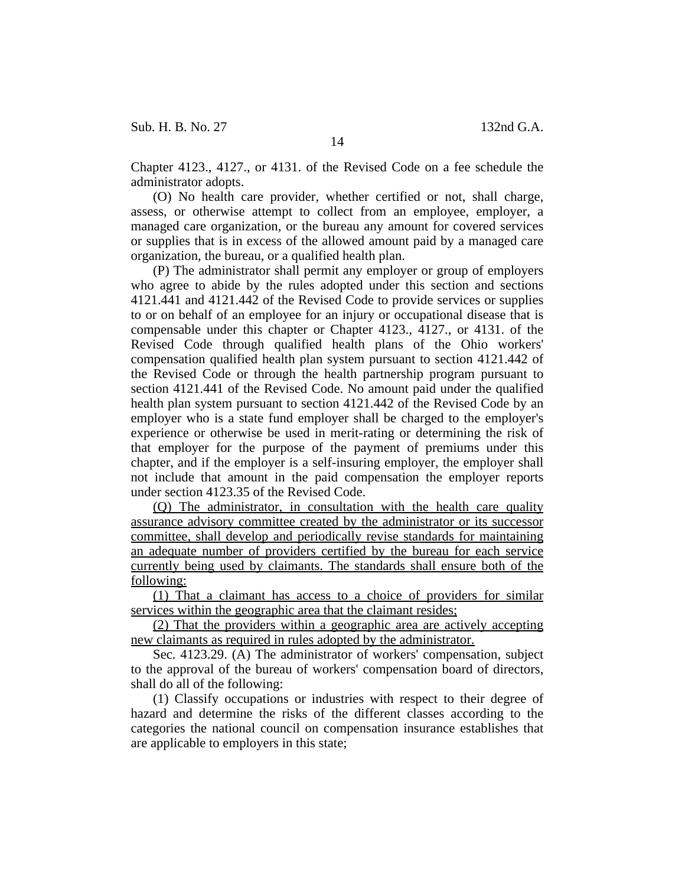Chapter 4123., 4127., or 4131. of the Revised Code on a fee schedule the administrator adopts.

(O) No health care provider, whether certified or not, shall charge, assess, or otherwise attempt to collect from an employee, employer, a managed care organization, or the bureau any amount for covered services or supplies that is in excess of the allowed amount paid by a managed care organization, the bureau, or a qualified health plan.

(P) The administrator shall permit any employer or group of employers who agree to abide by the rules adopted under this section and sections 4121.441 and 4121.442 of the Revised Code to provide services or supplies to or on behalf of an employee for an injury or occupational disease that is compensable under this chapter or Chapter 4123., 4127., or 4131. of the Revised Code through qualified health plans of the Ohio workers' compensation qualified health plan system pursuant to section 4121.442 of the Revised Code or through the health partnership program pursuant to section 4121.441 of the Revised Code. No amount paid under the qualified health plan system pursuant to section 4121.442 of the Revised Code by an employer who is a state fund employer shall be charged to the employer's experience or otherwise be used in merit-rating or determining the risk of that employer for the purpose of the payment of premiums under this chapter, and if the employer is a self-insuring employer, the employer shall not include that amount in the paid compensation the employer reports under section 4123.35 of the Revised Code.

(Q) The administrator, in consultation with the health care quality assurance advisory committee created by the administrator or its successor committee, shall develop and periodically revise standards for maintaining an adequate number of providers certified by the bureau for each service currently being used by claimants. The standards shall ensure both of the following:

(1) That a claimant has access to a choice of providers for similar services within the geographic area that the claimant resides;

(2) That the providers within a geographic area are actively accepting new claimants as required in rules adopted by the administrator.

Sec. 4123.29. (A) The administrator of workers' compensation, subject to the approval of the bureau of workers' compensation board of directors, shall do all of the following:

(1) Classify occupations or industries with respect to their degree of hazard and determine the risks of the different classes according to the categories the national council on compensation insurance establishes that are applicable to employers in this state;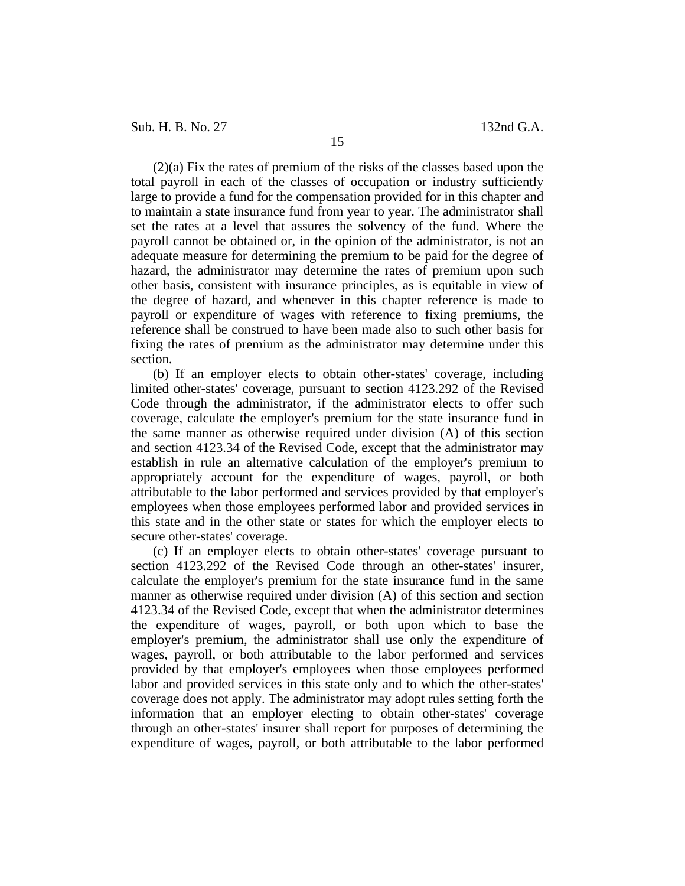15

(2)(a) Fix the rates of premium of the risks of the classes based upon the total payroll in each of the classes of occupation or industry sufficiently large to provide a fund for the compensation provided for in this chapter and to maintain a state insurance fund from year to year. The administrator shall set the rates at a level that assures the solvency of the fund. Where the payroll cannot be obtained or, in the opinion of the administrator, is not an adequate measure for determining the premium to be paid for the degree of hazard, the administrator may determine the rates of premium upon such other basis, consistent with insurance principles, as is equitable in view of the degree of hazard, and whenever in this chapter reference is made to payroll or expenditure of wages with reference to fixing premiums, the reference shall be construed to have been made also to such other basis for fixing the rates of premium as the administrator may determine under this section.

(b) If an employer elects to obtain other-states' coverage, including limited other-states' coverage, pursuant to section 4123.292 of the Revised Code through the administrator, if the administrator elects to offer such coverage, calculate the employer's premium for the state insurance fund in the same manner as otherwise required under division (A) of this section and section 4123.34 of the Revised Code, except that the administrator may establish in rule an alternative calculation of the employer's premium to appropriately account for the expenditure of wages, payroll, or both attributable to the labor performed and services provided by that employer's employees when those employees performed labor and provided services in this state and in the other state or states for which the employer elects to secure other-states' coverage.

(c) If an employer elects to obtain other-states' coverage pursuant to section 4123.292 of the Revised Code through an other-states' insurer, calculate the employer's premium for the state insurance fund in the same manner as otherwise required under division (A) of this section and section 4123.34 of the Revised Code, except that when the administrator determines the expenditure of wages, payroll, or both upon which to base the employer's premium, the administrator shall use only the expenditure of wages, payroll, or both attributable to the labor performed and services provided by that employer's employees when those employees performed labor and provided services in this state only and to which the other-states' coverage does not apply. The administrator may adopt rules setting forth the information that an employer electing to obtain other-states' coverage through an other-states' insurer shall report for purposes of determining the expenditure of wages, payroll, or both attributable to the labor performed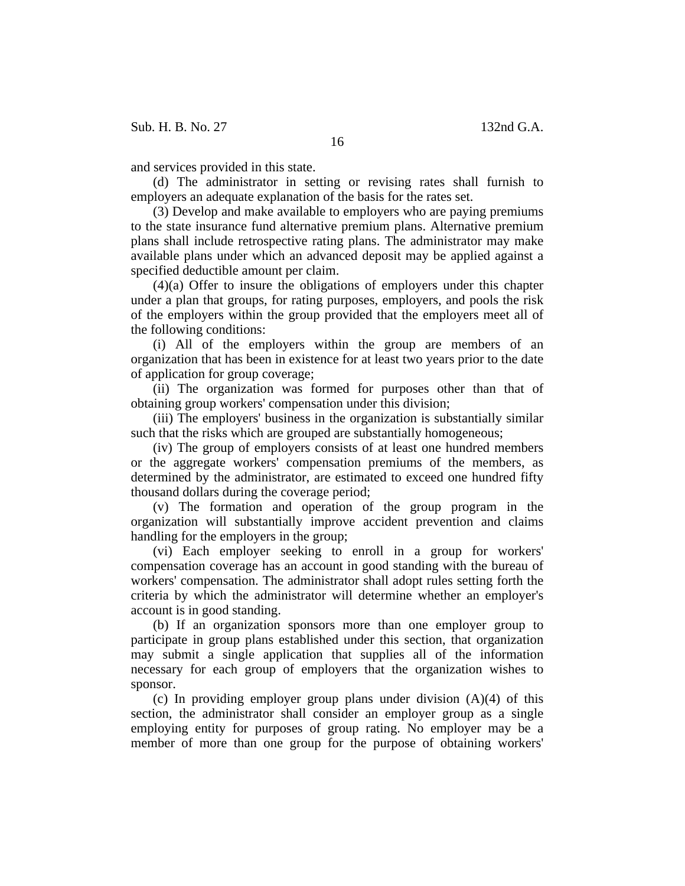and services provided in this state.

(d) The administrator in setting or revising rates shall furnish to employers an adequate explanation of the basis for the rates set.

(3) Develop and make available to employers who are paying premiums to the state insurance fund alternative premium plans. Alternative premium plans shall include retrospective rating plans. The administrator may make available plans under which an advanced deposit may be applied against a specified deductible amount per claim.

(4)(a) Offer to insure the obligations of employers under this chapter under a plan that groups, for rating purposes, employers, and pools the risk of the employers within the group provided that the employers meet all of the following conditions:

(i) All of the employers within the group are members of an organization that has been in existence for at least two years prior to the date of application for group coverage;

(ii) The organization was formed for purposes other than that of obtaining group workers' compensation under this division;

(iii) The employers' business in the organization is substantially similar such that the risks which are grouped are substantially homogeneous;

(iv) The group of employers consists of at least one hundred members or the aggregate workers' compensation premiums of the members, as determined by the administrator, are estimated to exceed one hundred fifty thousand dollars during the coverage period;

(v) The formation and operation of the group program in the organization will substantially improve accident prevention and claims handling for the employers in the group;

(vi) Each employer seeking to enroll in a group for workers' compensation coverage has an account in good standing with the bureau of workers' compensation. The administrator shall adopt rules setting forth the criteria by which the administrator will determine whether an employer's account is in good standing.

(b) If an organization sponsors more than one employer group to participate in group plans established under this section, that organization may submit a single application that supplies all of the information necessary for each group of employers that the organization wishes to sponsor.

(c) In providing employer group plans under division (A)(4) of this section, the administrator shall consider an employer group as a single employing entity for purposes of group rating. No employer may be a member of more than one group for the purpose of obtaining workers'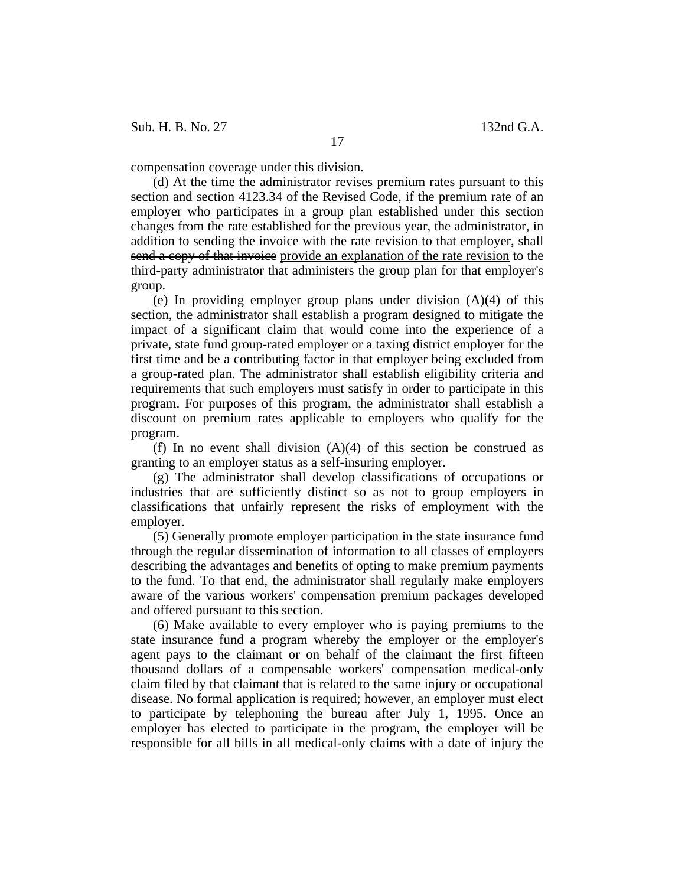17

compensation coverage under this division.

(d) At the time the administrator revises premium rates pursuant to this section and section 4123.34 of the Revised Code, if the premium rate of an employer who participates in a group plan established under this section changes from the rate established for the previous year, the administrator, in addition to sending the invoice with the rate revision to that employer, shall send a copy of that invoice provide an explanation of the rate revision to the third-party administrator that administers the group plan for that employer's group.

(e) In providing employer group plans under division (A)(4) of this section, the administrator shall establish a program designed to mitigate the impact of a significant claim that would come into the experience of a private, state fund group-rated employer or a taxing district employer for the first time and be a contributing factor in that employer being excluded from a group-rated plan. The administrator shall establish eligibility criteria and requirements that such employers must satisfy in order to participate in this program. For purposes of this program, the administrator shall establish a discount on premium rates applicable to employers who qualify for the program.

(f) In no event shall division  $(A)(4)$  of this section be construed as granting to an employer status as a self-insuring employer.

(g) The administrator shall develop classifications of occupations or industries that are sufficiently distinct so as not to group employers in classifications that unfairly represent the risks of employment with the employer.

(5) Generally promote employer participation in the state insurance fund through the regular dissemination of information to all classes of employers describing the advantages and benefits of opting to make premium payments to the fund. To that end, the administrator shall regularly make employers aware of the various workers' compensation premium packages developed and offered pursuant to this section.

(6) Make available to every employer who is paying premiums to the state insurance fund a program whereby the employer or the employer's agent pays to the claimant or on behalf of the claimant the first fifteen thousand dollars of a compensable workers' compensation medical-only claim filed by that claimant that is related to the same injury or occupational disease. No formal application is required; however, an employer must elect to participate by telephoning the bureau after July 1, 1995. Once an employer has elected to participate in the program, the employer will be responsible for all bills in all medical-only claims with a date of injury the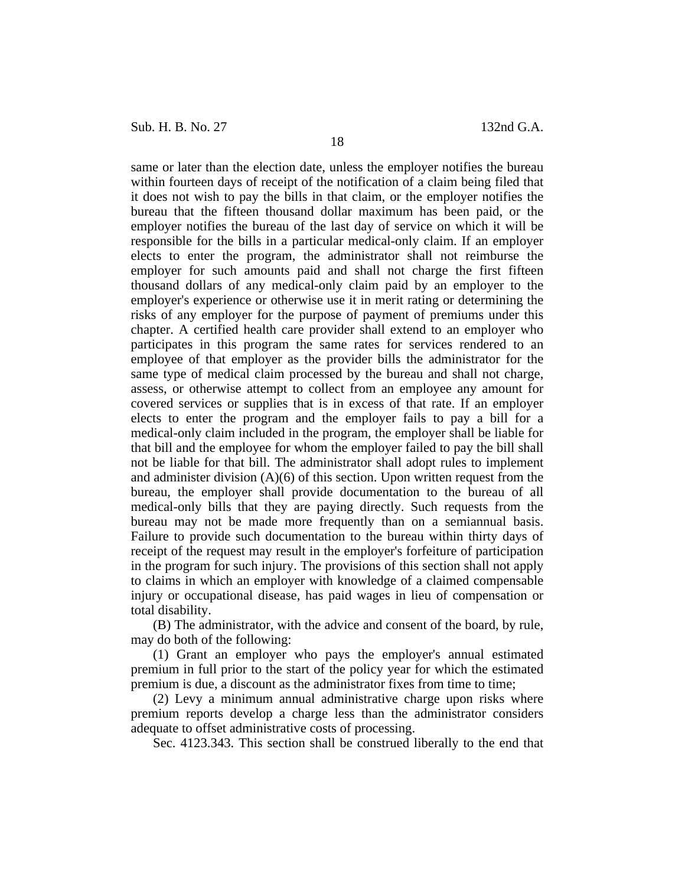same or later than the election date, unless the employer notifies the bureau within fourteen days of receipt of the notification of a claim being filed that it does not wish to pay the bills in that claim, or the employer notifies the bureau that the fifteen thousand dollar maximum has been paid, or the employer notifies the bureau of the last day of service on which it will be responsible for the bills in a particular medical-only claim. If an employer elects to enter the program, the administrator shall not reimburse the employer for such amounts paid and shall not charge the first fifteen thousand dollars of any medical-only claim paid by an employer to the employer's experience or otherwise use it in merit rating or determining the risks of any employer for the purpose of payment of premiums under this chapter. A certified health care provider shall extend to an employer who participates in this program the same rates for services rendered to an employee of that employer as the provider bills the administrator for the same type of medical claim processed by the bureau and shall not charge, assess, or otherwise attempt to collect from an employee any amount for covered services or supplies that is in excess of that rate. If an employer elects to enter the program and the employer fails to pay a bill for a medical-only claim included in the program, the employer shall be liable for that bill and the employee for whom the employer failed to pay the bill shall not be liable for that bill. The administrator shall adopt rules to implement and administer division (A)(6) of this section. Upon written request from the bureau, the employer shall provide documentation to the bureau of all medical-only bills that they are paying directly. Such requests from the bureau may not be made more frequently than on a semiannual basis. Failure to provide such documentation to the bureau within thirty days of receipt of the request may result in the employer's forfeiture of participation in the program for such injury. The provisions of this section shall not apply to claims in which an employer with knowledge of a claimed compensable injury or occupational disease, has paid wages in lieu of compensation or total disability.

(B) The administrator, with the advice and consent of the board, by rule, may do both of the following:

(1) Grant an employer who pays the employer's annual estimated premium in full prior to the start of the policy year for which the estimated premium is due, a discount as the administrator fixes from time to time;

(2) Levy a minimum annual administrative charge upon risks where premium reports develop a charge less than the administrator considers adequate to offset administrative costs of processing.

Sec. 4123.343. This section shall be construed liberally to the end that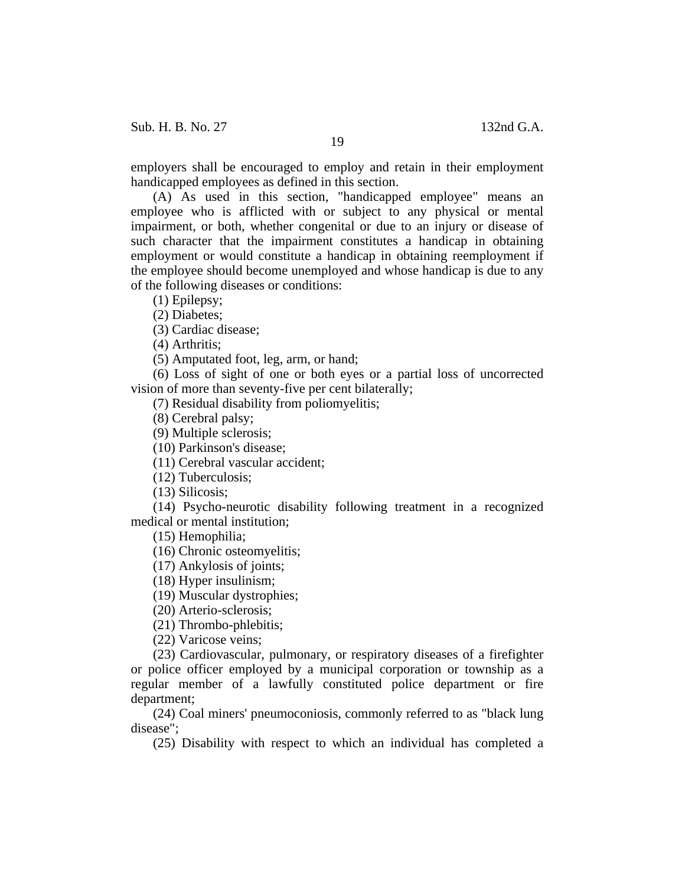employers shall be encouraged to employ and retain in their employment handicapped employees as defined in this section.

(A) As used in this section, "handicapped employee" means an employee who is afflicted with or subject to any physical or mental impairment, or both, whether congenital or due to an injury or disease of such character that the impairment constitutes a handicap in obtaining employment or would constitute a handicap in obtaining reemployment if the employee should become unemployed and whose handicap is due to any of the following diseases or conditions:

(1) Epilepsy;

(2) Diabetes;

(3) Cardiac disease;

(4) Arthritis;

(5) Amputated foot, leg, arm, or hand;

(6) Loss of sight of one or both eyes or a partial loss of uncorrected vision of more than seventy-five per cent bilaterally;

(7) Residual disability from poliomyelitis;

(8) Cerebral palsy;

(9) Multiple sclerosis;

(10) Parkinson's disease;

(11) Cerebral vascular accident;

(12) Tuberculosis;

(13) Silicosis;

(14) Psycho-neurotic disability following treatment in a recognized medical or mental institution;

(15) Hemophilia;

(16) Chronic osteomyelitis;

(17) Ankylosis of joints;

(18) Hyper insulinism;

(19) Muscular dystrophies;

(20) Arterio-sclerosis;

(21) Thrombo-phlebitis;

(22) Varicose veins;

(23) Cardiovascular, pulmonary, or respiratory diseases of a firefighter or police officer employed by a municipal corporation or township as a regular member of a lawfully constituted police department or fire department;

(24) Coal miners' pneumoconiosis, commonly referred to as "black lung disease";

(25) Disability with respect to which an individual has completed a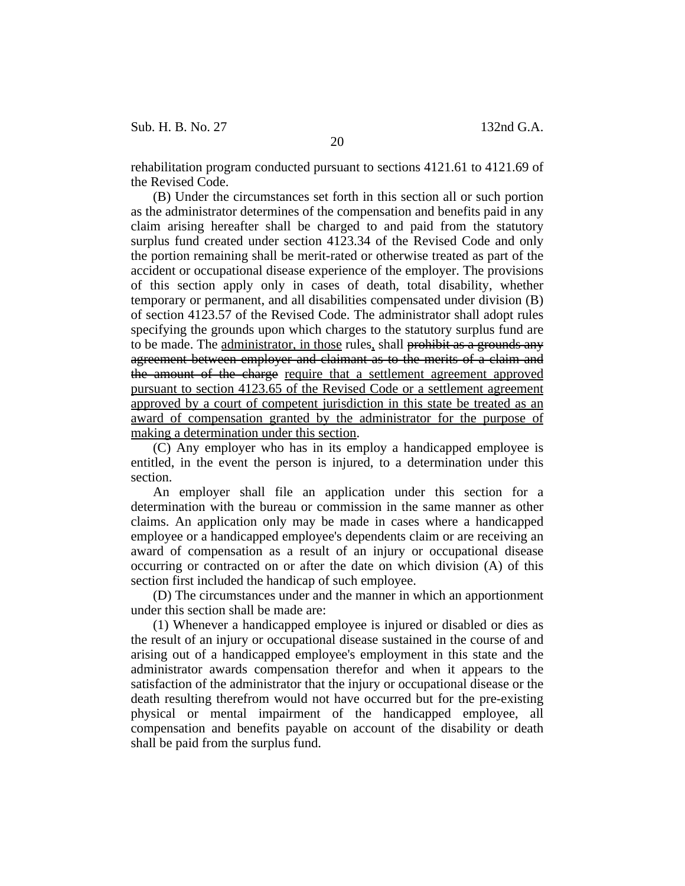20

rehabilitation program conducted pursuant to sections 4121.61 to 4121.69 of the Revised Code.

(B) Under the circumstances set forth in this section all or such portion as the administrator determines of the compensation and benefits paid in any claim arising hereafter shall be charged to and paid from the statutory surplus fund created under section 4123.34 of the Revised Code and only the portion remaining shall be merit-rated or otherwise treated as part of the accident or occupational disease experience of the employer. The provisions of this section apply only in cases of death, total disability, whether temporary or permanent, and all disabilities compensated under division (B) of section 4123.57 of the Revised Code. The administrator shall adopt rules specifying the grounds upon which charges to the statutory surplus fund are to be made. The administrator, in those rules, shall prohibit as a grounds any agreement between employer and claimant as to the merits of a claim and the amount of the charge require that a settlement agreement approved pursuant to section 4123.65 of the Revised Code or a settlement agreement approved by a court of competent jurisdiction in this state be treated as an award of compensation granted by the administrator for the purpose of making a determination under this section.

(C) Any employer who has in its employ a handicapped employee is entitled, in the event the person is injured, to a determination under this section.

An employer shall file an application under this section for a determination with the bureau or commission in the same manner as other claims. An application only may be made in cases where a handicapped employee or a handicapped employee's dependents claim or are receiving an award of compensation as a result of an injury or occupational disease occurring or contracted on or after the date on which division (A) of this section first included the handicap of such employee.

(D) The circumstances under and the manner in which an apportionment under this section shall be made are:

(1) Whenever a handicapped employee is injured or disabled or dies as the result of an injury or occupational disease sustained in the course of and arising out of a handicapped employee's employment in this state and the administrator awards compensation therefor and when it appears to the satisfaction of the administrator that the injury or occupational disease or the death resulting therefrom would not have occurred but for the pre-existing physical or mental impairment of the handicapped employee, all compensation and benefits payable on account of the disability or death shall be paid from the surplus fund.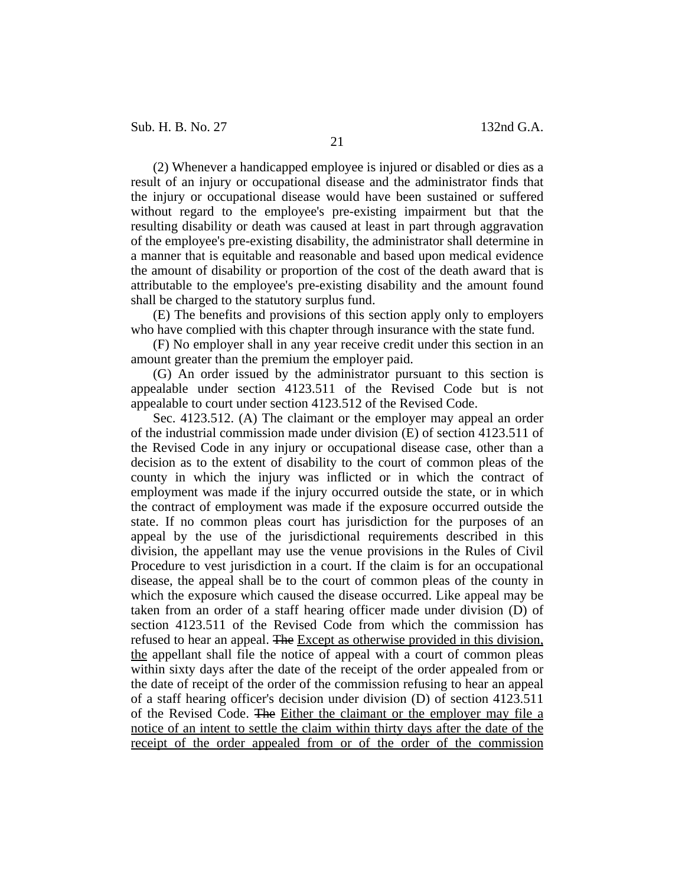(2) Whenever a handicapped employee is injured or disabled or dies as a result of an injury or occupational disease and the administrator finds that the injury or occupational disease would have been sustained or suffered without regard to the employee's pre-existing impairment but that the resulting disability or death was caused at least in part through aggravation of the employee's pre-existing disability, the administrator shall determine in a manner that is equitable and reasonable and based upon medical evidence the amount of disability or proportion of the cost of the death award that is attributable to the employee's pre-existing disability and the amount found shall be charged to the statutory surplus fund.

(E) The benefits and provisions of this section apply only to employers who have complied with this chapter through insurance with the state fund.

(F) No employer shall in any year receive credit under this section in an amount greater than the premium the employer paid.

(G) An order issued by the administrator pursuant to this section is appealable under section 4123.511 of the Revised Code but is not appealable to court under section 4123.512 of the Revised Code.

Sec. 4123.512. (A) The claimant or the employer may appeal an order of the industrial commission made under division (E) of section 4123.511 of the Revised Code in any injury or occupational disease case, other than a decision as to the extent of disability to the court of common pleas of the county in which the injury was inflicted or in which the contract of employment was made if the injury occurred outside the state, or in which the contract of employment was made if the exposure occurred outside the state. If no common pleas court has jurisdiction for the purposes of an appeal by the use of the jurisdictional requirements described in this division, the appellant may use the venue provisions in the Rules of Civil Procedure to vest jurisdiction in a court. If the claim is for an occupational disease, the appeal shall be to the court of common pleas of the county in which the exposure which caused the disease occurred. Like appeal may be taken from an order of a staff hearing officer made under division (D) of section 4123.511 of the Revised Code from which the commission has refused to hear an appeal. The Except as otherwise provided in this division, the appellant shall file the notice of appeal with a court of common pleas within sixty days after the date of the receipt of the order appealed from or the date of receipt of the order of the commission refusing to hear an appeal of a staff hearing officer's decision under division (D) of section 4123.511 of the Revised Code. The Either the claimant or the employer may file a notice of an intent to settle the claim within thirty days after the date of the receipt of the order appealed from or of the order of the commission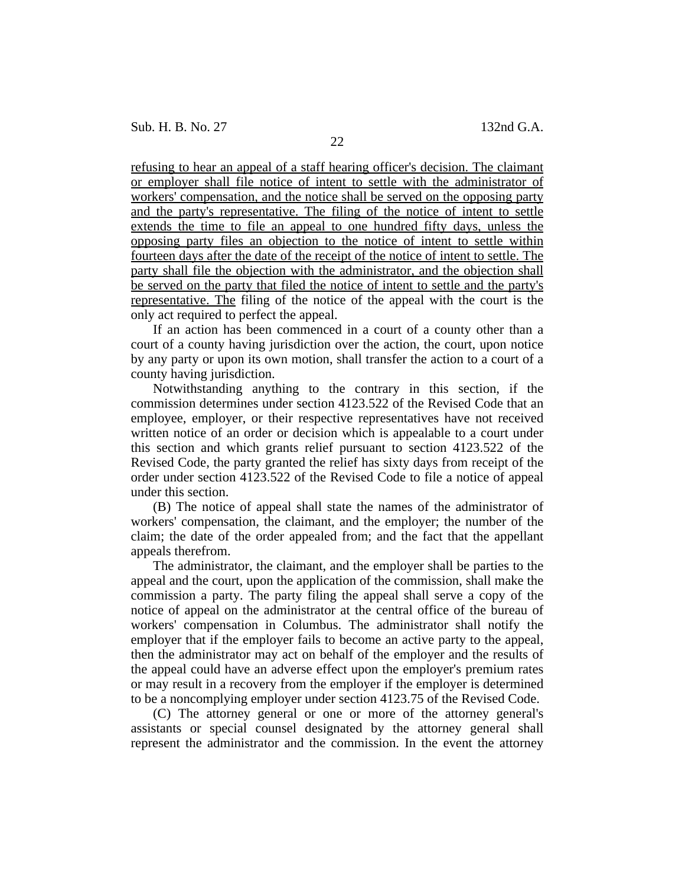refusing to hear an appeal of a staff hearing officer's decision. The claimant or employer shall file notice of intent to settle with the administrator of workers' compensation, and the notice shall be served on the opposing party and the party's representative. The filing of the notice of intent to settle extends the time to file an appeal to one hundred fifty days, unless the opposing party files an objection to the notice of intent to settle within fourteen days after the date of the receipt of the notice of intent to settle. The party shall file the objection with the administrator, and the objection shall be served on the party that filed the notice of intent to settle and the party's representative. The filing of the notice of the appeal with the court is the only act required to perfect the appeal.

If an action has been commenced in a court of a county other than a court of a county having jurisdiction over the action, the court, upon notice by any party or upon its own motion, shall transfer the action to a court of a county having jurisdiction.

Notwithstanding anything to the contrary in this section, if the commission determines under section 4123.522 of the Revised Code that an employee, employer, or their respective representatives have not received written notice of an order or decision which is appealable to a court under this section and which grants relief pursuant to section 4123.522 of the Revised Code, the party granted the relief has sixty days from receipt of the order under section 4123.522 of the Revised Code to file a notice of appeal under this section.

(B) The notice of appeal shall state the names of the administrator of workers' compensation, the claimant, and the employer; the number of the claim; the date of the order appealed from; and the fact that the appellant appeals therefrom.

The administrator, the claimant, and the employer shall be parties to the appeal and the court, upon the application of the commission, shall make the commission a party. The party filing the appeal shall serve a copy of the notice of appeal on the administrator at the central office of the bureau of workers' compensation in Columbus. The administrator shall notify the employer that if the employer fails to become an active party to the appeal, then the administrator may act on behalf of the employer and the results of the appeal could have an adverse effect upon the employer's premium rates or may result in a recovery from the employer if the employer is determined to be a noncomplying employer under section 4123.75 of the Revised Code.

(C) The attorney general or one or more of the attorney general's assistants or special counsel designated by the attorney general shall represent the administrator and the commission. In the event the attorney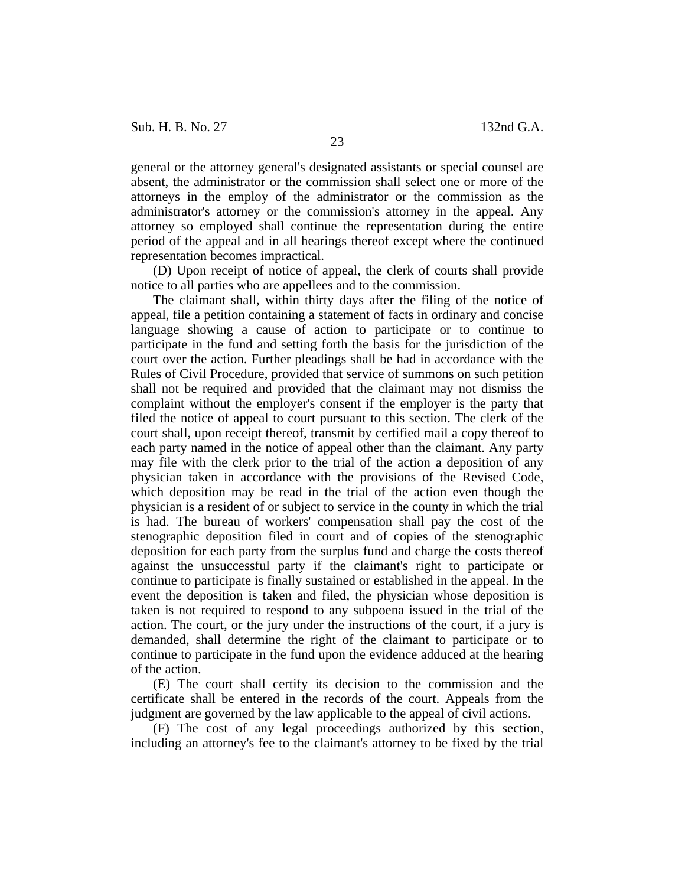general or the attorney general's designated assistants or special counsel are absent, the administrator or the commission shall select one or more of the attorneys in the employ of the administrator or the commission as the administrator's attorney or the commission's attorney in the appeal. Any attorney so employed shall continue the representation during the entire period of the appeal and in all hearings thereof except where the continued representation becomes impractical.

(D) Upon receipt of notice of appeal, the clerk of courts shall provide notice to all parties who are appellees and to the commission.

The claimant shall, within thirty days after the filing of the notice of appeal, file a petition containing a statement of facts in ordinary and concise language showing a cause of action to participate or to continue to participate in the fund and setting forth the basis for the jurisdiction of the court over the action. Further pleadings shall be had in accordance with the Rules of Civil Procedure, provided that service of summons on such petition shall not be required and provided that the claimant may not dismiss the complaint without the employer's consent if the employer is the party that filed the notice of appeal to court pursuant to this section. The clerk of the court shall, upon receipt thereof, transmit by certified mail a copy thereof to each party named in the notice of appeal other than the claimant. Any party may file with the clerk prior to the trial of the action a deposition of any physician taken in accordance with the provisions of the Revised Code, which deposition may be read in the trial of the action even though the physician is a resident of or subject to service in the county in which the trial is had. The bureau of workers' compensation shall pay the cost of the stenographic deposition filed in court and of copies of the stenographic deposition for each party from the surplus fund and charge the costs thereof against the unsuccessful party if the claimant's right to participate or continue to participate is finally sustained or established in the appeal. In the event the deposition is taken and filed, the physician whose deposition is taken is not required to respond to any subpoena issued in the trial of the action. The court, or the jury under the instructions of the court, if a jury is demanded, shall determine the right of the claimant to participate or to continue to participate in the fund upon the evidence adduced at the hearing of the action.

(E) The court shall certify its decision to the commission and the certificate shall be entered in the records of the court. Appeals from the judgment are governed by the law applicable to the appeal of civil actions.

(F) The cost of any legal proceedings authorized by this section, including an attorney's fee to the claimant's attorney to be fixed by the trial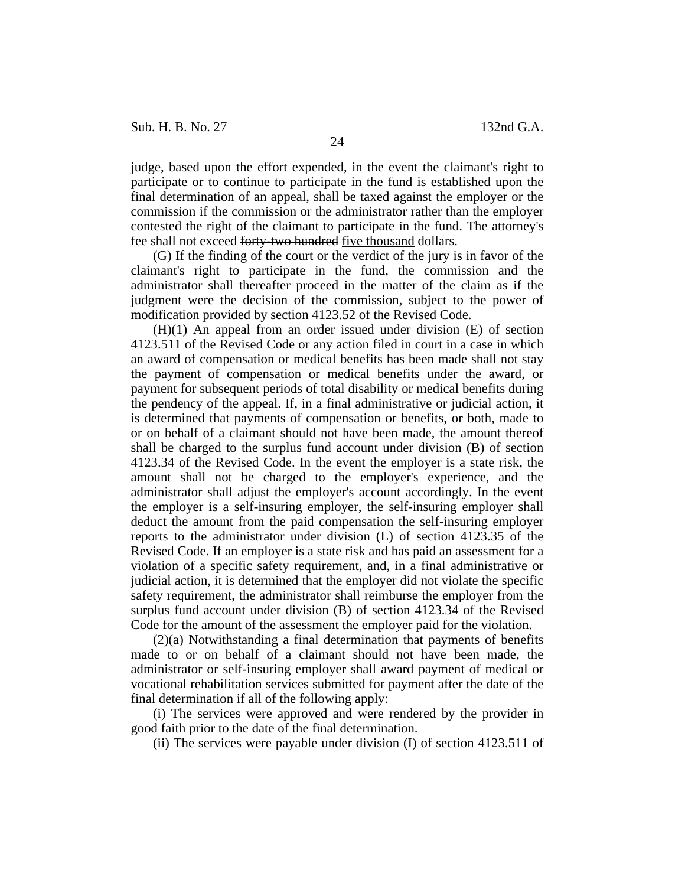judge, based upon the effort expended, in the event the claimant's right to participate or to continue to participate in the fund is established upon the final determination of an appeal, shall be taxed against the employer or the commission if the commission or the administrator rather than the employer contested the right of the claimant to participate in the fund. The attorney's fee shall not exceed forty-two hundred five thousand dollars.

(G) If the finding of the court or the verdict of the jury is in favor of the claimant's right to participate in the fund, the commission and the administrator shall thereafter proceed in the matter of the claim as if the judgment were the decision of the commission, subject to the power of modification provided by section 4123.52 of the Revised Code.

(H)(1) An appeal from an order issued under division (E) of section 4123.511 of the Revised Code or any action filed in court in a case in which an award of compensation or medical benefits has been made shall not stay the payment of compensation or medical benefits under the award, or payment for subsequent periods of total disability or medical benefits during the pendency of the appeal. If, in a final administrative or judicial action, it is determined that payments of compensation or benefits, or both, made to or on behalf of a claimant should not have been made, the amount thereof shall be charged to the surplus fund account under division (B) of section 4123.34 of the Revised Code. In the event the employer is a state risk, the amount shall not be charged to the employer's experience, and the administrator shall adjust the employer's account accordingly. In the event the employer is a self-insuring employer, the self-insuring employer shall deduct the amount from the paid compensation the self-insuring employer reports to the administrator under division (L) of section 4123.35 of the Revised Code. If an employer is a state risk and has paid an assessment for a violation of a specific safety requirement, and, in a final administrative or judicial action, it is determined that the employer did not violate the specific safety requirement, the administrator shall reimburse the employer from the surplus fund account under division (B) of section 4123.34 of the Revised Code for the amount of the assessment the employer paid for the violation.

(2)(a) Notwithstanding a final determination that payments of benefits made to or on behalf of a claimant should not have been made, the administrator or self-insuring employer shall award payment of medical or vocational rehabilitation services submitted for payment after the date of the final determination if all of the following apply:

(i) The services were approved and were rendered by the provider in good faith prior to the date of the final determination.

(ii) The services were payable under division (I) of section 4123.511 of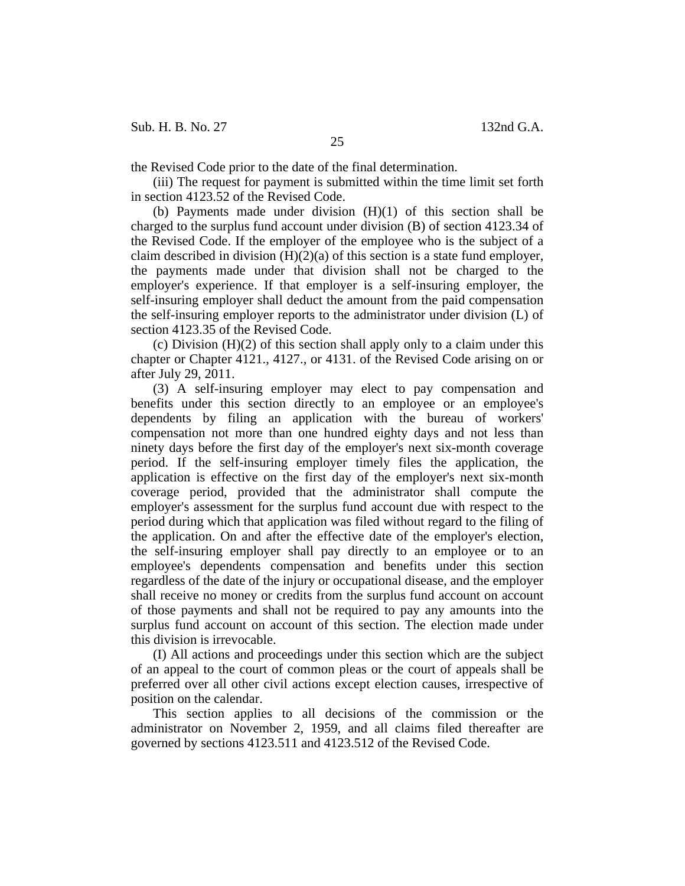25

the Revised Code prior to the date of the final determination.

(iii) The request for payment is submitted within the time limit set forth in section 4123.52 of the Revised Code.

(b) Payments made under division (H)(1) of this section shall be charged to the surplus fund account under division (B) of section 4123.34 of the Revised Code. If the employer of the employee who is the subject of a claim described in division  $(H)(2)(a)$  of this section is a state fund employer, the payments made under that division shall not be charged to the employer's experience. If that employer is a self-insuring employer, the self-insuring employer shall deduct the amount from the paid compensation the self-insuring employer reports to the administrator under division (L) of section 4123.35 of the Revised Code.

(c) Division (H)(2) of this section shall apply only to a claim under this chapter or Chapter 4121., 4127., or 4131. of the Revised Code arising on or after July 29, 2011.

(3) A self-insuring employer may elect to pay compensation and benefits under this section directly to an employee or an employee's dependents by filing an application with the bureau of workers' compensation not more than one hundred eighty days and not less than ninety days before the first day of the employer's next six-month coverage period. If the self-insuring employer timely files the application, the application is effective on the first day of the employer's next six-month coverage period, provided that the administrator shall compute the employer's assessment for the surplus fund account due with respect to the period during which that application was filed without regard to the filing of the application. On and after the effective date of the employer's election, the self-insuring employer shall pay directly to an employee or to an employee's dependents compensation and benefits under this section regardless of the date of the injury or occupational disease, and the employer shall receive no money or credits from the surplus fund account on account of those payments and shall not be required to pay any amounts into the surplus fund account on account of this section. The election made under this division is irrevocable.

(I) All actions and proceedings under this section which are the subject of an appeal to the court of common pleas or the court of appeals shall be preferred over all other civil actions except election causes, irrespective of position on the calendar.

This section applies to all decisions of the commission or the administrator on November 2, 1959, and all claims filed thereafter are governed by sections 4123.511 and 4123.512 of the Revised Code.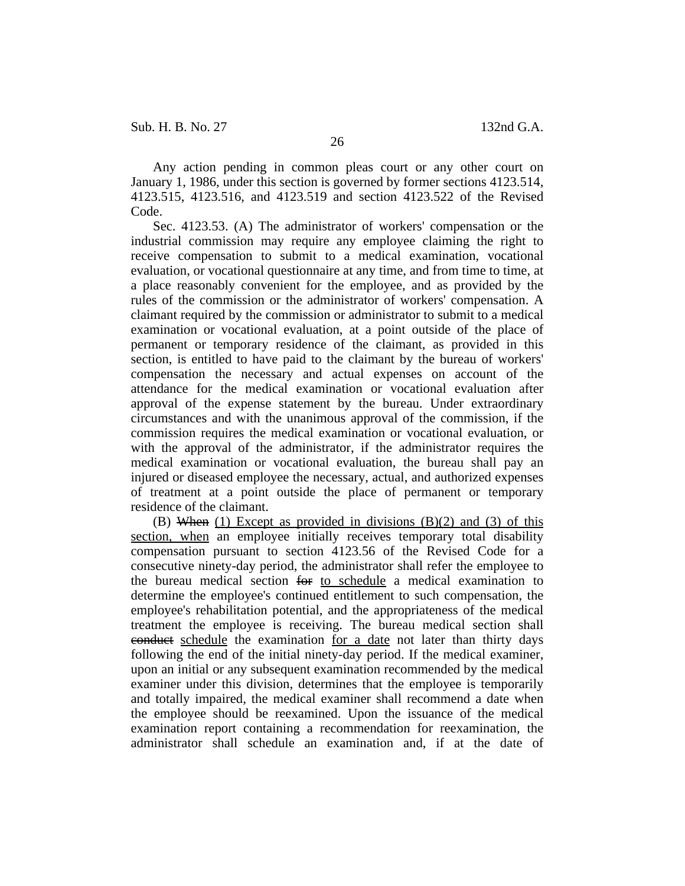Any action pending in common pleas court or any other court on January 1, 1986, under this section is governed by former sections 4123.514, 4123.515, 4123.516, and 4123.519 and section 4123.522 of the Revised Code.

Sec. 4123.53. (A) The administrator of workers' compensation or the industrial commission may require any employee claiming the right to receive compensation to submit to a medical examination, vocational evaluation, or vocational questionnaire at any time, and from time to time, at a place reasonably convenient for the employee, and as provided by the rules of the commission or the administrator of workers' compensation. A claimant required by the commission or administrator to submit to a medical examination or vocational evaluation, at a point outside of the place of permanent or temporary residence of the claimant, as provided in this section, is entitled to have paid to the claimant by the bureau of workers' compensation the necessary and actual expenses on account of the attendance for the medical examination or vocational evaluation after approval of the expense statement by the bureau. Under extraordinary circumstances and with the unanimous approval of the commission, if the commission requires the medical examination or vocational evaluation, or with the approval of the administrator, if the administrator requires the medical examination or vocational evaluation, the bureau shall pay an injured or diseased employee the necessary, actual, and authorized expenses of treatment at a point outside the place of permanent or temporary residence of the claimant.

(B) When (1) Except as provided in divisions  $(B)(2)$  and (3) of this section, when an employee initially receives temporary total disability compensation pursuant to section 4123.56 of the Revised Code for a consecutive ninety-day period, the administrator shall refer the employee to the bureau medical section for to schedule a medical examination to determine the employee's continued entitlement to such compensation, the employee's rehabilitation potential, and the appropriateness of the medical treatment the employee is receiving. The bureau medical section shall conduct schedule the examination for a date not later than thirty days following the end of the initial ninety-day period. If the medical examiner, upon an initial or any subsequent examination recommended by the medical examiner under this division, determines that the employee is temporarily and totally impaired, the medical examiner shall recommend a date when the employee should be reexamined. Upon the issuance of the medical examination report containing a recommendation for reexamination, the administrator shall schedule an examination and, if at the date of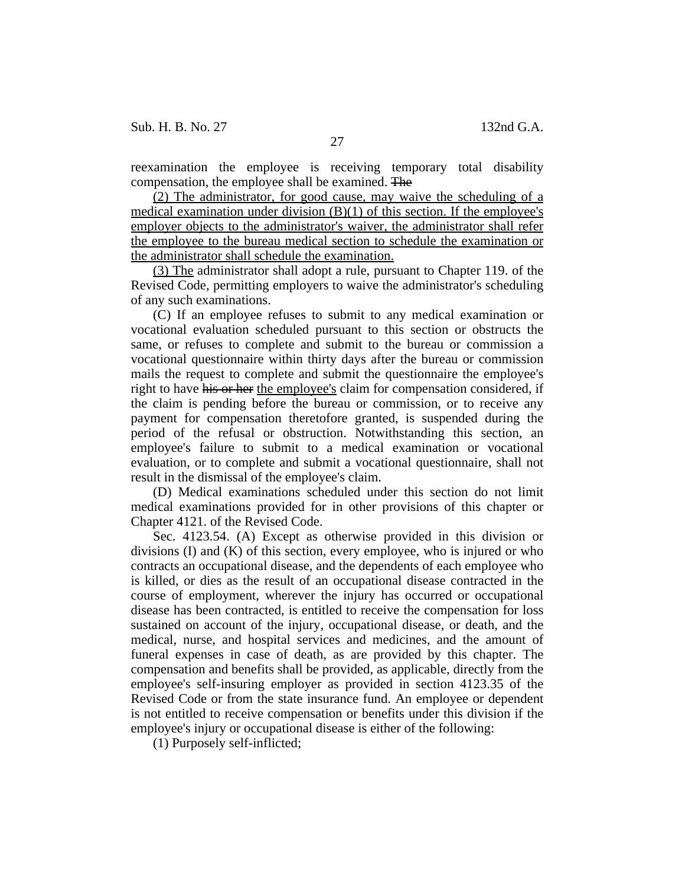27

reexamination the employee is receiving temporary total disability compensation, the employee shall be examined. The

(2) The administrator, for good cause, may waive the scheduling of a medical examination under division  $(B)(1)$  of this section. If the employee's employer objects to the administrator's waiver, the administrator shall refer the employee to the bureau medical section to schedule the examination or the administrator shall schedule the examination.

(3) The administrator shall adopt a rule, pursuant to Chapter 119. of the Revised Code, permitting employers to waive the administrator's scheduling of any such examinations.

(C) If an employee refuses to submit to any medical examination or vocational evaluation scheduled pursuant to this section or obstructs the same, or refuses to complete and submit to the bureau or commission a vocational questionnaire within thirty days after the bureau or commission mails the request to complete and submit the questionnaire the employee's right to have his or her the employee's claim for compensation considered, if the claim is pending before the bureau or commission, or to receive any payment for compensation theretofore granted, is suspended during the period of the refusal or obstruction. Notwithstanding this section, an employee's failure to submit to a medical examination or vocational evaluation, or to complete and submit a vocational questionnaire, shall not result in the dismissal of the employee's claim.

(D) Medical examinations scheduled under this section do not limit medical examinations provided for in other provisions of this chapter or Chapter 4121. of the Revised Code.

Sec. 4123.54. (A) Except as otherwise provided in this division or divisions (I) and (K) of this section, every employee, who is injured or who contracts an occupational disease, and the dependents of each employee who is killed, or dies as the result of an occupational disease contracted in the course of employment, wherever the injury has occurred or occupational disease has been contracted, is entitled to receive the compensation for loss sustained on account of the injury, occupational disease, or death, and the medical, nurse, and hospital services and medicines, and the amount of funeral expenses in case of death, as are provided by this chapter. The compensation and benefits shall be provided, as applicable, directly from the employee's self-insuring employer as provided in section 4123.35 of the Revised Code or from the state insurance fund. An employee or dependent is not entitled to receive compensation or benefits under this division if the employee's injury or occupational disease is either of the following:

(1) Purposely self-inflicted;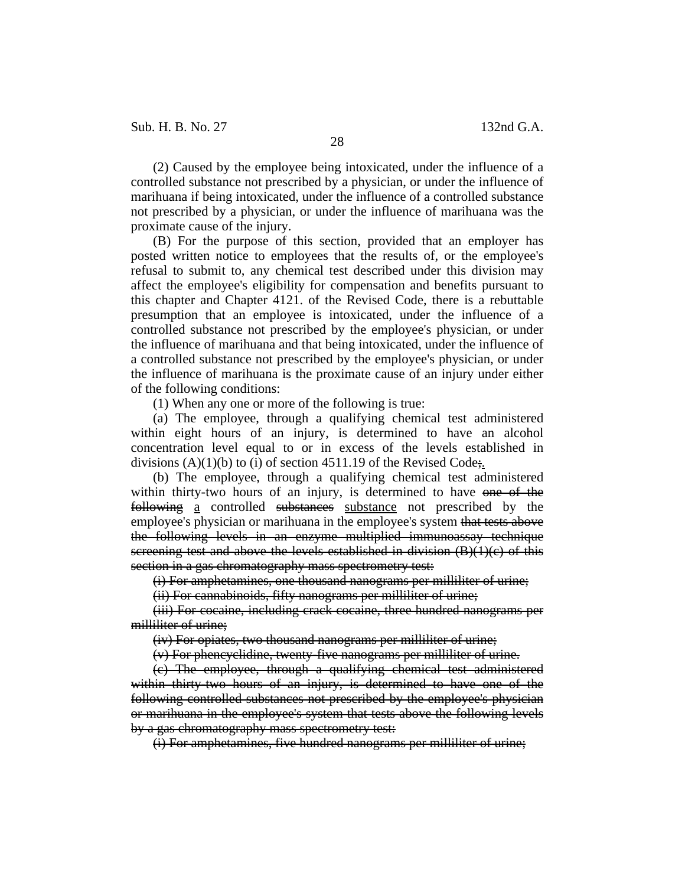(2) Caused by the employee being intoxicated, under the influence of a controlled substance not prescribed by a physician, or under the influence of marihuana if being intoxicated, under the influence of a controlled substance not prescribed by a physician, or under the influence of marihuana was the proximate cause of the injury.

(B) For the purpose of this section, provided that an employer has posted written notice to employees that the results of, or the employee's refusal to submit to, any chemical test described under this division may affect the employee's eligibility for compensation and benefits pursuant to this chapter and Chapter 4121. of the Revised Code, there is a rebuttable presumption that an employee is intoxicated, under the influence of a controlled substance not prescribed by the employee's physician, or under the influence of marihuana and that being intoxicated, under the influence of a controlled substance not prescribed by the employee's physician, or under the influence of marihuana is the proximate cause of an injury under either of the following conditions:

(1) When any one or more of the following is true:

(a) The employee, through a qualifying chemical test administered within eight hours of an injury, is determined to have an alcohol concentration level equal to or in excess of the levels established in divisions  $(A)(1)(b)$  to (i) of section 4511.19 of the Revised Code;

(b) The employee, through a qualifying chemical test administered within thirty-two hours of an injury, is determined to have one of the following a controlled substances substance not prescribed by the employee's physician or marihuana in the employee's system that tests above the following levels in an enzyme multiplied immunoassay technique screening test and above the levels established in division  $(B)(1)(c)$  of this section in a gas chromatography mass spectrometry test:

(i) For amphetamines, one thousand nanograms per milliliter of urine;

(ii) For cannabinoids, fifty nanograms per milliliter of urine;

(iii) For cocaine, including crack cocaine, three hundred nanograms per milliliter of urine;

(iv) For opiates, two thousand nanograms per milliliter of urine;

(v) For phencyclidine, twenty-five nanograms per milliliter of urine.

(c) The employee, through a qualifying chemical test administered within thirty-two hours of an injury, is determined to have one of the following controlled substances not prescribed by the employee's physician or marihuana in the employee's system that tests above the following levels by a gas chromatography mass spectrometry test:

(i) For amphetamines, five hundred nanograms per milliliter of urine;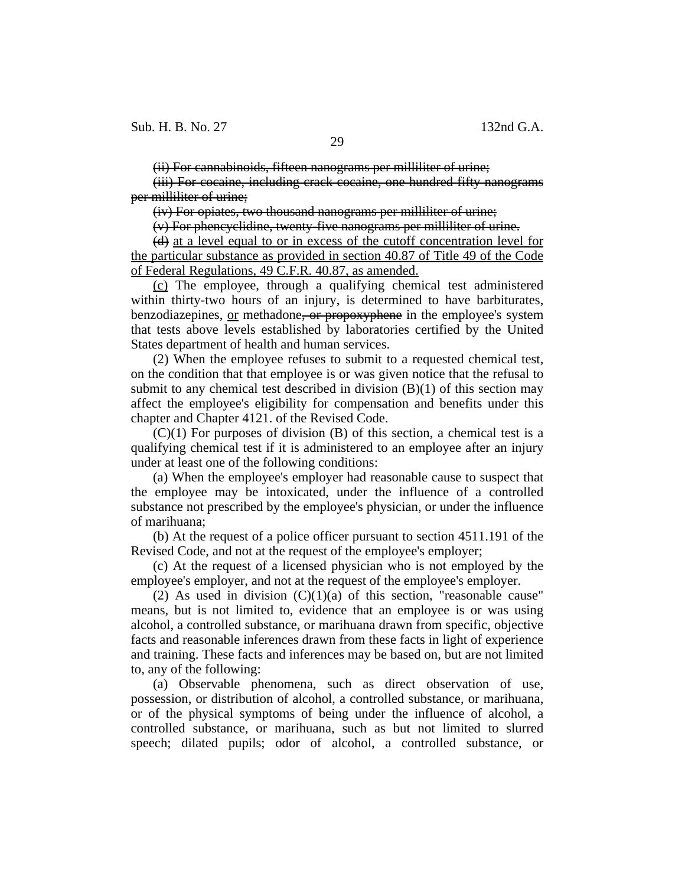(ii) For cannabinoids, fifteen nanograms per milliliter of urine;

(iii) For cocaine, including crack cocaine, one hundred fifty nanograms per milliliter of urine;

(iv) For opiates, two thousand nanograms per milliliter of urine;

(v) For phencyclidine, twenty-five nanograms per milliliter of urine.

(d) at a level equal to or in excess of the cutoff concentration level for the particular substance as provided in section 40.87 of Title 49 of the Code of Federal Regulations, 49 C.F.R. 40.87, as amended.

(c) The employee, through a qualifying chemical test administered within thirty-two hours of an injury, is determined to have barbiturates, benzodiazepines, or methadone, or propoxyphene in the employee's system that tests above levels established by laboratories certified by the United States department of health and human services.

(2) When the employee refuses to submit to a requested chemical test, on the condition that that employee is or was given notice that the refusal to submit to any chemical test described in division (B)(1) of this section may affect the employee's eligibility for compensation and benefits under this chapter and Chapter 4121. of the Revised Code.

 $(C)(1)$  For purposes of division  $(B)$  of this section, a chemical test is a qualifying chemical test if it is administered to an employee after an injury under at least one of the following conditions:

(a) When the employee's employer had reasonable cause to suspect that the employee may be intoxicated, under the influence of a controlled substance not prescribed by the employee's physician, or under the influence of marihuana;

(b) At the request of a police officer pursuant to section 4511.191 of the Revised Code, and not at the request of the employee's employer;

(c) At the request of a licensed physician who is not employed by the employee's employer, and not at the request of the employee's employer.

(2) As used in division  $(C)(1)(a)$  of this section, "reasonable cause" means, but is not limited to, evidence that an employee is or was using alcohol, a controlled substance, or marihuana drawn from specific, objective facts and reasonable inferences drawn from these facts in light of experience and training. These facts and inferences may be based on, but are not limited to, any of the following:

(a) Observable phenomena, such as direct observation of use, possession, or distribution of alcohol, a controlled substance, or marihuana, or of the physical symptoms of being under the influence of alcohol, a controlled substance, or marihuana, such as but not limited to slurred speech; dilated pupils; odor of alcohol, a controlled substance, or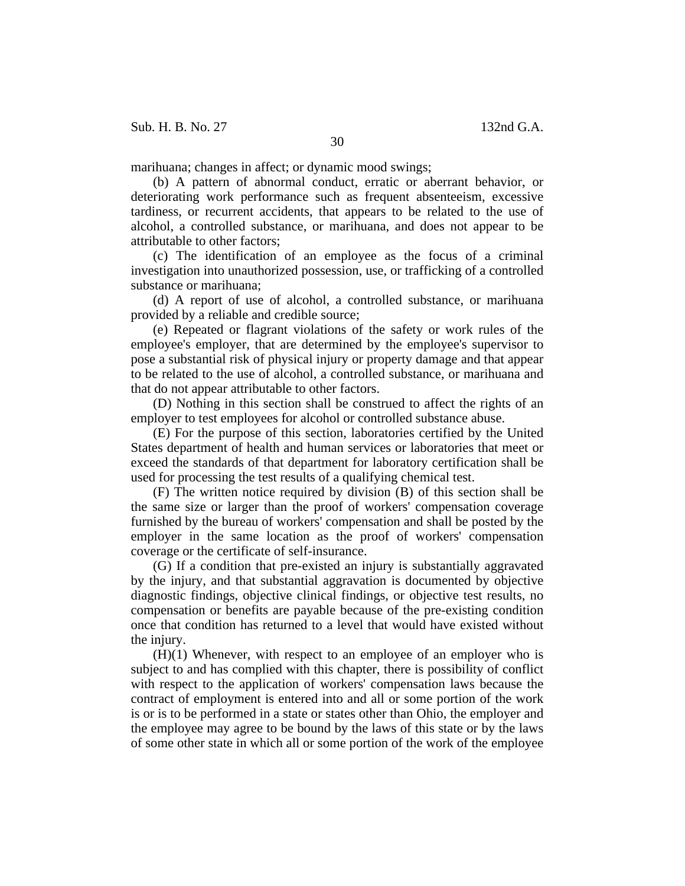marihuana; changes in affect; or dynamic mood swings;

(b) A pattern of abnormal conduct, erratic or aberrant behavior, or deteriorating work performance such as frequent absenteeism, excessive tardiness, or recurrent accidents, that appears to be related to the use of alcohol, a controlled substance, or marihuana, and does not appear to be attributable to other factors;

(c) The identification of an employee as the focus of a criminal investigation into unauthorized possession, use, or trafficking of a controlled substance or marihuana;

(d) A report of use of alcohol, a controlled substance, or marihuana provided by a reliable and credible source;

(e) Repeated or flagrant violations of the safety or work rules of the employee's employer, that are determined by the employee's supervisor to pose a substantial risk of physical injury or property damage and that appear to be related to the use of alcohol, a controlled substance, or marihuana and that do not appear attributable to other factors.

(D) Nothing in this section shall be construed to affect the rights of an employer to test employees for alcohol or controlled substance abuse.

(E) For the purpose of this section, laboratories certified by the United States department of health and human services or laboratories that meet or exceed the standards of that department for laboratory certification shall be used for processing the test results of a qualifying chemical test.

(F) The written notice required by division (B) of this section shall be the same size or larger than the proof of workers' compensation coverage furnished by the bureau of workers' compensation and shall be posted by the employer in the same location as the proof of workers' compensation coverage or the certificate of self-insurance.

(G) If a condition that pre-existed an injury is substantially aggravated by the injury, and that substantial aggravation is documented by objective diagnostic findings, objective clinical findings, or objective test results, no compensation or benefits are payable because of the pre-existing condition once that condition has returned to a level that would have existed without the injury.

 $(H)(1)$  Whenever, with respect to an employee of an employer who is subject to and has complied with this chapter, there is possibility of conflict with respect to the application of workers' compensation laws because the contract of employment is entered into and all or some portion of the work is or is to be performed in a state or states other than Ohio, the employer and the employee may agree to be bound by the laws of this state or by the laws of some other state in which all or some portion of the work of the employee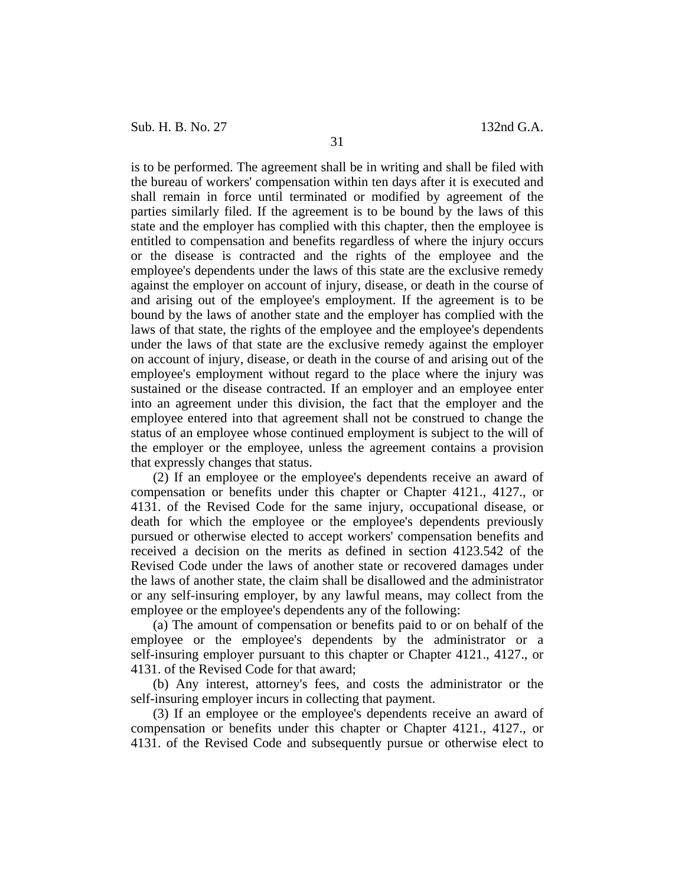is to be performed. The agreement shall be in writing and shall be filed with the bureau of workers' compensation within ten days after it is executed and shall remain in force until terminated or modified by agreement of the parties similarly filed. If the agreement is to be bound by the laws of this state and the employer has complied with this chapter, then the employee is entitled to compensation and benefits regardless of where the injury occurs or the disease is contracted and the rights of the employee and the employee's dependents under the laws of this state are the exclusive remedy against the employer on account of injury, disease, or death in the course of and arising out of the employee's employment. If the agreement is to be bound by the laws of another state and the employer has complied with the laws of that state, the rights of the employee and the employee's dependents under the laws of that state are the exclusive remedy against the employer on account of injury, disease, or death in the course of and arising out of the employee's employment without regard to the place where the injury was sustained or the disease contracted. If an employer and an employee enter into an agreement under this division, the fact that the employer and the employee entered into that agreement shall not be construed to change the status of an employee whose continued employment is subject to the will of the employer or the employee, unless the agreement contains a provision that expressly changes that status.

(2) If an employee or the employee's dependents receive an award of compensation or benefits under this chapter or Chapter 4121., 4127., or 4131. of the Revised Code for the same injury, occupational disease, or death for which the employee or the employee's dependents previously pursued or otherwise elected to accept workers' compensation benefits and received a decision on the merits as defined in section 4123.542 of the Revised Code under the laws of another state or recovered damages under the laws of another state, the claim shall be disallowed and the administrator or any self-insuring employer, by any lawful means, may collect from the employee or the employee's dependents any of the following:

(a) The amount of compensation or benefits paid to or on behalf of the employee or the employee's dependents by the administrator or a self-insuring employer pursuant to this chapter or Chapter 4121., 4127., or 4131. of the Revised Code for that award;

(b) Any interest, attorney's fees, and costs the administrator or the self-insuring employer incurs in collecting that payment.

(3) If an employee or the employee's dependents receive an award of compensation or benefits under this chapter or Chapter 4121., 4127., or 4131. of the Revised Code and subsequently pursue or otherwise elect to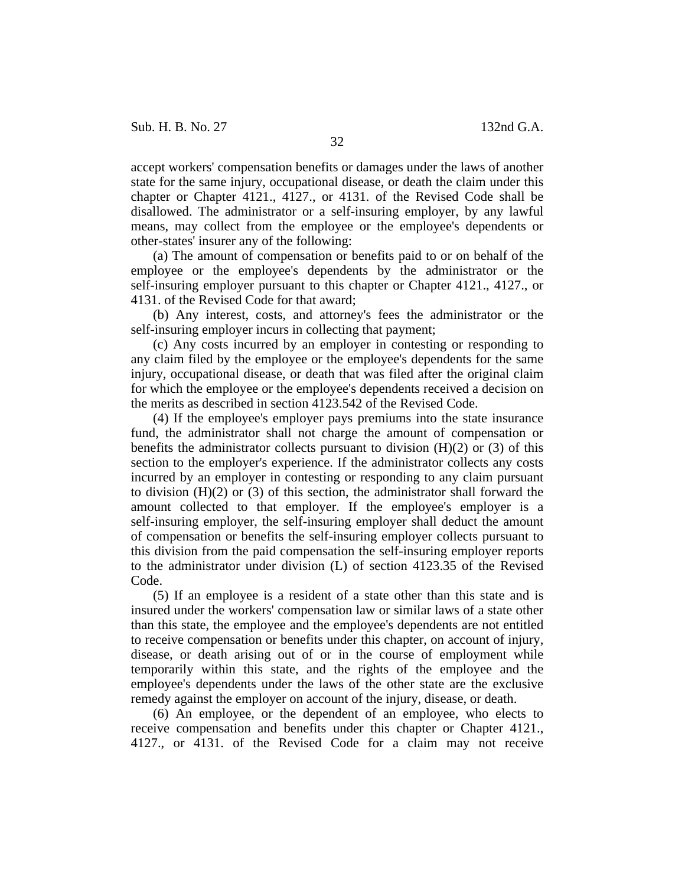accept workers' compensation benefits or damages under the laws of another state for the same injury, occupational disease, or death the claim under this chapter or Chapter 4121., 4127., or 4131. of the Revised Code shall be disallowed. The administrator or a self-insuring employer, by any lawful means, may collect from the employee or the employee's dependents or other-states' insurer any of the following:

(a) The amount of compensation or benefits paid to or on behalf of the employee or the employee's dependents by the administrator or the self-insuring employer pursuant to this chapter or Chapter 4121., 4127., or 4131. of the Revised Code for that award;

(b) Any interest, costs, and attorney's fees the administrator or the self-insuring employer incurs in collecting that payment;

(c) Any costs incurred by an employer in contesting or responding to any claim filed by the employee or the employee's dependents for the same injury, occupational disease, or death that was filed after the original claim for which the employee or the employee's dependents received a decision on the merits as described in section 4123.542 of the Revised Code.

(4) If the employee's employer pays premiums into the state insurance fund, the administrator shall not charge the amount of compensation or benefits the administrator collects pursuant to division  $(H)(2)$  or  $(3)$  of this section to the employer's experience. If the administrator collects any costs incurred by an employer in contesting or responding to any claim pursuant to division (H)(2) or (3) of this section, the administrator shall forward the amount collected to that employer. If the employee's employer is a self-insuring employer, the self-insuring employer shall deduct the amount of compensation or benefits the self-insuring employer collects pursuant to this division from the paid compensation the self-insuring employer reports to the administrator under division (L) of section 4123.35 of the Revised Code.

(5) If an employee is a resident of a state other than this state and is insured under the workers' compensation law or similar laws of a state other than this state, the employee and the employee's dependents are not entitled to receive compensation or benefits under this chapter, on account of injury, disease, or death arising out of or in the course of employment while temporarily within this state, and the rights of the employee and the employee's dependents under the laws of the other state are the exclusive remedy against the employer on account of the injury, disease, or death.

(6) An employee, or the dependent of an employee, who elects to receive compensation and benefits under this chapter or Chapter 4121., 4127., or 4131. of the Revised Code for a claim may not receive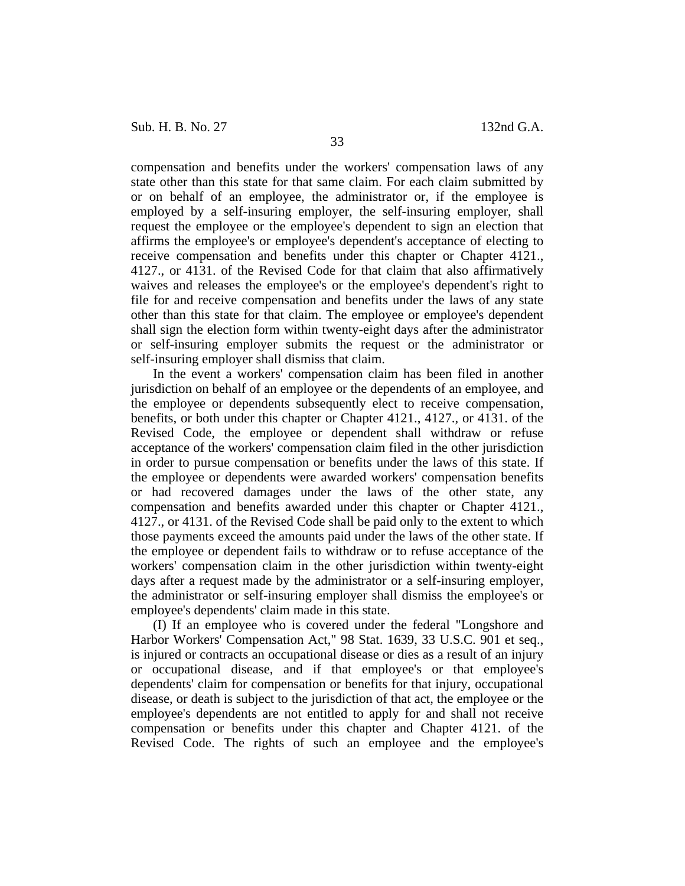33

compensation and benefits under the workers' compensation laws of any state other than this state for that same claim. For each claim submitted by or on behalf of an employee, the administrator or, if the employee is employed by a self-insuring employer, the self-insuring employer, shall request the employee or the employee's dependent to sign an election that affirms the employee's or employee's dependent's acceptance of electing to receive compensation and benefits under this chapter or Chapter 4121., 4127., or 4131. of the Revised Code for that claim that also affirmatively waives and releases the employee's or the employee's dependent's right to file for and receive compensation and benefits under the laws of any state other than this state for that claim. The employee or employee's dependent shall sign the election form within twenty-eight days after the administrator or self-insuring employer submits the request or the administrator or self-insuring employer shall dismiss that claim.

In the event a workers' compensation claim has been filed in another jurisdiction on behalf of an employee or the dependents of an employee, and the employee or dependents subsequently elect to receive compensation, benefits, or both under this chapter or Chapter 4121., 4127., or 4131. of the Revised Code, the employee or dependent shall withdraw or refuse acceptance of the workers' compensation claim filed in the other jurisdiction in order to pursue compensation or benefits under the laws of this state. If the employee or dependents were awarded workers' compensation benefits or had recovered damages under the laws of the other state, any compensation and benefits awarded under this chapter or Chapter 4121., 4127., or 4131. of the Revised Code shall be paid only to the extent to which those payments exceed the amounts paid under the laws of the other state. If the employee or dependent fails to withdraw or to refuse acceptance of the workers' compensation claim in the other jurisdiction within twenty-eight days after a request made by the administrator or a self-insuring employer, the administrator or self-insuring employer shall dismiss the employee's or employee's dependents' claim made in this state.

(I) If an employee who is covered under the federal "Longshore and Harbor Workers' Compensation Act," 98 Stat. 1639, 33 U.S.C. 901 et seq., is injured or contracts an occupational disease or dies as a result of an injury or occupational disease, and if that employee's or that employee's dependents' claim for compensation or benefits for that injury, occupational disease, or death is subject to the jurisdiction of that act, the employee or the employee's dependents are not entitled to apply for and shall not receive compensation or benefits under this chapter and Chapter 4121. of the Revised Code. The rights of such an employee and the employee's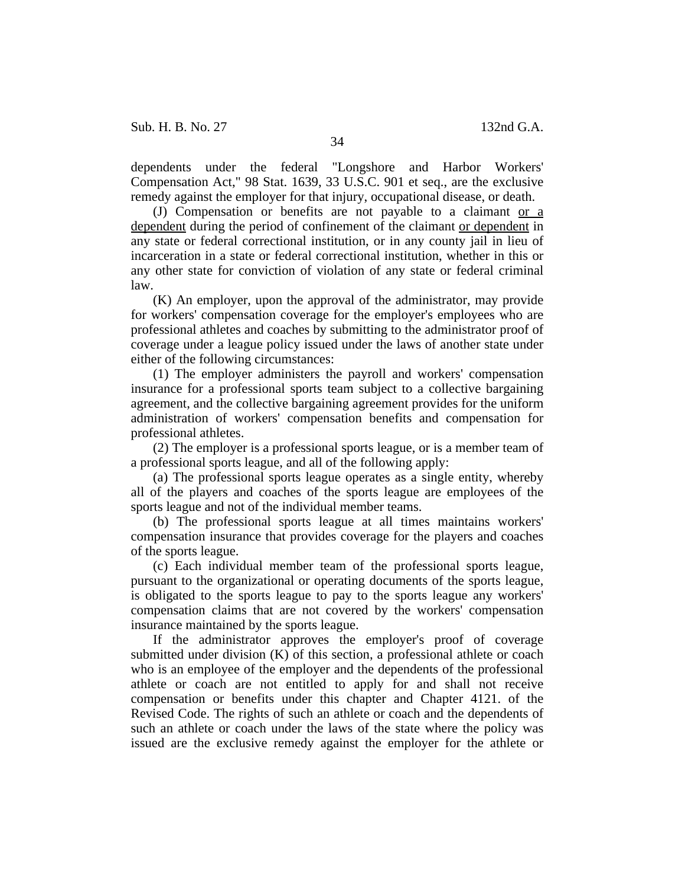dependents under the federal "Longshore and Harbor Workers' Compensation Act," 98 Stat. 1639, 33 U.S.C. 901 et seq., are the exclusive remedy against the employer for that injury, occupational disease, or death.

(J) Compensation or benefits are not payable to a claimant or a dependent during the period of confinement of the claimant or dependent in any state or federal correctional institution, or in any county jail in lieu of incarceration in a state or federal correctional institution, whether in this or any other state for conviction of violation of any state or federal criminal law.

(K) An employer, upon the approval of the administrator, may provide for workers' compensation coverage for the employer's employees who are professional athletes and coaches by submitting to the administrator proof of coverage under a league policy issued under the laws of another state under either of the following circumstances:

(1) The employer administers the payroll and workers' compensation insurance for a professional sports team subject to a collective bargaining agreement, and the collective bargaining agreement provides for the uniform administration of workers' compensation benefits and compensation for professional athletes.

(2) The employer is a professional sports league, or is a member team of a professional sports league, and all of the following apply:

(a) The professional sports league operates as a single entity, whereby all of the players and coaches of the sports league are employees of the sports league and not of the individual member teams.

(b) The professional sports league at all times maintains workers' compensation insurance that provides coverage for the players and coaches of the sports league.

(c) Each individual member team of the professional sports league, pursuant to the organizational or operating documents of the sports league, is obligated to the sports league to pay to the sports league any workers' compensation claims that are not covered by the workers' compensation insurance maintained by the sports league.

If the administrator approves the employer's proof of coverage submitted under division (K) of this section, a professional athlete or coach who is an employee of the employer and the dependents of the professional athlete or coach are not entitled to apply for and shall not receive compensation or benefits under this chapter and Chapter 4121. of the Revised Code. The rights of such an athlete or coach and the dependents of such an athlete or coach under the laws of the state where the policy was issued are the exclusive remedy against the employer for the athlete or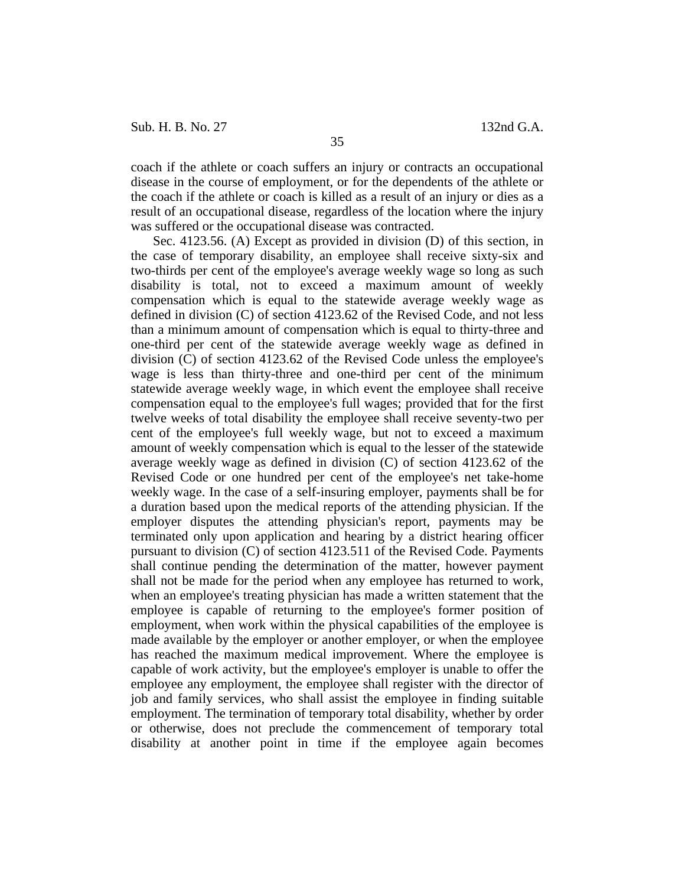coach if the athlete or coach suffers an injury or contracts an occupational disease in the course of employment, or for the dependents of the athlete or the coach if the athlete or coach is killed as a result of an injury or dies as a result of an occupational disease, regardless of the location where the injury was suffered or the occupational disease was contracted.

Sec. 4123.56. (A) Except as provided in division (D) of this section, in the case of temporary disability, an employee shall receive sixty-six and two-thirds per cent of the employee's average weekly wage so long as such disability is total, not to exceed a maximum amount of weekly compensation which is equal to the statewide average weekly wage as defined in division (C) of section 4123.62 of the Revised Code, and not less than a minimum amount of compensation which is equal to thirty-three and one-third per cent of the statewide average weekly wage as defined in division (C) of section 4123.62 of the Revised Code unless the employee's wage is less than thirty-three and one-third per cent of the minimum statewide average weekly wage, in which event the employee shall receive compensation equal to the employee's full wages; provided that for the first twelve weeks of total disability the employee shall receive seventy-two per cent of the employee's full weekly wage, but not to exceed a maximum amount of weekly compensation which is equal to the lesser of the statewide average weekly wage as defined in division (C) of section 4123.62 of the Revised Code or one hundred per cent of the employee's net take-home weekly wage. In the case of a self-insuring employer, payments shall be for a duration based upon the medical reports of the attending physician. If the employer disputes the attending physician's report, payments may be terminated only upon application and hearing by a district hearing officer pursuant to division (C) of section 4123.511 of the Revised Code. Payments shall continue pending the determination of the matter, however payment shall not be made for the period when any employee has returned to work, when an employee's treating physician has made a written statement that the employee is capable of returning to the employee's former position of employment, when work within the physical capabilities of the employee is made available by the employer or another employer, or when the employee has reached the maximum medical improvement. Where the employee is capable of work activity, but the employee's employer is unable to offer the employee any employment, the employee shall register with the director of job and family services, who shall assist the employee in finding suitable employment. The termination of temporary total disability, whether by order or otherwise, does not preclude the commencement of temporary total disability at another point in time if the employee again becomes

35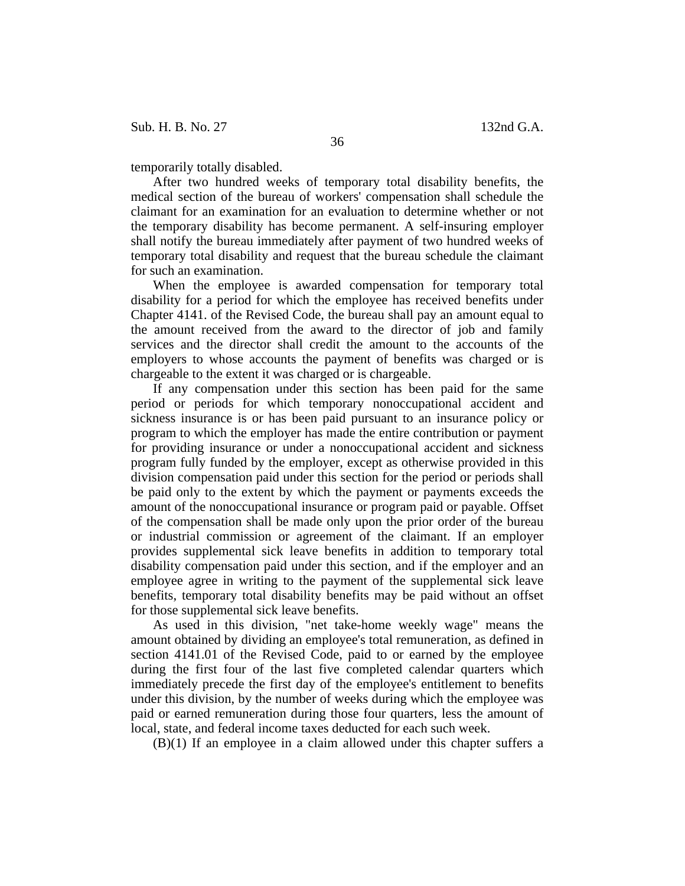temporarily totally disabled.

After two hundred weeks of temporary total disability benefits, the medical section of the bureau of workers' compensation shall schedule the claimant for an examination for an evaluation to determine whether or not the temporary disability has become permanent. A self-insuring employer shall notify the bureau immediately after payment of two hundred weeks of temporary total disability and request that the bureau schedule the claimant for such an examination.

When the employee is awarded compensation for temporary total disability for a period for which the employee has received benefits under Chapter 4141. of the Revised Code, the bureau shall pay an amount equal to the amount received from the award to the director of job and family services and the director shall credit the amount to the accounts of the employers to whose accounts the payment of benefits was charged or is chargeable to the extent it was charged or is chargeable.

If any compensation under this section has been paid for the same period or periods for which temporary nonoccupational accident and sickness insurance is or has been paid pursuant to an insurance policy or program to which the employer has made the entire contribution or payment for providing insurance or under a nonoccupational accident and sickness program fully funded by the employer, except as otherwise provided in this division compensation paid under this section for the period or periods shall be paid only to the extent by which the payment or payments exceeds the amount of the nonoccupational insurance or program paid or payable. Offset of the compensation shall be made only upon the prior order of the bureau or industrial commission or agreement of the claimant. If an employer provides supplemental sick leave benefits in addition to temporary total disability compensation paid under this section, and if the employer and an employee agree in writing to the payment of the supplemental sick leave benefits, temporary total disability benefits may be paid without an offset for those supplemental sick leave benefits.

As used in this division, "net take-home weekly wage" means the amount obtained by dividing an employee's total remuneration, as defined in section 4141.01 of the Revised Code, paid to or earned by the employee during the first four of the last five completed calendar quarters which immediately precede the first day of the employee's entitlement to benefits under this division, by the number of weeks during which the employee was paid or earned remuneration during those four quarters, less the amount of local, state, and federal income taxes deducted for each such week.

(B)(1) If an employee in a claim allowed under this chapter suffers a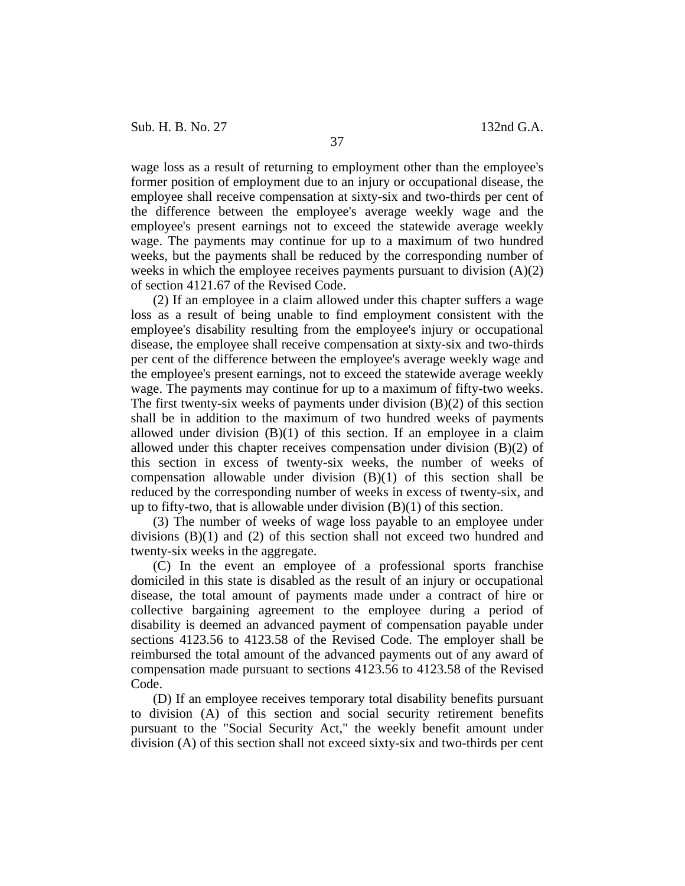wage loss as a result of returning to employment other than the employee's former position of employment due to an injury or occupational disease, the employee shall receive compensation at sixty-six and two-thirds per cent of the difference between the employee's average weekly wage and the employee's present earnings not to exceed the statewide average weekly wage. The payments may continue for up to a maximum of two hundred weeks, but the payments shall be reduced by the corresponding number of weeks in which the employee receives payments pursuant to division (A)(2) of section 4121.67 of the Revised Code.

(2) If an employee in a claim allowed under this chapter suffers a wage loss as a result of being unable to find employment consistent with the employee's disability resulting from the employee's injury or occupational disease, the employee shall receive compensation at sixty-six and two-thirds per cent of the difference between the employee's average weekly wage and the employee's present earnings, not to exceed the statewide average weekly wage. The payments may continue for up to a maximum of fifty-two weeks. The first twenty-six weeks of payments under division (B)(2) of this section shall be in addition to the maximum of two hundred weeks of payments allowed under division  $(B)(1)$  of this section. If an employee in a claim allowed under this chapter receives compensation under division (B)(2) of this section in excess of twenty-six weeks, the number of weeks of compensation allowable under division (B)(1) of this section shall be reduced by the corresponding number of weeks in excess of twenty-six, and up to fifty-two, that is allowable under division (B)(1) of this section.

(3) The number of weeks of wage loss payable to an employee under divisions (B)(1) and (2) of this section shall not exceed two hundred and twenty-six weeks in the aggregate.

(C) In the event an employee of a professional sports franchise domiciled in this state is disabled as the result of an injury or occupational disease, the total amount of payments made under a contract of hire or collective bargaining agreement to the employee during a period of disability is deemed an advanced payment of compensation payable under sections 4123.56 to 4123.58 of the Revised Code. The employer shall be reimbursed the total amount of the advanced payments out of any award of compensation made pursuant to sections 4123.56 to 4123.58 of the Revised Code.

(D) If an employee receives temporary total disability benefits pursuant to division (A) of this section and social security retirement benefits pursuant to the "Social Security Act," the weekly benefit amount under division (A) of this section shall not exceed sixty-six and two-thirds per cent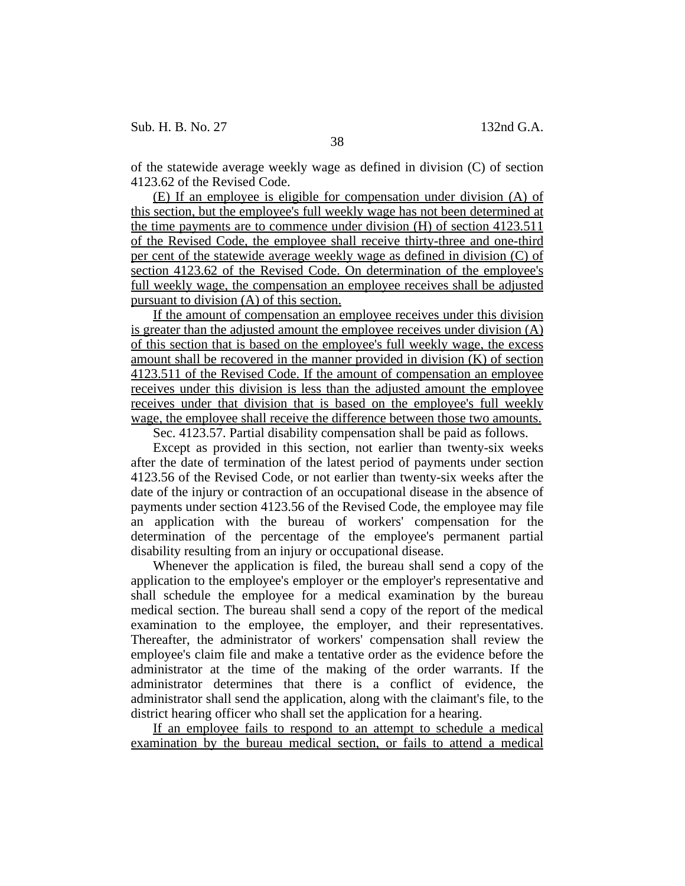of the statewide average weekly wage as defined in division (C) of section 4123.62 of the Revised Code.

(E) If an employee is eligible for compensation under division (A) of this section, but the employee's full weekly wage has not been determined at the time payments are to commence under division (H) of section 4123.511 of the Revised Code, the employee shall receive thirty-three and one-third per cent of the statewide average weekly wage as defined in division (C) of section 4123.62 of the Revised Code. On determination of the employee's full weekly wage, the compensation an employee receives shall be adjusted pursuant to division (A) of this section.

If the amount of compensation an employee receives under this division is greater than the adjusted amount the employee receives under division (A) of this section that is based on the employee's full weekly wage, the excess amount shall be recovered in the manner provided in division (K) of section 4123.511 of the Revised Code. If the amount of compensation an employee receives under this division is less than the adjusted amount the employee receives under that division that is based on the employee's full weekly wage, the employee shall receive the difference between those two amounts.

Sec. 4123.57. Partial disability compensation shall be paid as follows.

Except as provided in this section, not earlier than twenty-six weeks after the date of termination of the latest period of payments under section 4123.56 of the Revised Code, or not earlier than twenty-six weeks after the date of the injury or contraction of an occupational disease in the absence of payments under section 4123.56 of the Revised Code, the employee may file an application with the bureau of workers' compensation for the determination of the percentage of the employee's permanent partial disability resulting from an injury or occupational disease.

Whenever the application is filed, the bureau shall send a copy of the application to the employee's employer or the employer's representative and shall schedule the employee for a medical examination by the bureau medical section. The bureau shall send a copy of the report of the medical examination to the employee, the employer, and their representatives. Thereafter, the administrator of workers' compensation shall review the employee's claim file and make a tentative order as the evidence before the administrator at the time of the making of the order warrants. If the administrator determines that there is a conflict of evidence, the administrator shall send the application, along with the claimant's file, to the district hearing officer who shall set the application for a hearing.

If an employee fails to respond to an attempt to schedule a medical examination by the bureau medical section, or fails to attend a medical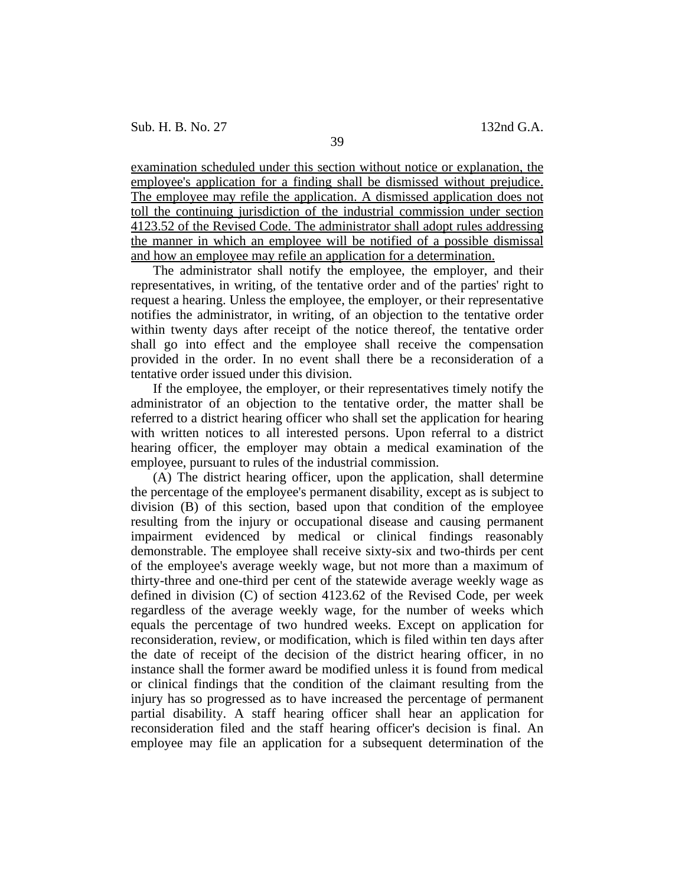examination scheduled under this section without notice or explanation, the employee's application for a finding shall be dismissed without prejudice. The employee may refile the application. A dismissed application does not toll the continuing jurisdiction of the industrial commission under section 4123.52 of the Revised Code. The administrator shall adopt rules addressing the manner in which an employee will be notified of a possible dismissal and how an employee may refile an application for a determination.

The administrator shall notify the employee, the employer, and their representatives, in writing, of the tentative order and of the parties' right to request a hearing. Unless the employee, the employer, or their representative notifies the administrator, in writing, of an objection to the tentative order within twenty days after receipt of the notice thereof, the tentative order shall go into effect and the employee shall receive the compensation provided in the order. In no event shall there be a reconsideration of a tentative order issued under this division.

If the employee, the employer, or their representatives timely notify the administrator of an objection to the tentative order, the matter shall be referred to a district hearing officer who shall set the application for hearing with written notices to all interested persons. Upon referral to a district hearing officer, the employer may obtain a medical examination of the employee, pursuant to rules of the industrial commission.

(A) The district hearing officer, upon the application, shall determine the percentage of the employee's permanent disability, except as is subject to division (B) of this section, based upon that condition of the employee resulting from the injury or occupational disease and causing permanent impairment evidenced by medical or clinical findings reasonably demonstrable. The employee shall receive sixty-six and two-thirds per cent of the employee's average weekly wage, but not more than a maximum of thirty-three and one-third per cent of the statewide average weekly wage as defined in division (C) of section 4123.62 of the Revised Code, per week regardless of the average weekly wage, for the number of weeks which equals the percentage of two hundred weeks. Except on application for reconsideration, review, or modification, which is filed within ten days after the date of receipt of the decision of the district hearing officer, in no instance shall the former award be modified unless it is found from medical or clinical findings that the condition of the claimant resulting from the injury has so progressed as to have increased the percentage of permanent partial disability. A staff hearing officer shall hear an application for reconsideration filed and the staff hearing officer's decision is final. An employee may file an application for a subsequent determination of the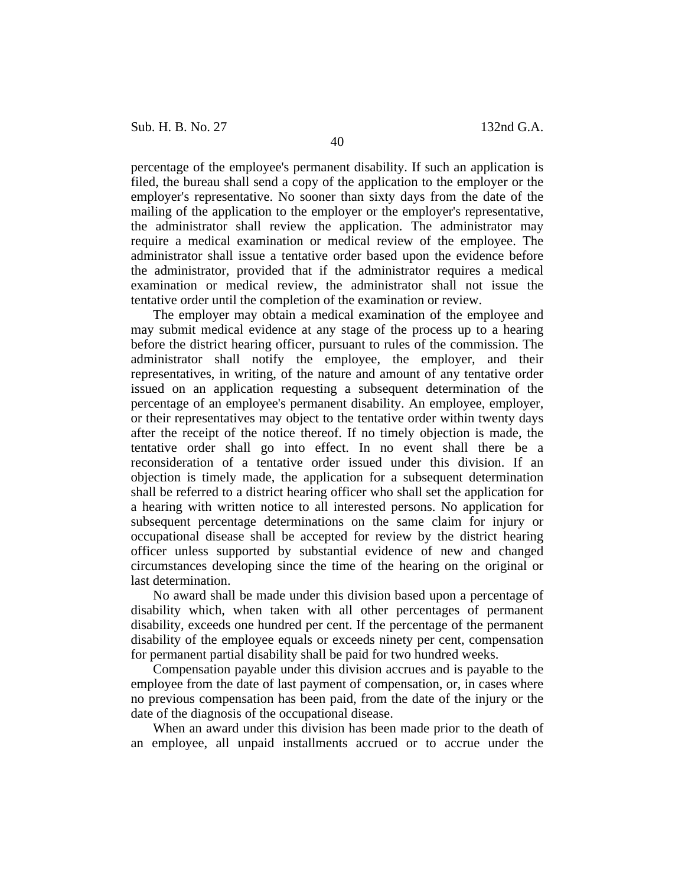percentage of the employee's permanent disability. If such an application is filed, the bureau shall send a copy of the application to the employer or the employer's representative. No sooner than sixty days from the date of the mailing of the application to the employer or the employer's representative, the administrator shall review the application. The administrator may require a medical examination or medical review of the employee. The administrator shall issue a tentative order based upon the evidence before the administrator, provided that if the administrator requires a medical examination or medical review, the administrator shall not issue the tentative order until the completion of the examination or review.

The employer may obtain a medical examination of the employee and may submit medical evidence at any stage of the process up to a hearing before the district hearing officer, pursuant to rules of the commission. The administrator shall notify the employee, the employer, and their representatives, in writing, of the nature and amount of any tentative order issued on an application requesting a subsequent determination of the percentage of an employee's permanent disability. An employee, employer, or their representatives may object to the tentative order within twenty days after the receipt of the notice thereof. If no timely objection is made, the tentative order shall go into effect. In no event shall there be a reconsideration of a tentative order issued under this division. If an objection is timely made, the application for a subsequent determination shall be referred to a district hearing officer who shall set the application for a hearing with written notice to all interested persons. No application for subsequent percentage determinations on the same claim for injury or occupational disease shall be accepted for review by the district hearing officer unless supported by substantial evidence of new and changed circumstances developing since the time of the hearing on the original or last determination.

No award shall be made under this division based upon a percentage of disability which, when taken with all other percentages of permanent disability, exceeds one hundred per cent. If the percentage of the permanent disability of the employee equals or exceeds ninety per cent, compensation for permanent partial disability shall be paid for two hundred weeks.

Compensation payable under this division accrues and is payable to the employee from the date of last payment of compensation, or, in cases where no previous compensation has been paid, from the date of the injury or the date of the diagnosis of the occupational disease.

When an award under this division has been made prior to the death of an employee, all unpaid installments accrued or to accrue under the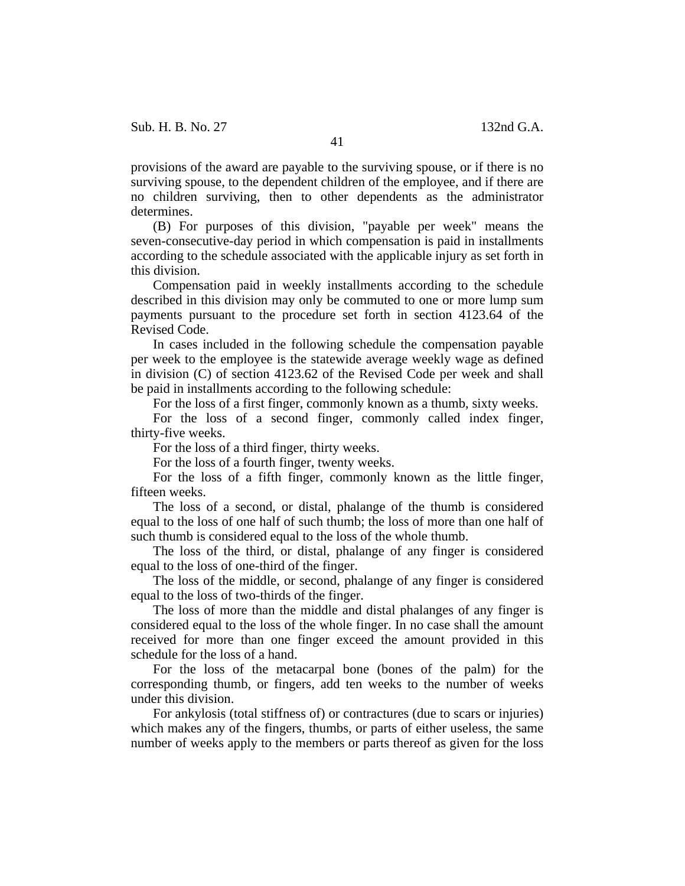provisions of the award are payable to the surviving spouse, or if there is no surviving spouse, to the dependent children of the employee, and if there are no children surviving, then to other dependents as the administrator determines.

(B) For purposes of this division, "payable per week" means the seven-consecutive-day period in which compensation is paid in installments according to the schedule associated with the applicable injury as set forth in this division.

Compensation paid in weekly installments according to the schedule described in this division may only be commuted to one or more lump sum payments pursuant to the procedure set forth in section 4123.64 of the Revised Code.

In cases included in the following schedule the compensation payable per week to the employee is the statewide average weekly wage as defined in division (C) of section 4123.62 of the Revised Code per week and shall be paid in installments according to the following schedule:

For the loss of a first finger, commonly known as a thumb, sixty weeks.

For the loss of a second finger, commonly called index finger, thirty-five weeks.

For the loss of a third finger, thirty weeks.

For the loss of a fourth finger, twenty weeks.

For the loss of a fifth finger, commonly known as the little finger, fifteen weeks.

The loss of a second, or distal, phalange of the thumb is considered equal to the loss of one half of such thumb; the loss of more than one half of such thumb is considered equal to the loss of the whole thumb.

The loss of the third, or distal, phalange of any finger is considered equal to the loss of one-third of the finger.

The loss of the middle, or second, phalange of any finger is considered equal to the loss of two-thirds of the finger.

The loss of more than the middle and distal phalanges of any finger is considered equal to the loss of the whole finger. In no case shall the amount received for more than one finger exceed the amount provided in this schedule for the loss of a hand.

For the loss of the metacarpal bone (bones of the palm) for the corresponding thumb, or fingers, add ten weeks to the number of weeks under this division.

For ankylosis (total stiffness of) or contractures (due to scars or injuries) which makes any of the fingers, thumbs, or parts of either useless, the same number of weeks apply to the members or parts thereof as given for the loss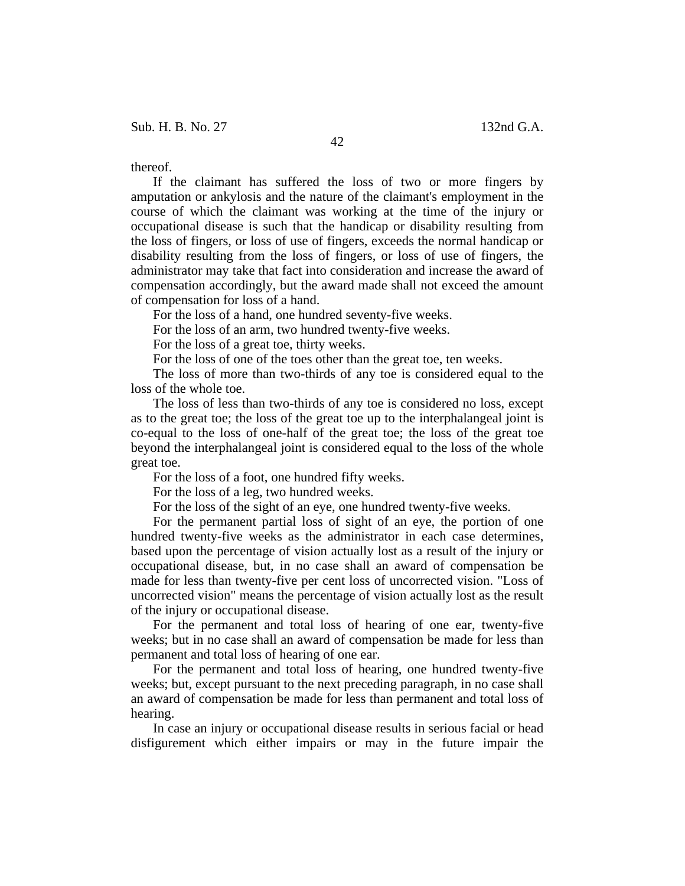thereof.

If the claimant has suffered the loss of two or more fingers by amputation or ankylosis and the nature of the claimant's employment in the course of which the claimant was working at the time of the injury or occupational disease is such that the handicap or disability resulting from the loss of fingers, or loss of use of fingers, exceeds the normal handicap or disability resulting from the loss of fingers, or loss of use of fingers, the administrator may take that fact into consideration and increase the award of compensation accordingly, but the award made shall not exceed the amount of compensation for loss of a hand.

For the loss of a hand, one hundred seventy-five weeks.

For the loss of an arm, two hundred twenty-five weeks.

For the loss of a great toe, thirty weeks.

For the loss of one of the toes other than the great toe, ten weeks.

The loss of more than two-thirds of any toe is considered equal to the loss of the whole toe.

The loss of less than two-thirds of any toe is considered no loss, except as to the great toe; the loss of the great toe up to the interphalangeal joint is co-equal to the loss of one-half of the great toe; the loss of the great toe beyond the interphalangeal joint is considered equal to the loss of the whole great toe.

For the loss of a foot, one hundred fifty weeks.

For the loss of a leg, two hundred weeks.

For the loss of the sight of an eye, one hundred twenty-five weeks.

For the permanent partial loss of sight of an eye, the portion of one hundred twenty-five weeks as the administrator in each case determines, based upon the percentage of vision actually lost as a result of the injury or occupational disease, but, in no case shall an award of compensation be made for less than twenty-five per cent loss of uncorrected vision. "Loss of uncorrected vision" means the percentage of vision actually lost as the result of the injury or occupational disease.

For the permanent and total loss of hearing of one ear, twenty-five weeks; but in no case shall an award of compensation be made for less than permanent and total loss of hearing of one ear.

For the permanent and total loss of hearing, one hundred twenty-five weeks; but, except pursuant to the next preceding paragraph, in no case shall an award of compensation be made for less than permanent and total loss of hearing.

In case an injury or occupational disease results in serious facial or head disfigurement which either impairs or may in the future impair the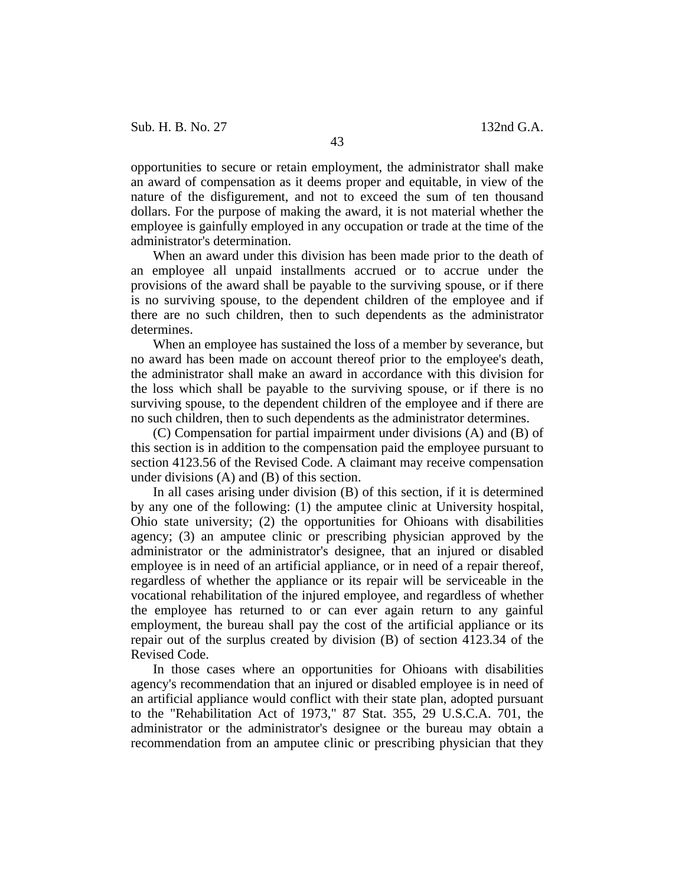opportunities to secure or retain employment, the administrator shall make an award of compensation as it deems proper and equitable, in view of the nature of the disfigurement, and not to exceed the sum of ten thousand dollars. For the purpose of making the award, it is not material whether the employee is gainfully employed in any occupation or trade at the time of the administrator's determination.

When an award under this division has been made prior to the death of an employee all unpaid installments accrued or to accrue under the provisions of the award shall be payable to the surviving spouse, or if there is no surviving spouse, to the dependent children of the employee and if there are no such children, then to such dependents as the administrator determines.

When an employee has sustained the loss of a member by severance, but no award has been made on account thereof prior to the employee's death, the administrator shall make an award in accordance with this division for the loss which shall be payable to the surviving spouse, or if there is no surviving spouse, to the dependent children of the employee and if there are no such children, then to such dependents as the administrator determines.

(C) Compensation for partial impairment under divisions (A) and (B) of this section is in addition to the compensation paid the employee pursuant to section 4123.56 of the Revised Code. A claimant may receive compensation under divisions (A) and (B) of this section.

In all cases arising under division (B) of this section, if it is determined by any one of the following: (1) the amputee clinic at University hospital, Ohio state university; (2) the opportunities for Ohioans with disabilities agency; (3) an amputee clinic or prescribing physician approved by the administrator or the administrator's designee, that an injured or disabled employee is in need of an artificial appliance, or in need of a repair thereof, regardless of whether the appliance or its repair will be serviceable in the vocational rehabilitation of the injured employee, and regardless of whether the employee has returned to or can ever again return to any gainful employment, the bureau shall pay the cost of the artificial appliance or its repair out of the surplus created by division (B) of section 4123.34 of the Revised Code.

In those cases where an opportunities for Ohioans with disabilities agency's recommendation that an injured or disabled employee is in need of an artificial appliance would conflict with their state plan, adopted pursuant to the "Rehabilitation Act of 1973," 87 Stat. 355, 29 U.S.C.A. 701, the administrator or the administrator's designee or the bureau may obtain a recommendation from an amputee clinic or prescribing physician that they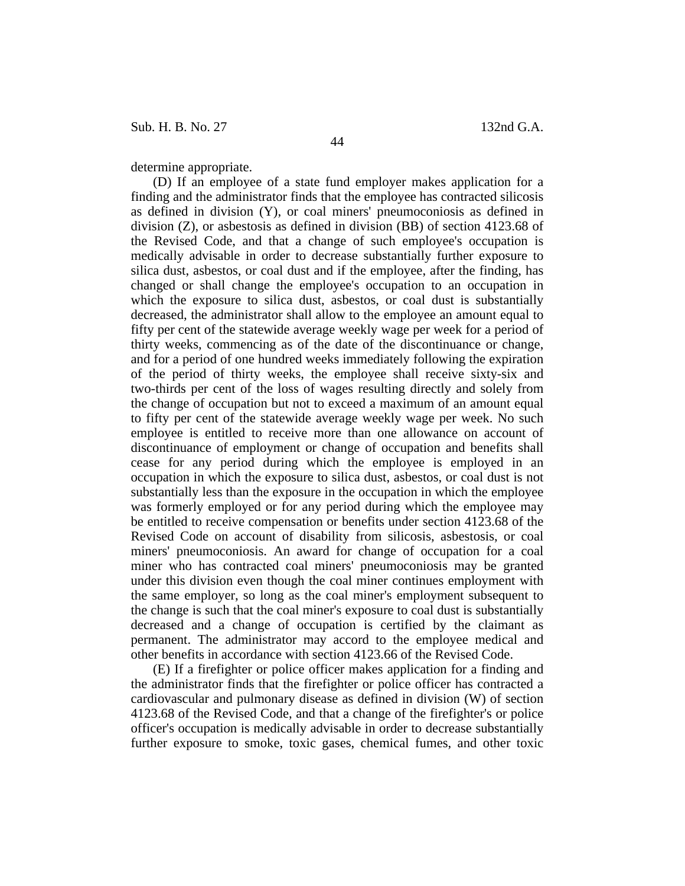determine appropriate.

(D) If an employee of a state fund employer makes application for a finding and the administrator finds that the employee has contracted silicosis as defined in division (Y), or coal miners' pneumoconiosis as defined in division (Z), or asbestosis as defined in division (BB) of section 4123.68 of the Revised Code, and that a change of such employee's occupation is medically advisable in order to decrease substantially further exposure to silica dust, asbestos, or coal dust and if the employee, after the finding, has changed or shall change the employee's occupation to an occupation in which the exposure to silica dust, asbestos, or coal dust is substantially decreased, the administrator shall allow to the employee an amount equal to fifty per cent of the statewide average weekly wage per week for a period of thirty weeks, commencing as of the date of the discontinuance or change, and for a period of one hundred weeks immediately following the expiration of the period of thirty weeks, the employee shall receive sixty-six and two-thirds per cent of the loss of wages resulting directly and solely from the change of occupation but not to exceed a maximum of an amount equal to fifty per cent of the statewide average weekly wage per week. No such employee is entitled to receive more than one allowance on account of discontinuance of employment or change of occupation and benefits shall cease for any period during which the employee is employed in an occupation in which the exposure to silica dust, asbestos, or coal dust is not substantially less than the exposure in the occupation in which the employee was formerly employed or for any period during which the employee may be entitled to receive compensation or benefits under section 4123.68 of the Revised Code on account of disability from silicosis, asbestosis, or coal miners' pneumoconiosis. An award for change of occupation for a coal miner who has contracted coal miners' pneumoconiosis may be granted under this division even though the coal miner continues employment with the same employer, so long as the coal miner's employment subsequent to the change is such that the coal miner's exposure to coal dust is substantially decreased and a change of occupation is certified by the claimant as permanent. The administrator may accord to the employee medical and other benefits in accordance with section 4123.66 of the Revised Code.

(E) If a firefighter or police officer makes application for a finding and the administrator finds that the firefighter or police officer has contracted a cardiovascular and pulmonary disease as defined in division (W) of section 4123.68 of the Revised Code, and that a change of the firefighter's or police officer's occupation is medically advisable in order to decrease substantially further exposure to smoke, toxic gases, chemical fumes, and other toxic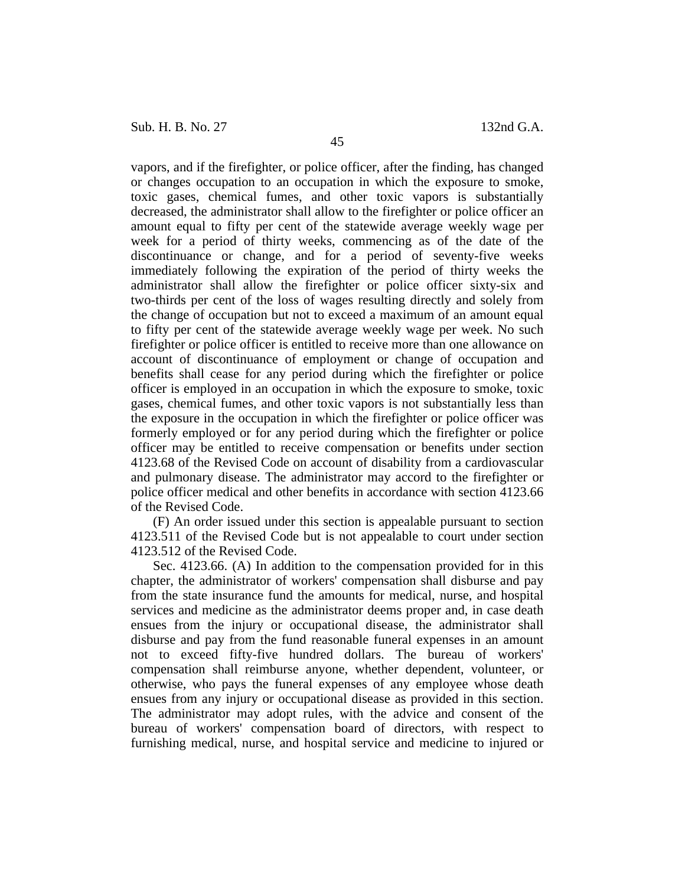vapors, and if the firefighter, or police officer, after the finding, has changed or changes occupation to an occupation in which the exposure to smoke, toxic gases, chemical fumes, and other toxic vapors is substantially decreased, the administrator shall allow to the firefighter or police officer an amount equal to fifty per cent of the statewide average weekly wage per week for a period of thirty weeks, commencing as of the date of the discontinuance or change, and for a period of seventy-five weeks immediately following the expiration of the period of thirty weeks the administrator shall allow the firefighter or police officer sixty-six and two-thirds per cent of the loss of wages resulting directly and solely from the change of occupation but not to exceed a maximum of an amount equal to fifty per cent of the statewide average weekly wage per week. No such firefighter or police officer is entitled to receive more than one allowance on account of discontinuance of employment or change of occupation and benefits shall cease for any period during which the firefighter or police officer is employed in an occupation in which the exposure to smoke, toxic gases, chemical fumes, and other toxic vapors is not substantially less than the exposure in the occupation in which the firefighter or police officer was formerly employed or for any period during which the firefighter or police officer may be entitled to receive compensation or benefits under section 4123.68 of the Revised Code on account of disability from a cardiovascular and pulmonary disease. The administrator may accord to the firefighter or police officer medical and other benefits in accordance with section 4123.66 of the Revised Code.

(F) An order issued under this section is appealable pursuant to section 4123.511 of the Revised Code but is not appealable to court under section 4123.512 of the Revised Code.

Sec. 4123.66. (A) In addition to the compensation provided for in this chapter, the administrator of workers' compensation shall disburse and pay from the state insurance fund the amounts for medical, nurse, and hospital services and medicine as the administrator deems proper and, in case death ensues from the injury or occupational disease, the administrator shall disburse and pay from the fund reasonable funeral expenses in an amount not to exceed fifty-five hundred dollars. The bureau of workers' compensation shall reimburse anyone, whether dependent, volunteer, or otherwise, who pays the funeral expenses of any employee whose death ensues from any injury or occupational disease as provided in this section. The administrator may adopt rules, with the advice and consent of the bureau of workers' compensation board of directors, with respect to furnishing medical, nurse, and hospital service and medicine to injured or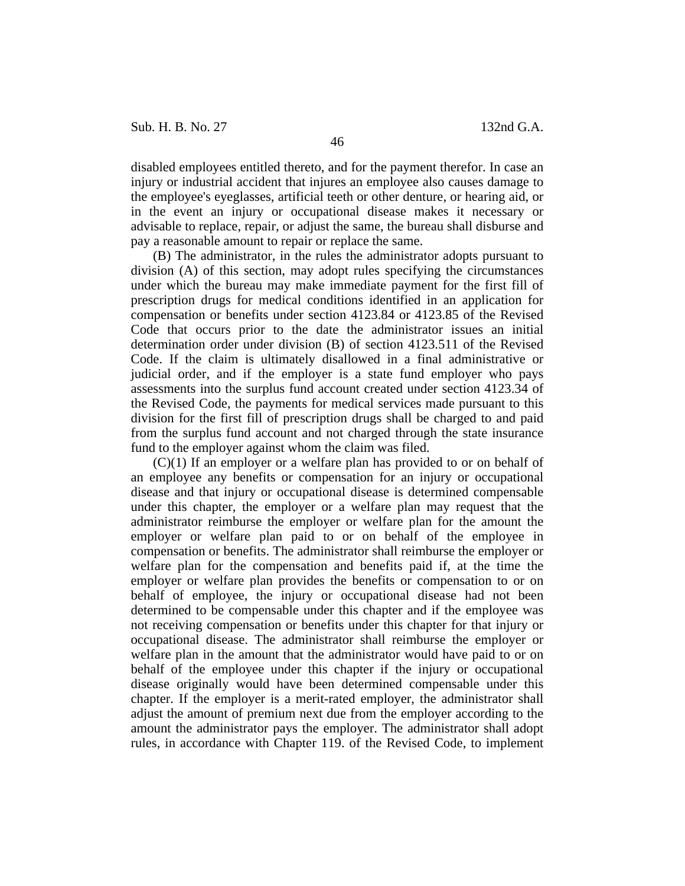disabled employees entitled thereto, and for the payment therefor. In case an injury or industrial accident that injures an employee also causes damage to the employee's eyeglasses, artificial teeth or other denture, or hearing aid, or in the event an injury or occupational disease makes it necessary or advisable to replace, repair, or adjust the same, the bureau shall disburse and pay a reasonable amount to repair or replace the same.

(B) The administrator, in the rules the administrator adopts pursuant to division (A) of this section, may adopt rules specifying the circumstances under which the bureau may make immediate payment for the first fill of prescription drugs for medical conditions identified in an application for compensation or benefits under section 4123.84 or 4123.85 of the Revised Code that occurs prior to the date the administrator issues an initial determination order under division (B) of section 4123.511 of the Revised Code. If the claim is ultimately disallowed in a final administrative or judicial order, and if the employer is a state fund employer who pays assessments into the surplus fund account created under section 4123.34 of the Revised Code, the payments for medical services made pursuant to this division for the first fill of prescription drugs shall be charged to and paid from the surplus fund account and not charged through the state insurance fund to the employer against whom the claim was filed.

(C)(1) If an employer or a welfare plan has provided to or on behalf of an employee any benefits or compensation for an injury or occupational disease and that injury or occupational disease is determined compensable under this chapter, the employer or a welfare plan may request that the administrator reimburse the employer or welfare plan for the amount the employer or welfare plan paid to or on behalf of the employee in compensation or benefits. The administrator shall reimburse the employer or welfare plan for the compensation and benefits paid if, at the time the employer or welfare plan provides the benefits or compensation to or on behalf of employee, the injury or occupational disease had not been determined to be compensable under this chapter and if the employee was not receiving compensation or benefits under this chapter for that injury or occupational disease. The administrator shall reimburse the employer or welfare plan in the amount that the administrator would have paid to or on behalf of the employee under this chapter if the injury or occupational disease originally would have been determined compensable under this chapter. If the employer is a merit-rated employer, the administrator shall adjust the amount of premium next due from the employer according to the amount the administrator pays the employer. The administrator shall adopt rules, in accordance with Chapter 119. of the Revised Code, to implement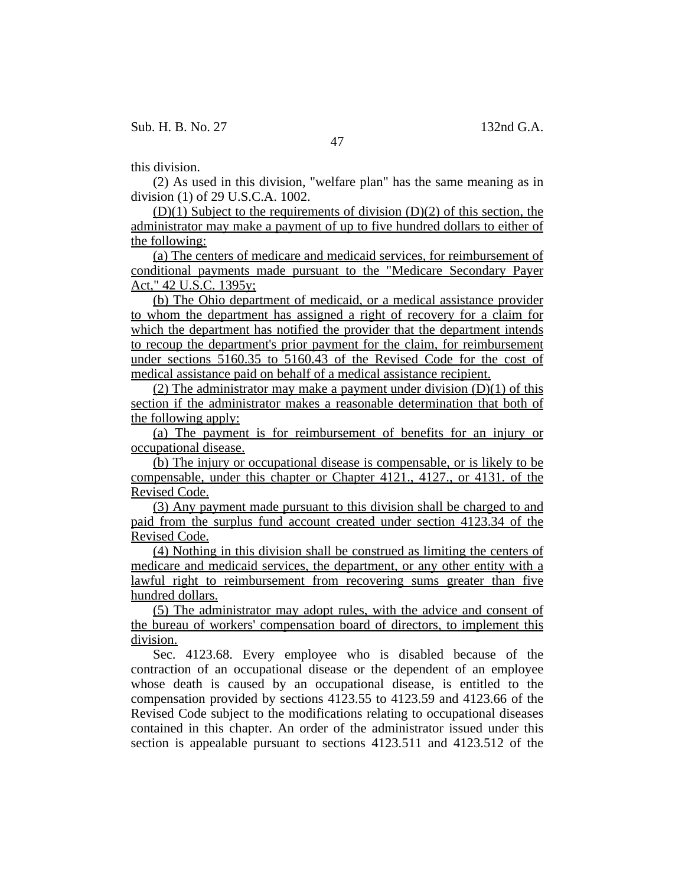this division.

(2) As used in this division, "welfare plan" has the same meaning as in division (1) of 29 U.S.C.A. 1002.

 $(D)(1)$  Subject to the requirements of division  $(D)(2)$  of this section, the administrator may make a payment of up to five hundred dollars to either of the following:

(a) The centers of medicare and medicaid services, for reimbursement of conditional payments made pursuant to the "Medicare Secondary Payer Act," 42 U.S.C. 1395y;

(b) The Ohio department of medicaid, or a medical assistance provider to whom the department has assigned a right of recovery for a claim for which the department has notified the provider that the department intends to recoup the department's prior payment for the claim, for reimbursement under sections 5160.35 to 5160.43 of the Revised Code for the cost of medical assistance paid on behalf of a medical assistance recipient.

(2) The administrator may make a payment under division  $(D)(1)$  of this section if the administrator makes a reasonable determination that both of the following apply:

(a) The payment is for reimbursement of benefits for an injury or occupational disease.

(b) The injury or occupational disease is compensable, or is likely to be compensable, under this chapter or Chapter 4121., 4127., or 4131. of the Revised Code.

(3) Any payment made pursuant to this division shall be charged to and paid from the surplus fund account created under section 4123.34 of the Revised Code.

(4) Nothing in this division shall be construed as limiting the centers of medicare and medicaid services, the department, or any other entity with a lawful right to reimbursement from recovering sums greater than five hundred dollars.

(5) The administrator may adopt rules, with the advice and consent of the bureau of workers' compensation board of directors, to implement this division.

Sec. 4123.68. Every employee who is disabled because of the contraction of an occupational disease or the dependent of an employee whose death is caused by an occupational disease, is entitled to the compensation provided by sections 4123.55 to 4123.59 and 4123.66 of the Revised Code subject to the modifications relating to occupational diseases contained in this chapter. An order of the administrator issued under this section is appealable pursuant to sections 4123.511 and 4123.512 of the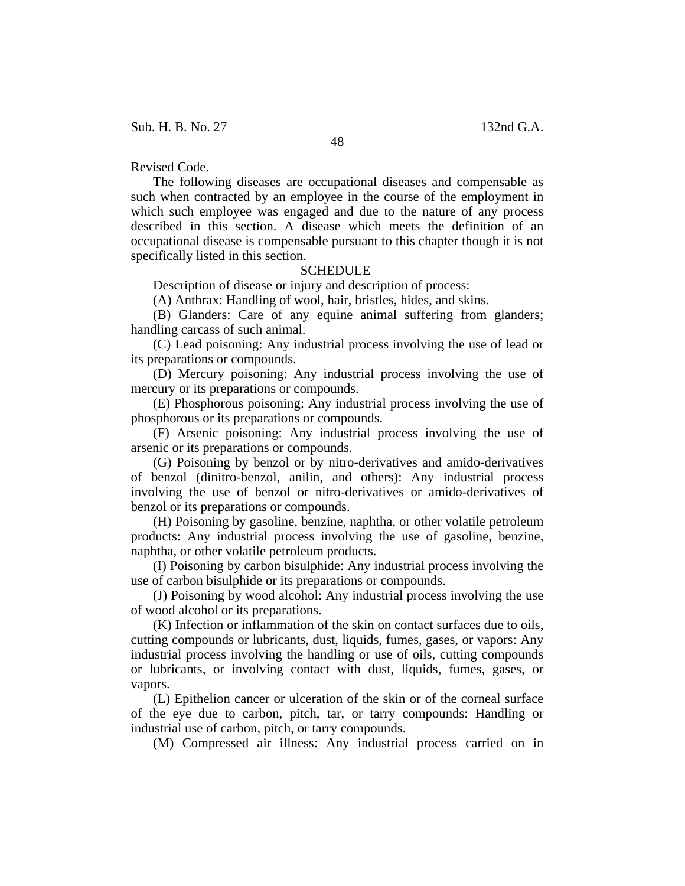Sub. H. B. No. 27 132nd G.A.

48

Revised Code.

The following diseases are occupational diseases and compensable as such when contracted by an employee in the course of the employment in which such employee was engaged and due to the nature of any process described in this section. A disease which meets the definition of an occupational disease is compensable pursuant to this chapter though it is not specifically listed in this section.

#### SCHEDULE

Description of disease or injury and description of process:

(A) Anthrax: Handling of wool, hair, bristles, hides, and skins.

(B) Glanders: Care of any equine animal suffering from glanders; handling carcass of such animal.

(C) Lead poisoning: Any industrial process involving the use of lead or its preparations or compounds.

(D) Mercury poisoning: Any industrial process involving the use of mercury or its preparations or compounds.

(E) Phosphorous poisoning: Any industrial process involving the use of phosphorous or its preparations or compounds.

(F) Arsenic poisoning: Any industrial process involving the use of arsenic or its preparations or compounds.

(G) Poisoning by benzol or by nitro-derivatives and amido-derivatives of benzol (dinitro-benzol, anilin, and others): Any industrial process involving the use of benzol or nitro-derivatives or amido-derivatives of benzol or its preparations or compounds.

(H) Poisoning by gasoline, benzine, naphtha, or other volatile petroleum products: Any industrial process involving the use of gasoline, benzine, naphtha, or other volatile petroleum products.

(I) Poisoning by carbon bisulphide: Any industrial process involving the use of carbon bisulphide or its preparations or compounds.

(J) Poisoning by wood alcohol: Any industrial process involving the use of wood alcohol or its preparations.

(K) Infection or inflammation of the skin on contact surfaces due to oils, cutting compounds or lubricants, dust, liquids, fumes, gases, or vapors: Any industrial process involving the handling or use of oils, cutting compounds or lubricants, or involving contact with dust, liquids, fumes, gases, or vapors.

(L) Epithelion cancer or ulceration of the skin or of the corneal surface of the eye due to carbon, pitch, tar, or tarry compounds: Handling or industrial use of carbon, pitch, or tarry compounds.

(M) Compressed air illness: Any industrial process carried on in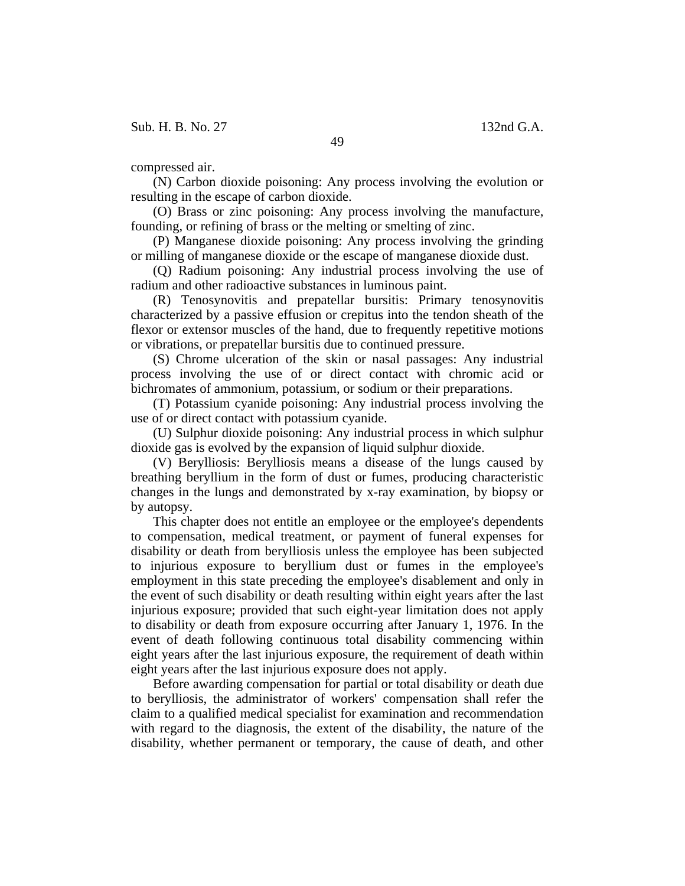Sub. H. B. No. 27 132nd G.A.

49

compressed air.

(N) Carbon dioxide poisoning: Any process involving the evolution or resulting in the escape of carbon dioxide.

(O) Brass or zinc poisoning: Any process involving the manufacture, founding, or refining of brass or the melting or smelting of zinc.

(P) Manganese dioxide poisoning: Any process involving the grinding or milling of manganese dioxide or the escape of manganese dioxide dust.

(Q) Radium poisoning: Any industrial process involving the use of radium and other radioactive substances in luminous paint.

(R) Tenosynovitis and prepatellar bursitis: Primary tenosynovitis characterized by a passive effusion or crepitus into the tendon sheath of the flexor or extensor muscles of the hand, due to frequently repetitive motions or vibrations, or prepatellar bursitis due to continued pressure.

(S) Chrome ulceration of the skin or nasal passages: Any industrial process involving the use of or direct contact with chromic acid or bichromates of ammonium, potassium, or sodium or their preparations.

(T) Potassium cyanide poisoning: Any industrial process involving the use of or direct contact with potassium cyanide.

(U) Sulphur dioxide poisoning: Any industrial process in which sulphur dioxide gas is evolved by the expansion of liquid sulphur dioxide.

(V) Berylliosis: Berylliosis means a disease of the lungs caused by breathing beryllium in the form of dust or fumes, producing characteristic changes in the lungs and demonstrated by x-ray examination, by biopsy or by autopsy.

This chapter does not entitle an employee or the employee's dependents to compensation, medical treatment, or payment of funeral expenses for disability or death from berylliosis unless the employee has been subjected to injurious exposure to beryllium dust or fumes in the employee's employment in this state preceding the employee's disablement and only in the event of such disability or death resulting within eight years after the last injurious exposure; provided that such eight-year limitation does not apply to disability or death from exposure occurring after January 1, 1976. In the event of death following continuous total disability commencing within eight years after the last injurious exposure, the requirement of death within eight years after the last injurious exposure does not apply.

Before awarding compensation for partial or total disability or death due to berylliosis, the administrator of workers' compensation shall refer the claim to a qualified medical specialist for examination and recommendation with regard to the diagnosis, the extent of the disability, the nature of the disability, whether permanent or temporary, the cause of death, and other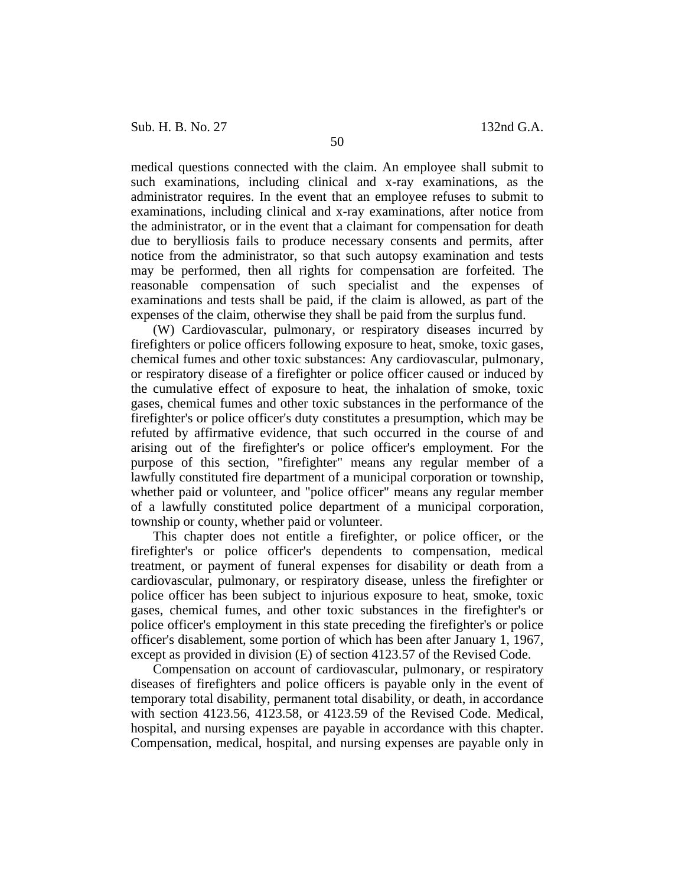medical questions connected with the claim. An employee shall submit to such examinations, including clinical and x-ray examinations, as the administrator requires. In the event that an employee refuses to submit to examinations, including clinical and x-ray examinations, after notice from the administrator, or in the event that a claimant for compensation for death due to berylliosis fails to produce necessary consents and permits, after notice from the administrator, so that such autopsy examination and tests may be performed, then all rights for compensation are forfeited. The reasonable compensation of such specialist and the expenses of examinations and tests shall be paid, if the claim is allowed, as part of the expenses of the claim, otherwise they shall be paid from the surplus fund.

(W) Cardiovascular, pulmonary, or respiratory diseases incurred by firefighters or police officers following exposure to heat, smoke, toxic gases, chemical fumes and other toxic substances: Any cardiovascular, pulmonary, or respiratory disease of a firefighter or police officer caused or induced by the cumulative effect of exposure to heat, the inhalation of smoke, toxic gases, chemical fumes and other toxic substances in the performance of the firefighter's or police officer's duty constitutes a presumption, which may be refuted by affirmative evidence, that such occurred in the course of and arising out of the firefighter's or police officer's employment. For the purpose of this section, "firefighter" means any regular member of a lawfully constituted fire department of a municipal corporation or township, whether paid or volunteer, and "police officer" means any regular member of a lawfully constituted police department of a municipal corporation, township or county, whether paid or volunteer.

This chapter does not entitle a firefighter, or police officer, or the firefighter's or police officer's dependents to compensation, medical treatment, or payment of funeral expenses for disability or death from a cardiovascular, pulmonary, or respiratory disease, unless the firefighter or police officer has been subject to injurious exposure to heat, smoke, toxic gases, chemical fumes, and other toxic substances in the firefighter's or police officer's employment in this state preceding the firefighter's or police officer's disablement, some portion of which has been after January 1, 1967, except as provided in division (E) of section 4123.57 of the Revised Code.

Compensation on account of cardiovascular, pulmonary, or respiratory diseases of firefighters and police officers is payable only in the event of temporary total disability, permanent total disability, or death, in accordance with section 4123.56, 4123.58, or 4123.59 of the Revised Code. Medical, hospital, and nursing expenses are payable in accordance with this chapter. Compensation, medical, hospital, and nursing expenses are payable only in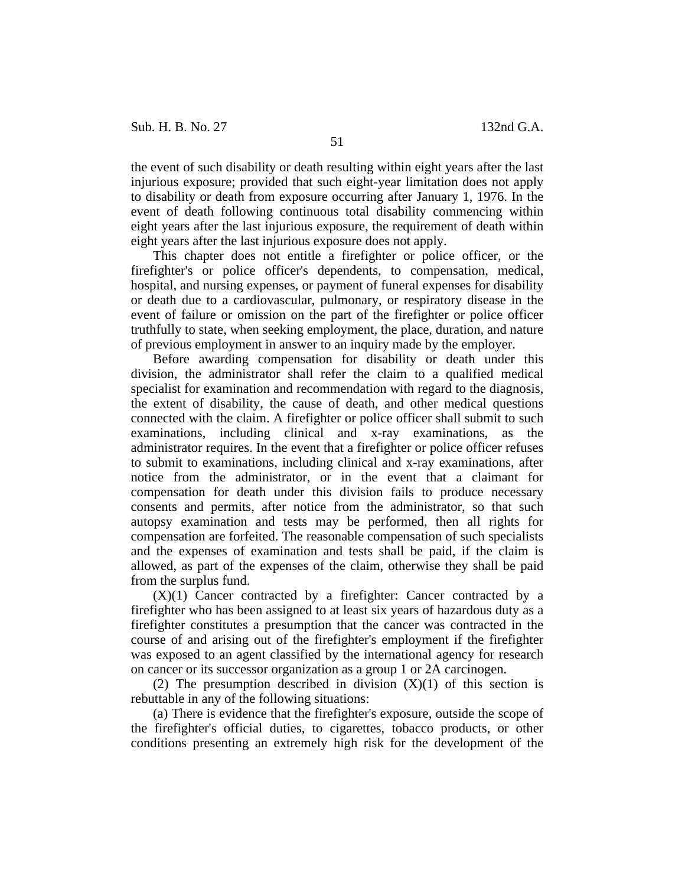the event of such disability or death resulting within eight years after the last injurious exposure; provided that such eight-year limitation does not apply to disability or death from exposure occurring after January 1, 1976. In the event of death following continuous total disability commencing within eight years after the last injurious exposure, the requirement of death within eight years after the last injurious exposure does not apply.

This chapter does not entitle a firefighter or police officer, or the firefighter's or police officer's dependents, to compensation, medical, hospital, and nursing expenses, or payment of funeral expenses for disability or death due to a cardiovascular, pulmonary, or respiratory disease in the event of failure or omission on the part of the firefighter or police officer truthfully to state, when seeking employment, the place, duration, and nature of previous employment in answer to an inquiry made by the employer.

Before awarding compensation for disability or death under this division, the administrator shall refer the claim to a qualified medical specialist for examination and recommendation with regard to the diagnosis, the extent of disability, the cause of death, and other medical questions connected with the claim. A firefighter or police officer shall submit to such examinations, including clinical and x-ray examinations, as the administrator requires. In the event that a firefighter or police officer refuses to submit to examinations, including clinical and x-ray examinations, after notice from the administrator, or in the event that a claimant for compensation for death under this division fails to produce necessary consents and permits, after notice from the administrator, so that such autopsy examination and tests may be performed, then all rights for compensation are forfeited. The reasonable compensation of such specialists and the expenses of examination and tests shall be paid, if the claim is allowed, as part of the expenses of the claim, otherwise they shall be paid from the surplus fund.

 $(X)(1)$  Cancer contracted by a firefighter: Cancer contracted by a firefighter who has been assigned to at least six years of hazardous duty as a firefighter constitutes a presumption that the cancer was contracted in the course of and arising out of the firefighter's employment if the firefighter was exposed to an agent classified by the international agency for research on cancer or its successor organization as a group 1 or 2A carcinogen.

(2) The presumption described in division  $(X)(1)$  of this section is rebuttable in any of the following situations:

(a) There is evidence that the firefighter's exposure, outside the scope of the firefighter's official duties, to cigarettes, tobacco products, or other conditions presenting an extremely high risk for the development of the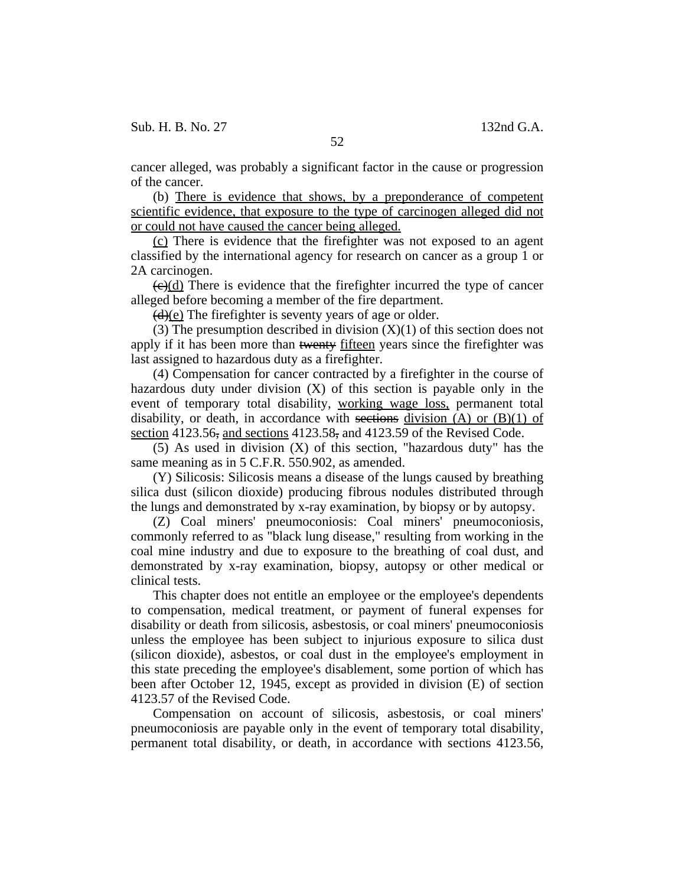cancer alleged, was probably a significant factor in the cause or progression of the cancer.

(b) There is evidence that shows, by a preponderance of competent scientific evidence, that exposure to the type of carcinogen alleged did not or could not have caused the cancer being alleged.

(c) There is evidence that the firefighter was not exposed to an agent classified by the international agency for research on cancer as a group 1 or 2A carcinogen.

 $\left(\frac{e}{c}\right)$  There is evidence that the firefighter incurred the type of cancer alleged before becoming a member of the fire department.

 $\left(\frac{d}{d}\right)(e)$  The firefighter is seventy years of age or older.

(3) The presumption described in division  $(X)(1)$  of this section does not apply if it has been more than twenty fifteen years since the firefighter was last assigned to hazardous duty as a firefighter.

(4) Compensation for cancer contracted by a firefighter in the course of hazardous duty under division (X) of this section is payable only in the event of temporary total disability, working wage loss, permanent total disability, or death, in accordance with sections division  $(A)$  or  $(B)(1)$  of section 4123.56, and sections 4123.58, and 4123.59 of the Revised Code.

(5) As used in division (X) of this section, "hazardous duty" has the same meaning as in 5 C.F.R. 550.902, as amended.

(Y) Silicosis: Silicosis means a disease of the lungs caused by breathing silica dust (silicon dioxide) producing fibrous nodules distributed through the lungs and demonstrated by x-ray examination, by biopsy or by autopsy.

(Z) Coal miners' pneumoconiosis: Coal miners' pneumoconiosis, commonly referred to as "black lung disease," resulting from working in the coal mine industry and due to exposure to the breathing of coal dust, and demonstrated by x-ray examination, biopsy, autopsy or other medical or clinical tests.

This chapter does not entitle an employee or the employee's dependents to compensation, medical treatment, or payment of funeral expenses for disability or death from silicosis, asbestosis, or coal miners' pneumoconiosis unless the employee has been subject to injurious exposure to silica dust (silicon dioxide), asbestos, or coal dust in the employee's employment in this state preceding the employee's disablement, some portion of which has been after October 12, 1945, except as provided in division (E) of section 4123.57 of the Revised Code.

Compensation on account of silicosis, asbestosis, or coal miners' pneumoconiosis are payable only in the event of temporary total disability, permanent total disability, or death, in accordance with sections 4123.56,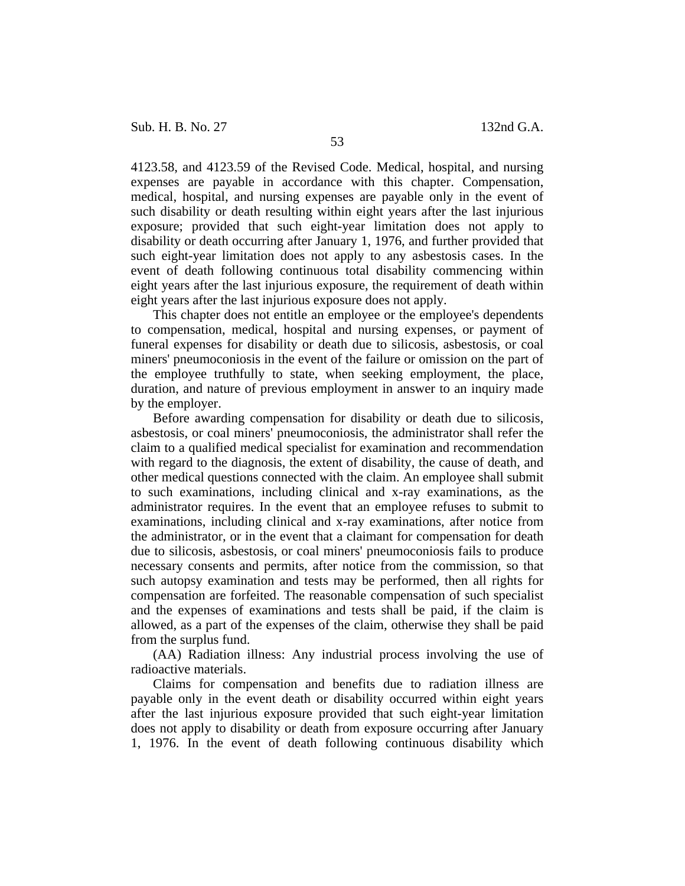4123.58, and 4123.59 of the Revised Code. Medical, hospital, and nursing expenses are payable in accordance with this chapter. Compensation, medical, hospital, and nursing expenses are payable only in the event of such disability or death resulting within eight years after the last injurious exposure; provided that such eight-year limitation does not apply to disability or death occurring after January 1, 1976, and further provided that such eight-year limitation does not apply to any asbestosis cases. In the event of death following continuous total disability commencing within eight years after the last injurious exposure, the requirement of death within eight years after the last injurious exposure does not apply.

This chapter does not entitle an employee or the employee's dependents to compensation, medical, hospital and nursing expenses, or payment of funeral expenses for disability or death due to silicosis, asbestosis, or coal miners' pneumoconiosis in the event of the failure or omission on the part of the employee truthfully to state, when seeking employment, the place, duration, and nature of previous employment in answer to an inquiry made by the employer.

Before awarding compensation for disability or death due to silicosis, asbestosis, or coal miners' pneumoconiosis, the administrator shall refer the claim to a qualified medical specialist for examination and recommendation with regard to the diagnosis, the extent of disability, the cause of death, and other medical questions connected with the claim. An employee shall submit to such examinations, including clinical and x-ray examinations, as the administrator requires. In the event that an employee refuses to submit to examinations, including clinical and x-ray examinations, after notice from the administrator, or in the event that a claimant for compensation for death due to silicosis, asbestosis, or coal miners' pneumoconiosis fails to produce necessary consents and permits, after notice from the commission, so that such autopsy examination and tests may be performed, then all rights for compensation are forfeited. The reasonable compensation of such specialist and the expenses of examinations and tests shall be paid, if the claim is allowed, as a part of the expenses of the claim, otherwise they shall be paid from the surplus fund.

(AA) Radiation illness: Any industrial process involving the use of radioactive materials.

Claims for compensation and benefits due to radiation illness are payable only in the event death or disability occurred within eight years after the last injurious exposure provided that such eight-year limitation does not apply to disability or death from exposure occurring after January 1, 1976. In the event of death following continuous disability which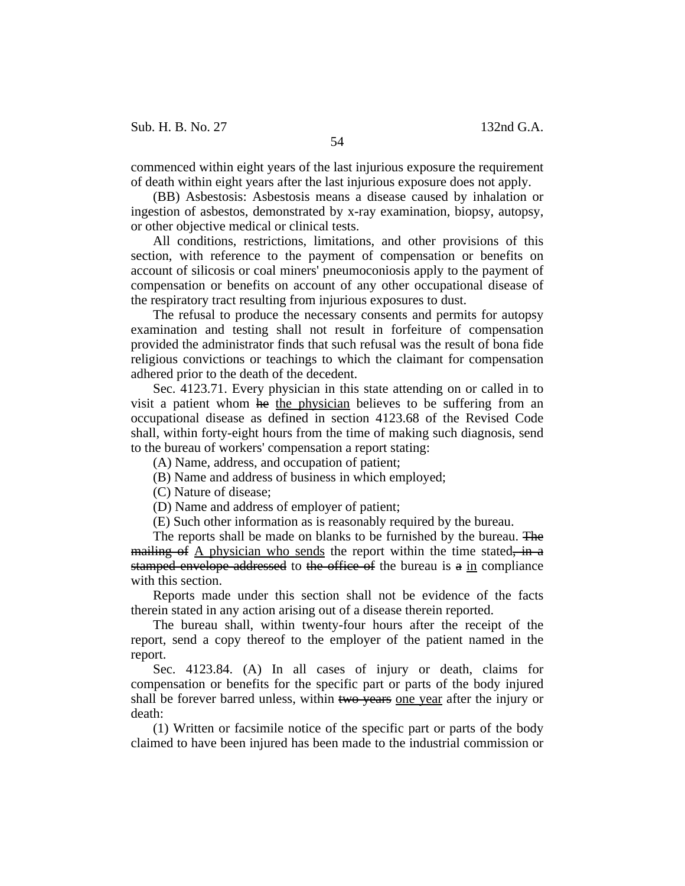Sub. H. B. No. 27 132nd G.A.

commenced within eight years of the last injurious exposure the requirement of death within eight years after the last injurious exposure does not apply.

(BB) Asbestosis: Asbestosis means a disease caused by inhalation or ingestion of asbestos, demonstrated by x-ray examination, biopsy, autopsy, or other objective medical or clinical tests.

All conditions, restrictions, limitations, and other provisions of this section, with reference to the payment of compensation or benefits on account of silicosis or coal miners' pneumoconiosis apply to the payment of compensation or benefits on account of any other occupational disease of the respiratory tract resulting from injurious exposures to dust.

The refusal to produce the necessary consents and permits for autopsy examination and testing shall not result in forfeiture of compensation provided the administrator finds that such refusal was the result of bona fide religious convictions or teachings to which the claimant for compensation adhered prior to the death of the decedent.

Sec. 4123.71. Every physician in this state attending on or called in to visit a patient whom he the physician believes to be suffering from an occupational disease as defined in section 4123.68 of the Revised Code shall, within forty-eight hours from the time of making such diagnosis, send to the bureau of workers' compensation a report stating:

(A) Name, address, and occupation of patient;

(B) Name and address of business in which employed;

(C) Nature of disease;

(D) Name and address of employer of patient;

(E) Such other information as is reasonably required by the bureau.

The reports shall be made on blanks to be furnished by the bureau. The  $m_{\text{m}}$   $\overrightarrow{m}$   $\overrightarrow{r}$  A physician who sends the report within the time stated, in a stamped envelope addressed to the office of the bureau is a in compliance with this section.

Reports made under this section shall not be evidence of the facts therein stated in any action arising out of a disease therein reported.

The bureau shall, within twenty-four hours after the receipt of the report, send a copy thereof to the employer of the patient named in the report.

Sec. 4123.84. (A) In all cases of injury or death, claims for compensation or benefits for the specific part or parts of the body injured shall be forever barred unless, within two years one year after the injury or death:

(1) Written or facsimile notice of the specific part or parts of the body claimed to have been injured has been made to the industrial commission or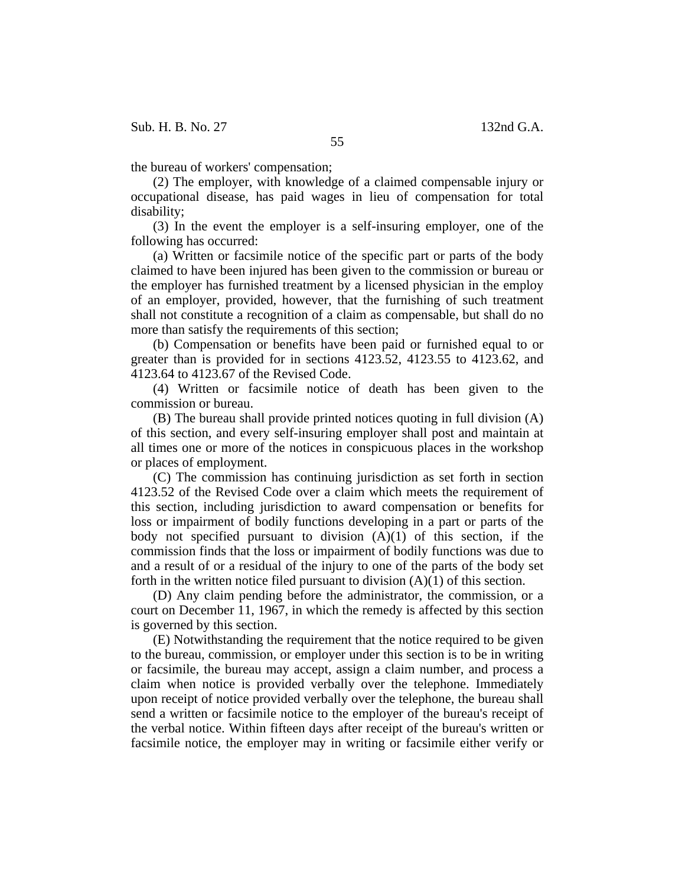55

the bureau of workers' compensation;

(2) The employer, with knowledge of a claimed compensable injury or occupational disease, has paid wages in lieu of compensation for total disability;

(3) In the event the employer is a self-insuring employer, one of the following has occurred:

(a) Written or facsimile notice of the specific part or parts of the body claimed to have been injured has been given to the commission or bureau or the employer has furnished treatment by a licensed physician in the employ of an employer, provided, however, that the furnishing of such treatment shall not constitute a recognition of a claim as compensable, but shall do no more than satisfy the requirements of this section;

(b) Compensation or benefits have been paid or furnished equal to or greater than is provided for in sections 4123.52, 4123.55 to 4123.62, and 4123.64 to 4123.67 of the Revised Code.

(4) Written or facsimile notice of death has been given to the commission or bureau.

(B) The bureau shall provide printed notices quoting in full division (A) of this section, and every self-insuring employer shall post and maintain at all times one or more of the notices in conspicuous places in the workshop or places of employment.

(C) The commission has continuing jurisdiction as set forth in section 4123.52 of the Revised Code over a claim which meets the requirement of this section, including jurisdiction to award compensation or benefits for loss or impairment of bodily functions developing in a part or parts of the body not specified pursuant to division (A)(1) of this section, if the commission finds that the loss or impairment of bodily functions was due to and a result of or a residual of the injury to one of the parts of the body set forth in the written notice filed pursuant to division  $(A)(1)$  of this section.

(D) Any claim pending before the administrator, the commission, or a court on December 11, 1967, in which the remedy is affected by this section is governed by this section.

(E) Notwithstanding the requirement that the notice required to be given to the bureau, commission, or employer under this section is to be in writing or facsimile, the bureau may accept, assign a claim number, and process a claim when notice is provided verbally over the telephone. Immediately upon receipt of notice provided verbally over the telephone, the bureau shall send a written or facsimile notice to the employer of the bureau's receipt of the verbal notice. Within fifteen days after receipt of the bureau's written or facsimile notice, the employer may in writing or facsimile either verify or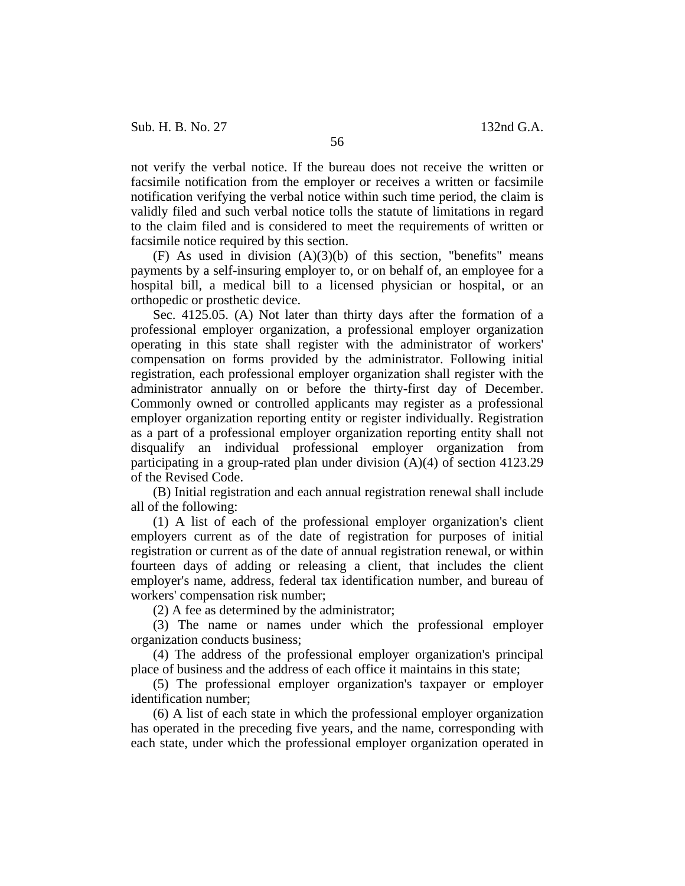not verify the verbal notice. If the bureau does not receive the written or facsimile notification from the employer or receives a written or facsimile notification verifying the verbal notice within such time period, the claim is validly filed and such verbal notice tolls the statute of limitations in regard to the claim filed and is considered to meet the requirements of written or facsimile notice required by this section.

 $(F)$  As used in division  $(A)(3)(b)$  of this section, "benefits" means payments by a self-insuring employer to, or on behalf of, an employee for a hospital bill, a medical bill to a licensed physician or hospital, or an orthopedic or prosthetic device.

Sec. 4125.05. (A) Not later than thirty days after the formation of a professional employer organization, a professional employer organization operating in this state shall register with the administrator of workers' compensation on forms provided by the administrator. Following initial registration, each professional employer organization shall register with the administrator annually on or before the thirty-first day of December. Commonly owned or controlled applicants may register as a professional employer organization reporting entity or register individually. Registration as a part of a professional employer organization reporting entity shall not disqualify an individual professional employer organization from participating in a group-rated plan under division (A)(4) of section 4123.29 of the Revised Code.

(B) Initial registration and each annual registration renewal shall include all of the following:

(1) A list of each of the professional employer organization's client employers current as of the date of registration for purposes of initial registration or current as of the date of annual registration renewal, or within fourteen days of adding or releasing a client, that includes the client employer's name, address, federal tax identification number, and bureau of workers' compensation risk number;

(2) A fee as determined by the administrator;

(3) The name or names under which the professional employer organization conducts business;

(4) The address of the professional employer organization's principal place of business and the address of each office it maintains in this state;

(5) The professional employer organization's taxpayer or employer identification number;

(6) A list of each state in which the professional employer organization has operated in the preceding five years, and the name, corresponding with each state, under which the professional employer organization operated in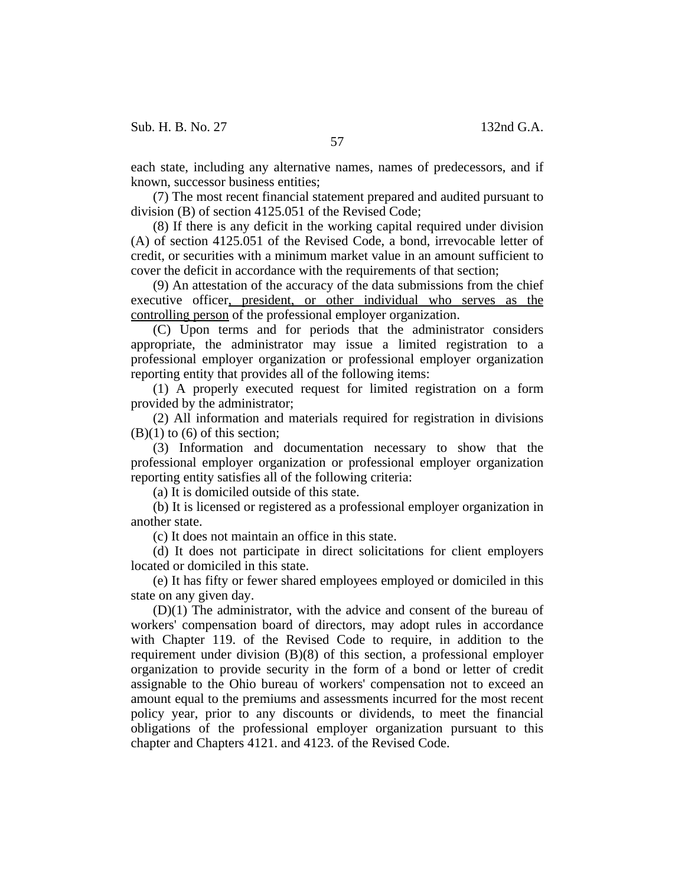57

each state, including any alternative names, names of predecessors, and if known, successor business entities;

(7) The most recent financial statement prepared and audited pursuant to division (B) of section 4125.051 of the Revised Code;

(8) If there is any deficit in the working capital required under division (A) of section 4125.051 of the Revised Code, a bond, irrevocable letter of credit, or securities with a minimum market value in an amount sufficient to cover the deficit in accordance with the requirements of that section;

(9) An attestation of the accuracy of the data submissions from the chief executive officer, president, or other individual who serves as the controlling person of the professional employer organization.

(C) Upon terms and for periods that the administrator considers appropriate, the administrator may issue a limited registration to a professional employer organization or professional employer organization reporting entity that provides all of the following items:

(1) A properly executed request for limited registration on a form provided by the administrator;

(2) All information and materials required for registration in divisions  $(B)(1)$  to  $(6)$  of this section:

(3) Information and documentation necessary to show that the professional employer organization or professional employer organization reporting entity satisfies all of the following criteria:

(a) It is domiciled outside of this state.

(b) It is licensed or registered as a professional employer organization in another state.

(c) It does not maintain an office in this state.

(d) It does not participate in direct solicitations for client employers located or domiciled in this state.

(e) It has fifty or fewer shared employees employed or domiciled in this state on any given day.

(D)(1) The administrator, with the advice and consent of the bureau of workers' compensation board of directors, may adopt rules in accordance with Chapter 119. of the Revised Code to require, in addition to the requirement under division (B)(8) of this section, a professional employer organization to provide security in the form of a bond or letter of credit assignable to the Ohio bureau of workers' compensation not to exceed an amount equal to the premiums and assessments incurred for the most recent policy year, prior to any discounts or dividends, to meet the financial obligations of the professional employer organization pursuant to this chapter and Chapters 4121. and 4123. of the Revised Code.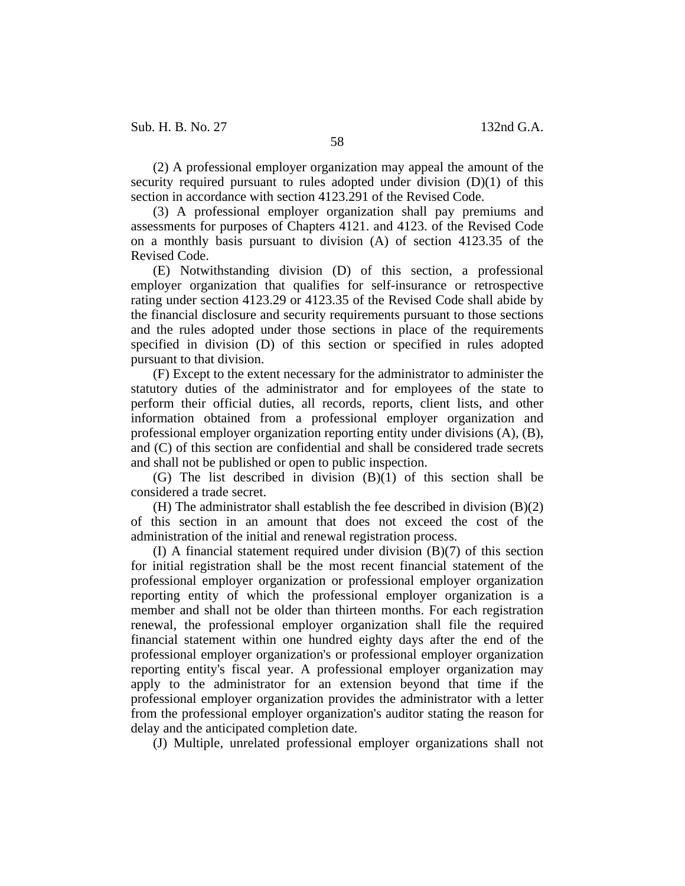(2) A professional employer organization may appeal the amount of the security required pursuant to rules adopted under division (D)(1) of this section in accordance with section 4123.291 of the Revised Code.

(3) A professional employer organization shall pay premiums and assessments for purposes of Chapters 4121. and 4123. of the Revised Code on a monthly basis pursuant to division (A) of section 4123.35 of the Revised Code.

(E) Notwithstanding division (D) of this section, a professional employer organization that qualifies for self-insurance or retrospective rating under section 4123.29 or 4123.35 of the Revised Code shall abide by the financial disclosure and security requirements pursuant to those sections and the rules adopted under those sections in place of the requirements specified in division (D) of this section or specified in rules adopted pursuant to that division.

(F) Except to the extent necessary for the administrator to administer the statutory duties of the administrator and for employees of the state to perform their official duties, all records, reports, client lists, and other information obtained from a professional employer organization and professional employer organization reporting entity under divisions (A), (B), and (C) of this section are confidential and shall be considered trade secrets and shall not be published or open to public inspection.

(G) The list described in division (B)(1) of this section shall be considered a trade secret.

(H) The administrator shall establish the fee described in division (B)(2) of this section in an amount that does not exceed the cost of the administration of the initial and renewal registration process.

(I) A financial statement required under division (B)(7) of this section for initial registration shall be the most recent financial statement of the professional employer organization or professional employer organization reporting entity of which the professional employer organization is a member and shall not be older than thirteen months. For each registration renewal, the professional employer organization shall file the required financial statement within one hundred eighty days after the end of the professional employer organization's or professional employer organization reporting entity's fiscal year. A professional employer organization may apply to the administrator for an extension beyond that time if the professional employer organization provides the administrator with a letter from the professional employer organization's auditor stating the reason for delay and the anticipated completion date.

(J) Multiple, unrelated professional employer organizations shall not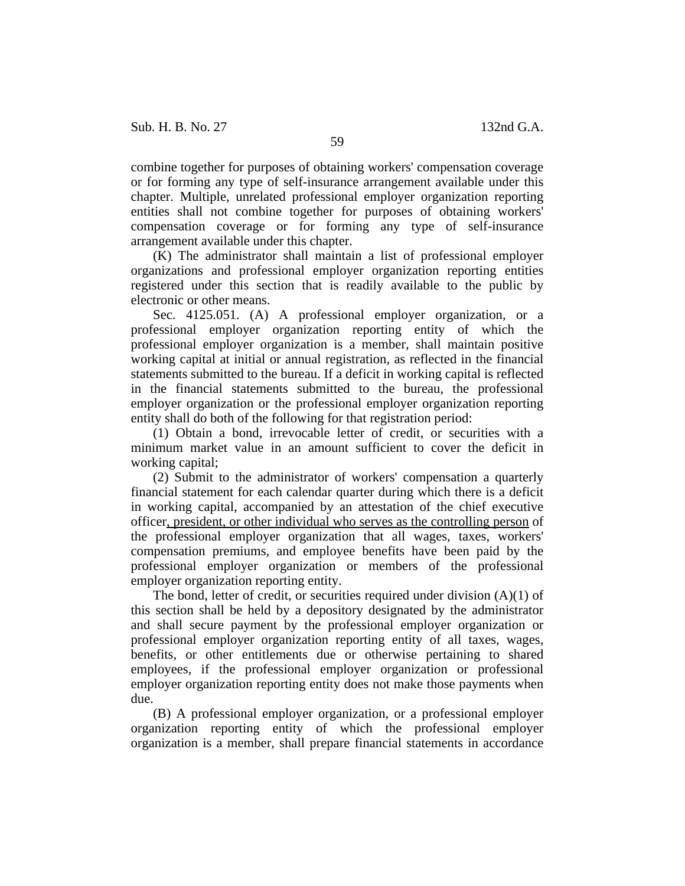combine together for purposes of obtaining workers' compensation coverage or for forming any type of self-insurance arrangement available under this chapter. Multiple, unrelated professional employer organization reporting entities shall not combine together for purposes of obtaining workers' compensation coverage or for forming any type of self-insurance arrangement available under this chapter.

(K) The administrator shall maintain a list of professional employer organizations and professional employer organization reporting entities registered under this section that is readily available to the public by electronic or other means.

Sec. 4125.051. (A) A professional employer organization, or a professional employer organization reporting entity of which the professional employer organization is a member, shall maintain positive working capital at initial or annual registration, as reflected in the financial statements submitted to the bureau. If a deficit in working capital is reflected in the financial statements submitted to the bureau, the professional employer organization or the professional employer organization reporting entity shall do both of the following for that registration period:

(1) Obtain a bond, irrevocable letter of credit, or securities with a minimum market value in an amount sufficient to cover the deficit in working capital;

(2) Submit to the administrator of workers' compensation a quarterly financial statement for each calendar quarter during which there is a deficit in working capital, accompanied by an attestation of the chief executive officer, president, or other individual who serves as the controlling person of the professional employer organization that all wages, taxes, workers' compensation premiums, and employee benefits have been paid by the professional employer organization or members of the professional employer organization reporting entity.

The bond, letter of credit, or securities required under division  $(A)(1)$  of this section shall be held by a depository designated by the administrator and shall secure payment by the professional employer organization or professional employer organization reporting entity of all taxes, wages, benefits, or other entitlements due or otherwise pertaining to shared employees, if the professional employer organization or professional employer organization reporting entity does not make those payments when due.

(B) A professional employer organization, or a professional employer organization reporting entity of which the professional employer organization is a member, shall prepare financial statements in accordance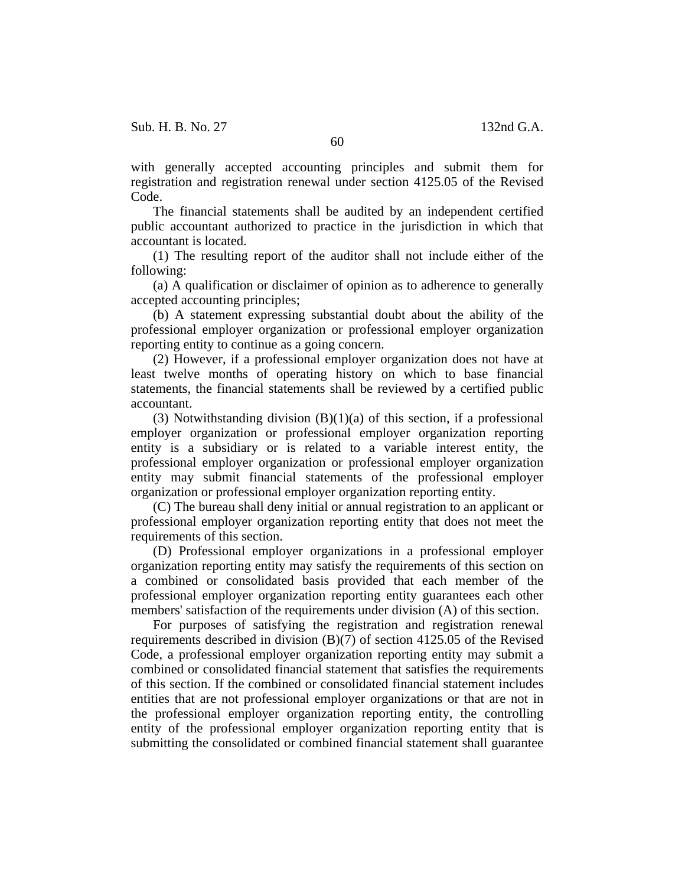with generally accepted accounting principles and submit them for registration and registration renewal under section 4125.05 of the Revised Code.

The financial statements shall be audited by an independent certified public accountant authorized to practice in the jurisdiction in which that accountant is located.

(1) The resulting report of the auditor shall not include either of the following:

(a) A qualification or disclaimer of opinion as to adherence to generally accepted accounting principles;

(b) A statement expressing substantial doubt about the ability of the professional employer organization or professional employer organization reporting entity to continue as a going concern.

(2) However, if a professional employer organization does not have at least twelve months of operating history on which to base financial statements, the financial statements shall be reviewed by a certified public accountant.

(3) Notwithstanding division  $(B)(1)(a)$  of this section, if a professional employer organization or professional employer organization reporting entity is a subsidiary or is related to a variable interest entity, the professional employer organization or professional employer organization entity may submit financial statements of the professional employer organization or professional employer organization reporting entity.

(C) The bureau shall deny initial or annual registration to an applicant or professional employer organization reporting entity that does not meet the requirements of this section.

(D) Professional employer organizations in a professional employer organization reporting entity may satisfy the requirements of this section on a combined or consolidated basis provided that each member of the professional employer organization reporting entity guarantees each other members' satisfaction of the requirements under division (A) of this section.

For purposes of satisfying the registration and registration renewal requirements described in division (B)(7) of section 4125.05 of the Revised Code, a professional employer organization reporting entity may submit a combined or consolidated financial statement that satisfies the requirements of this section. If the combined or consolidated financial statement includes entities that are not professional employer organizations or that are not in the professional employer organization reporting entity, the controlling entity of the professional employer organization reporting entity that is submitting the consolidated or combined financial statement shall guarantee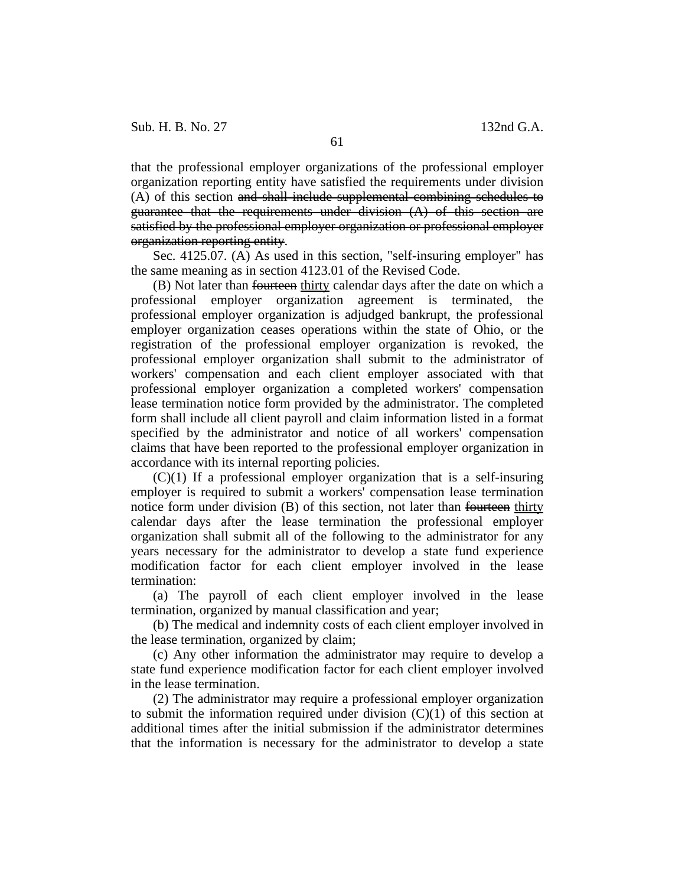that the professional employer organizations of the professional employer organization reporting entity have satisfied the requirements under division (A) of this section and shall include supplemental combining schedules to guarantee that the requirements under division (A) of this section are satisfied by the professional employer organization or professional employer organization reporting entity.

Sec. 4125.07. (A) As used in this section, "self-insuring employer" has the same meaning as in section 4123.01 of the Revised Code.

(B) Not later than fourteen thirty calendar days after the date on which a professional employer organization agreement is terminated, the professional employer organization is adjudged bankrupt, the professional employer organization ceases operations within the state of Ohio, or the registration of the professional employer organization is revoked, the professional employer organization shall submit to the administrator of workers' compensation and each client employer associated with that professional employer organization a completed workers' compensation lease termination notice form provided by the administrator. The completed form shall include all client payroll and claim information listed in a format specified by the administrator and notice of all workers' compensation claims that have been reported to the professional employer organization in accordance with its internal reporting policies.

 $(C)(1)$  If a professional employer organization that is a self-insuring employer is required to submit a workers' compensation lease termination notice form under division (B) of this section, not later than fourteen thirty calendar days after the lease termination the professional employer organization shall submit all of the following to the administrator for any years necessary for the administrator to develop a state fund experience modification factor for each client employer involved in the lease termination:

(a) The payroll of each client employer involved in the lease termination, organized by manual classification and year;

(b) The medical and indemnity costs of each client employer involved in the lease termination, organized by claim;

(c) Any other information the administrator may require to develop a state fund experience modification factor for each client employer involved in the lease termination.

(2) The administrator may require a professional employer organization to submit the information required under division  $(C)(1)$  of this section at additional times after the initial submission if the administrator determines that the information is necessary for the administrator to develop a state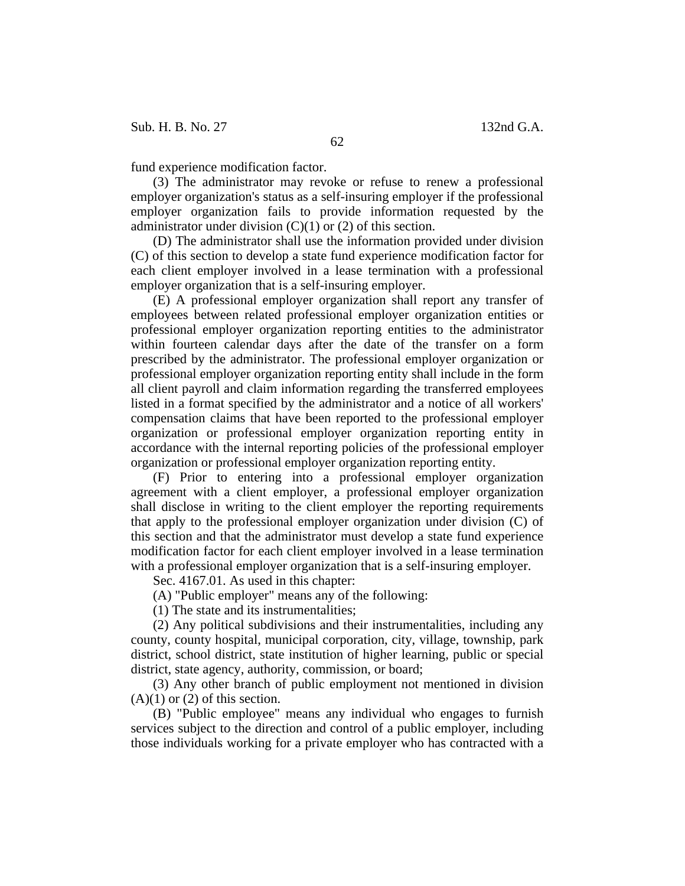fund experience modification factor.

(3) The administrator may revoke or refuse to renew a professional employer organization's status as a self-insuring employer if the professional employer organization fails to provide information requested by the administrator under division  $(C)(1)$  or  $(2)$  of this section.

(D) The administrator shall use the information provided under division (C) of this section to develop a state fund experience modification factor for each client employer involved in a lease termination with a professional employer organization that is a self-insuring employer.

(E) A professional employer organization shall report any transfer of employees between related professional employer organization entities or professional employer organization reporting entities to the administrator within fourteen calendar days after the date of the transfer on a form prescribed by the administrator. The professional employer organization or professional employer organization reporting entity shall include in the form all client payroll and claim information regarding the transferred employees listed in a format specified by the administrator and a notice of all workers' compensation claims that have been reported to the professional employer organization or professional employer organization reporting entity in accordance with the internal reporting policies of the professional employer organization or professional employer organization reporting entity.

(F) Prior to entering into a professional employer organization agreement with a client employer, a professional employer organization shall disclose in writing to the client employer the reporting requirements that apply to the professional employer organization under division (C) of this section and that the administrator must develop a state fund experience modification factor for each client employer involved in a lease termination with a professional employer organization that is a self-insuring employer.

Sec. 4167.01. As used in this chapter:

(A) "Public employer" means any of the following:

(1) The state and its instrumentalities;

(2) Any political subdivisions and their instrumentalities, including any county, county hospital, municipal corporation, city, village, township, park district, school district, state institution of higher learning, public or special district, state agency, authority, commission, or board;

(3) Any other branch of public employment not mentioned in division  $(A)(1)$  or  $(2)$  of this section.

(B) "Public employee" means any individual who engages to furnish services subject to the direction and control of a public employer, including those individuals working for a private employer who has contracted with a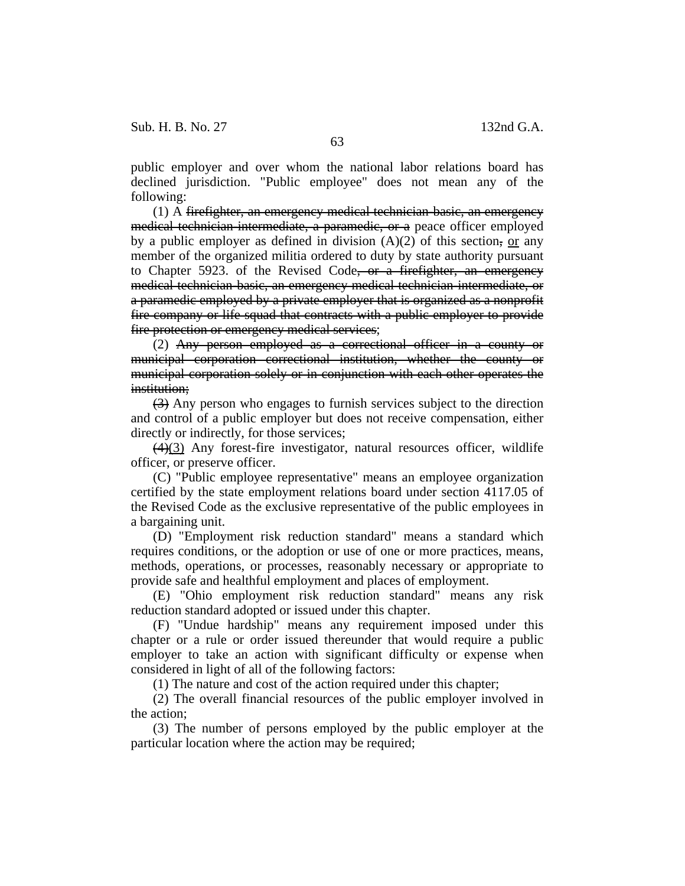public employer and over whom the national labor relations board has declined jurisdiction. "Public employee" does not mean any of the following:

(1) A firefighter, an emergency medical technician-basic, an emergency medical technician-intermediate, a paramedic, or a peace officer employed by a public employer as defined in division  $(A)(2)$  of this section, or any member of the organized militia ordered to duty by state authority pursuant to Chapter 5923. of the Revised Code<del>, or a firefighter, an emergency</del> medical technician-basic, an emergency medical technician-intermediate, or a paramedic employed by a private employer that is organized as a nonprofit fire company or life squad that contracts with a public employer to provide fire protection or emergency medical services;

(2) Any person employed as a correctional officer in a county or municipal corporation correctional institution, whether the county or municipal corporation solely or in conjunction with each other operates the institution;

(3) Any person who engages to furnish services subject to the direction and control of a public employer but does not receive compensation, either directly or indirectly, for those services;

 $(4)(3)$  Any forest-fire investigator, natural resources officer, wildlife officer, or preserve officer.

(C) "Public employee representative" means an employee organization certified by the state employment relations board under section 4117.05 of the Revised Code as the exclusive representative of the public employees in a bargaining unit.

(D) "Employment risk reduction standard" means a standard which requires conditions, or the adoption or use of one or more practices, means, methods, operations, or processes, reasonably necessary or appropriate to provide safe and healthful employment and places of employment.

(E) "Ohio employment risk reduction standard" means any risk reduction standard adopted or issued under this chapter.

(F) "Undue hardship" means any requirement imposed under this chapter or a rule or order issued thereunder that would require a public employer to take an action with significant difficulty or expense when considered in light of all of the following factors:

(1) The nature and cost of the action required under this chapter;

(2) The overall financial resources of the public employer involved in the action;

(3) The number of persons employed by the public employer at the particular location where the action may be required;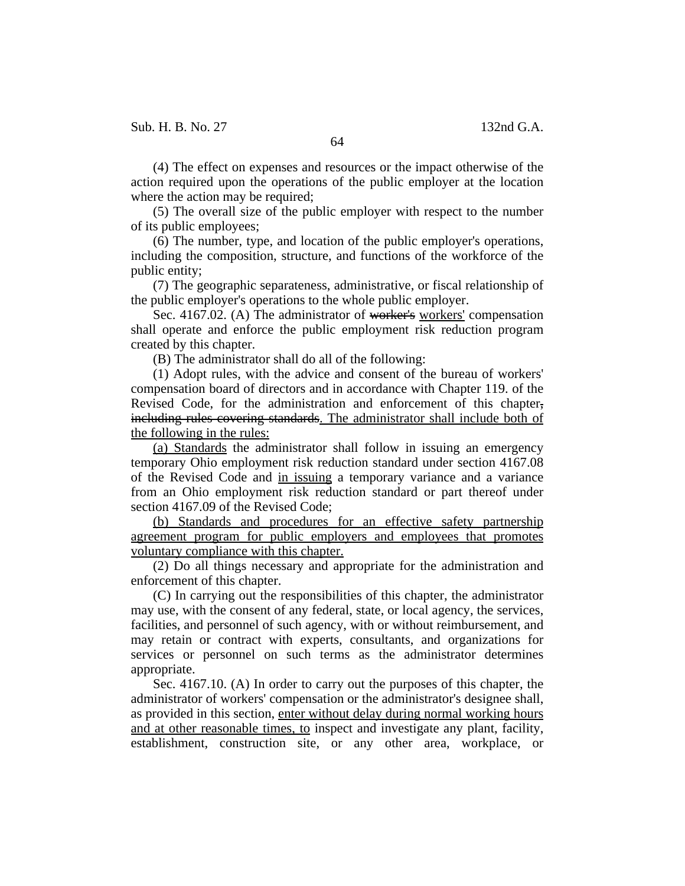(4) The effect on expenses and resources or the impact otherwise of the action required upon the operations of the public employer at the location where the action may be required;

(5) The overall size of the public employer with respect to the number of its public employees;

(6) The number, type, and location of the public employer's operations, including the composition, structure, and functions of the workforce of the public entity;

(7) The geographic separateness, administrative, or fiscal relationship of the public employer's operations to the whole public employer.

Sec. 4167.02. (A) The administrator of worker's workers' compensation shall operate and enforce the public employment risk reduction program created by this chapter.

(B) The administrator shall do all of the following:

(1) Adopt rules, with the advice and consent of the bureau of workers' compensation board of directors and in accordance with Chapter 119. of the Revised Code, for the administration and enforcement of this chapter, including rules covering standards. The administrator shall include both of the following in the rules:

(a) Standards the administrator shall follow in issuing an emergency temporary Ohio employment risk reduction standard under section 4167.08 of the Revised Code and in issuing a temporary variance and a variance from an Ohio employment risk reduction standard or part thereof under section 4167.09 of the Revised Code;

(b) Standards and procedures for an effective safety partnership agreement program for public employers and employees that promotes voluntary compliance with this chapter.

(2) Do all things necessary and appropriate for the administration and enforcement of this chapter.

(C) In carrying out the responsibilities of this chapter, the administrator may use, with the consent of any federal, state, or local agency, the services, facilities, and personnel of such agency, with or without reimbursement, and may retain or contract with experts, consultants, and organizations for services or personnel on such terms as the administrator determines appropriate.

Sec. 4167.10. (A) In order to carry out the purposes of this chapter, the administrator of workers' compensation or the administrator's designee shall, as provided in this section, enter without delay during normal working hours and at other reasonable times, to inspect and investigate any plant, facility, establishment, construction site, or any other area, workplace, or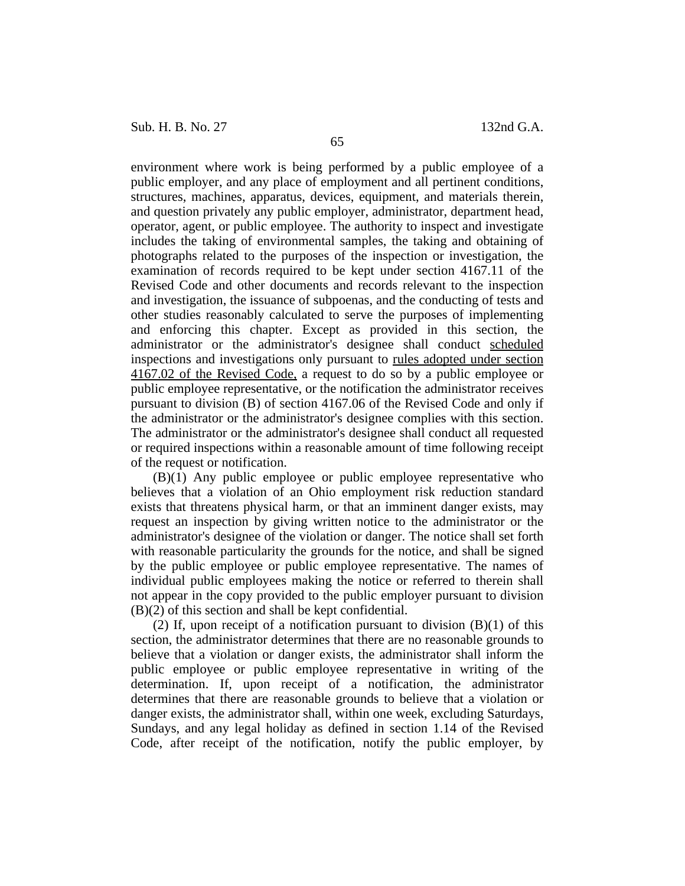Sub. H. B. No. 27 132nd G.A.

environment where work is being performed by a public employee of a public employer, and any place of employment and all pertinent conditions, structures, machines, apparatus, devices, equipment, and materials therein, and question privately any public employer, administrator, department head, operator, agent, or public employee. The authority to inspect and investigate includes the taking of environmental samples, the taking and obtaining of photographs related to the purposes of the inspection or investigation, the examination of records required to be kept under section 4167.11 of the Revised Code and other documents and records relevant to the inspection and investigation, the issuance of subpoenas, and the conducting of tests and other studies reasonably calculated to serve the purposes of implementing and enforcing this chapter. Except as provided in this section, the administrator or the administrator's designee shall conduct scheduled inspections and investigations only pursuant to rules adopted under section 4167.02 of the Revised Code, a request to do so by a public employee or public employee representative, or the notification the administrator receives pursuant to division (B) of section 4167.06 of the Revised Code and only if the administrator or the administrator's designee complies with this section. The administrator or the administrator's designee shall conduct all requested or required inspections within a reasonable amount of time following receipt of the request or notification.

(B)(1) Any public employee or public employee representative who believes that a violation of an Ohio employment risk reduction standard exists that threatens physical harm, or that an imminent danger exists, may request an inspection by giving written notice to the administrator or the administrator's designee of the violation or danger. The notice shall set forth with reasonable particularity the grounds for the notice, and shall be signed by the public employee or public employee representative. The names of individual public employees making the notice or referred to therein shall not appear in the copy provided to the public employer pursuant to division (B)(2) of this section and shall be kept confidential.

(2) If, upon receipt of a notification pursuant to division  $(B)(1)$  of this section, the administrator determines that there are no reasonable grounds to believe that a violation or danger exists, the administrator shall inform the public employee or public employee representative in writing of the determination. If, upon receipt of a notification, the administrator determines that there are reasonable grounds to believe that a violation or danger exists, the administrator shall, within one week, excluding Saturdays, Sundays, and any legal holiday as defined in section 1.14 of the Revised Code, after receipt of the notification, notify the public employer, by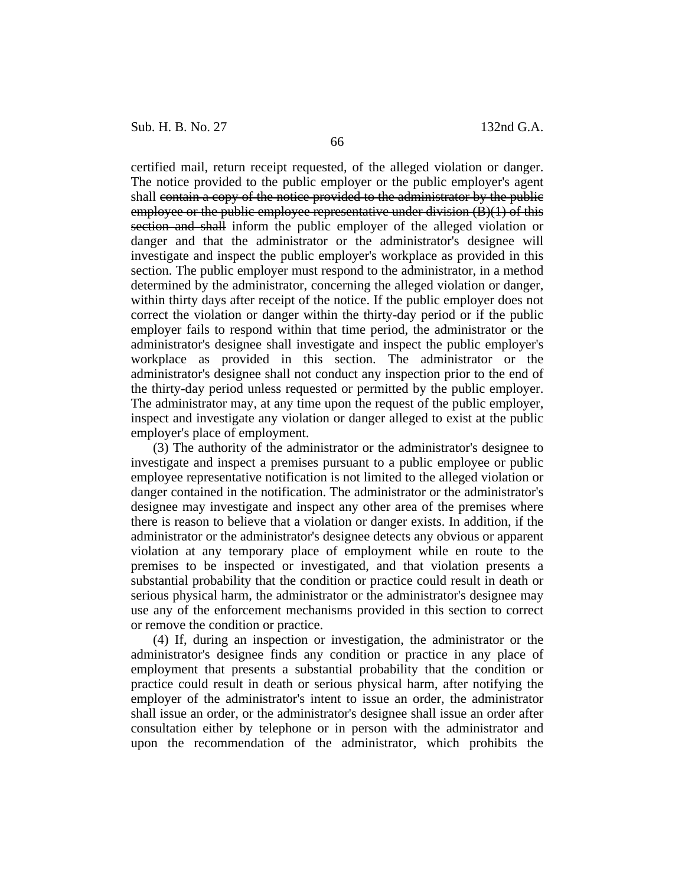Sub. H. B. No. 27 132nd G.A.

certified mail, return receipt requested, of the alleged violation or danger. The notice provided to the public employer or the public employer's agent shall contain a copy of the notice provided to the administrator by the public employee or the public employee representative under division (B)(1) of this section and shall inform the public employer of the alleged violation or danger and that the administrator or the administrator's designee will investigate and inspect the public employer's workplace as provided in this section. The public employer must respond to the administrator, in a method determined by the administrator, concerning the alleged violation or danger, within thirty days after receipt of the notice. If the public employer does not correct the violation or danger within the thirty-day period or if the public employer fails to respond within that time period, the administrator or the administrator's designee shall investigate and inspect the public employer's workplace as provided in this section. The administrator or the administrator's designee shall not conduct any inspection prior to the end of the thirty-day period unless requested or permitted by the public employer. The administrator may, at any time upon the request of the public employer, inspect and investigate any violation or danger alleged to exist at the public employer's place of employment.

(3) The authority of the administrator or the administrator's designee to investigate and inspect a premises pursuant to a public employee or public employee representative notification is not limited to the alleged violation or danger contained in the notification. The administrator or the administrator's designee may investigate and inspect any other area of the premises where there is reason to believe that a violation or danger exists. In addition, if the administrator or the administrator's designee detects any obvious or apparent violation at any temporary place of employment while en route to the premises to be inspected or investigated, and that violation presents a substantial probability that the condition or practice could result in death or serious physical harm, the administrator or the administrator's designee may use any of the enforcement mechanisms provided in this section to correct or remove the condition or practice.

(4) If, during an inspection or investigation, the administrator or the administrator's designee finds any condition or practice in any place of employment that presents a substantial probability that the condition or practice could result in death or serious physical harm, after notifying the employer of the administrator's intent to issue an order, the administrator shall issue an order, or the administrator's designee shall issue an order after consultation either by telephone or in person with the administrator and upon the recommendation of the administrator, which prohibits the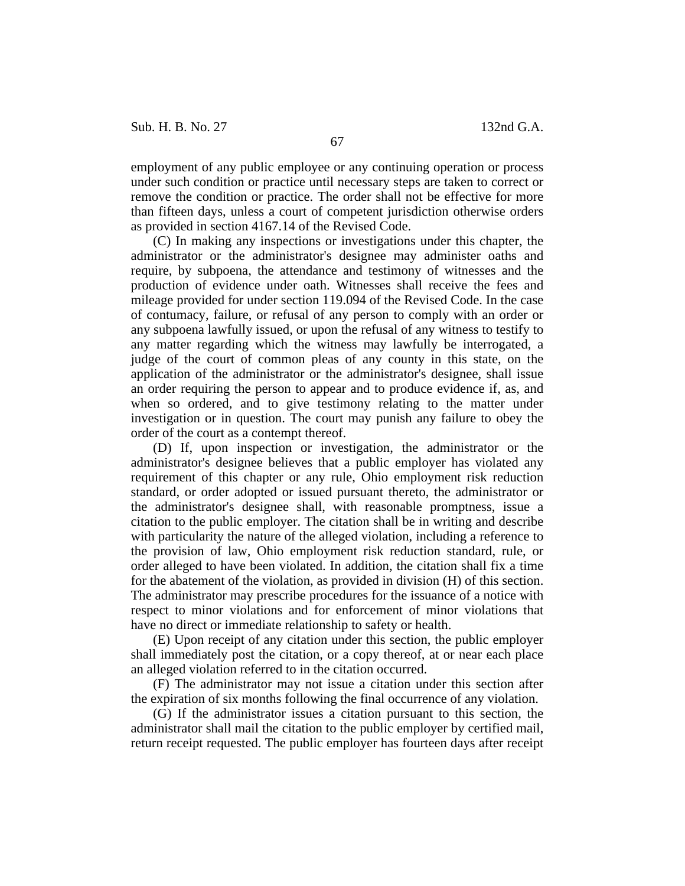employment of any public employee or any continuing operation or process under such condition or practice until necessary steps are taken to correct or remove the condition or practice. The order shall not be effective for more than fifteen days, unless a court of competent jurisdiction otherwise orders as provided in section 4167.14 of the Revised Code.

(C) In making any inspections or investigations under this chapter, the administrator or the administrator's designee may administer oaths and require, by subpoena, the attendance and testimony of witnesses and the production of evidence under oath. Witnesses shall receive the fees and mileage provided for under section 119.094 of the Revised Code. In the case of contumacy, failure, or refusal of any person to comply with an order or any subpoena lawfully issued, or upon the refusal of any witness to testify to any matter regarding which the witness may lawfully be interrogated, a judge of the court of common pleas of any county in this state, on the application of the administrator or the administrator's designee, shall issue an order requiring the person to appear and to produce evidence if, as, and when so ordered, and to give testimony relating to the matter under investigation or in question. The court may punish any failure to obey the order of the court as a contempt thereof.

(D) If, upon inspection or investigation, the administrator or the administrator's designee believes that a public employer has violated any requirement of this chapter or any rule, Ohio employment risk reduction standard, or order adopted or issued pursuant thereto, the administrator or the administrator's designee shall, with reasonable promptness, issue a citation to the public employer. The citation shall be in writing and describe with particularity the nature of the alleged violation, including a reference to the provision of law, Ohio employment risk reduction standard, rule, or order alleged to have been violated. In addition, the citation shall fix a time for the abatement of the violation, as provided in division (H) of this section. The administrator may prescribe procedures for the issuance of a notice with respect to minor violations and for enforcement of minor violations that have no direct or immediate relationship to safety or health.

(E) Upon receipt of any citation under this section, the public employer shall immediately post the citation, or a copy thereof, at or near each place an alleged violation referred to in the citation occurred.

(F) The administrator may not issue a citation under this section after the expiration of six months following the final occurrence of any violation.

(G) If the administrator issues a citation pursuant to this section, the administrator shall mail the citation to the public employer by certified mail, return receipt requested. The public employer has fourteen days after receipt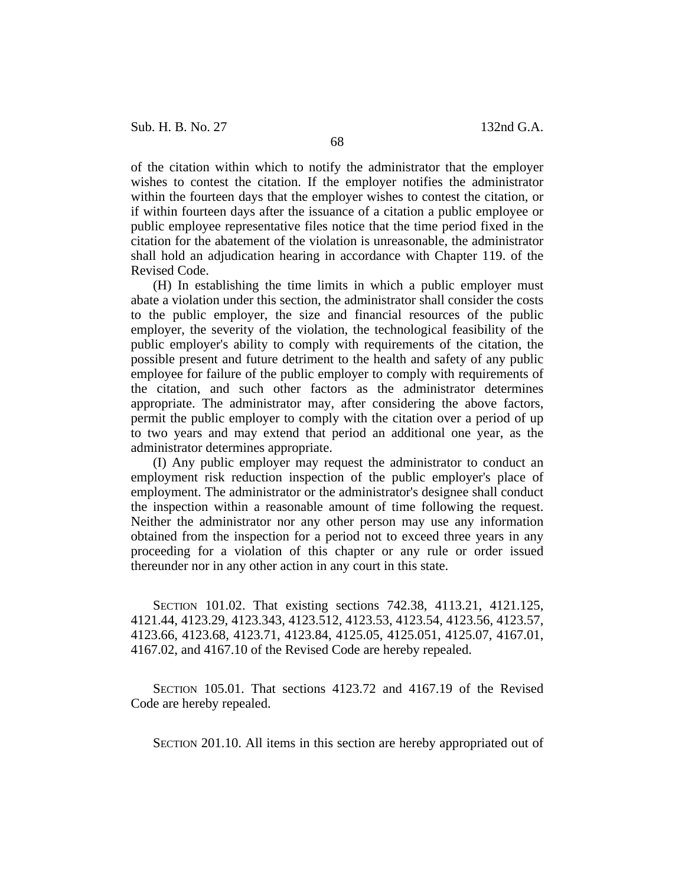of the citation within which to notify the administrator that the employer wishes to contest the citation. If the employer notifies the administrator within the fourteen days that the employer wishes to contest the citation, or if within fourteen days after the issuance of a citation a public employee or public employee representative files notice that the time period fixed in the citation for the abatement of the violation is unreasonable, the administrator shall hold an adjudication hearing in accordance with Chapter 119. of the Revised Code.

(H) In establishing the time limits in which a public employer must abate a violation under this section, the administrator shall consider the costs to the public employer, the size and financial resources of the public employer, the severity of the violation, the technological feasibility of the public employer's ability to comply with requirements of the citation, the possible present and future detriment to the health and safety of any public employee for failure of the public employer to comply with requirements of the citation, and such other factors as the administrator determines appropriate. The administrator may, after considering the above factors, permit the public employer to comply with the citation over a period of up to two years and may extend that period an additional one year, as the administrator determines appropriate.

(I) Any public employer may request the administrator to conduct an employment risk reduction inspection of the public employer's place of employment. The administrator or the administrator's designee shall conduct the inspection within a reasonable amount of time following the request. Neither the administrator nor any other person may use any information obtained from the inspection for a period not to exceed three years in any proceeding for a violation of this chapter or any rule or order issued thereunder nor in any other action in any court in this state.

SECTION 101.02. That existing sections 742.38, 4113.21, 4121.125, 4121.44, 4123.29, 4123.343, 4123.512, 4123.53, 4123.54, 4123.56, 4123.57, 4123.66, 4123.68, 4123.71, 4123.84, 4125.05, 4125.051, 4125.07, 4167.01, 4167.02, and 4167.10 of the Revised Code are hereby repealed.

SECTION 105.01. That sections 4123.72 and 4167.19 of the Revised Code are hereby repealed.

SECTION 201.10. All items in this section are hereby appropriated out of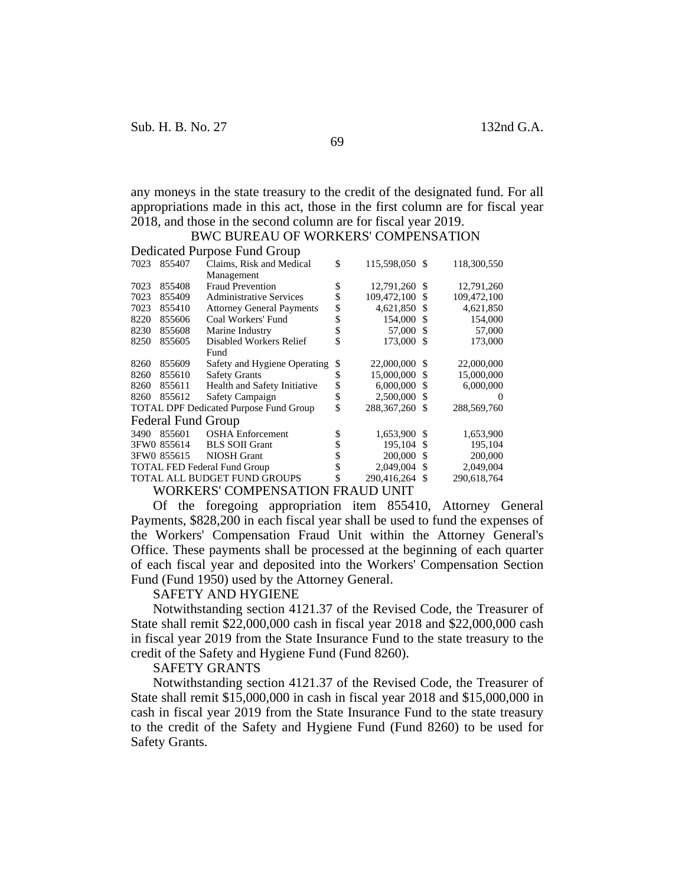any moneys in the state treasury to the credit of the designated fund. For all appropriations made in this act, those in the first column are for fiscal year 2018, and those in the second column are for fiscal year 2019.

BWC BUREAU OF WORKERS' COMPENSATION

Dedicated Purpose Fund Group

| 7023                                                   | 855407      | Claims, Risk and Medical         | \$ | 115,598,050 \$ |               | 118,300,550 |
|--------------------------------------------------------|-------------|----------------------------------|----|----------------|---------------|-------------|
|                                                        |             | Management                       |    |                |               |             |
| 7023                                                   | 855408      | <b>Fraud Prevention</b>          | \$ | 12,791,260 \$  |               | 12,791,260  |
| 7023                                                   | 855409      | <b>Administrative Services</b>   |    | 109,472,100    | <b>S</b>      | 109,472,100 |
| 7023                                                   | 855410      | <b>Attorney General Payments</b> | \$ | 4,621,850      | <sup>\$</sup> | 4,621,850   |
| 8220                                                   | 855606      | Coal Workers' Fund               | \$ | 154,000        | S             | 154,000     |
| 8230                                                   | 855608      | Marine Industry                  | \$ | 57,000         | S             | 57,000      |
| 8250                                                   | 855605      | Disabled Workers Relief          | \$ | 173,000 \$     |               | 173,000     |
|                                                        |             | Fund                             |    |                |               |             |
| 8260                                                   | 855609      | Safety and Hygiene Operating     | S  | 22,000,000     | -S            | 22,000,000  |
| 8260                                                   | 855610      | <b>Safety Grants</b>             | \$ | 15,000,000     | S             | 15,000,000  |
| 8260                                                   | 855611      | Health and Safety Initiative     | \$ | 6,000,000      | <b>S</b>      | 6,000,000   |
| 8260                                                   | 855612      | <b>Safety Campaign</b>           | \$ | 2,500,000      | <sup>\$</sup> | $\theta$    |
| <b>TOTAL DPF Dedicated Purpose Fund Group</b><br>\$    |             |                                  |    | 288, 367, 260  | -S            | 288,569,760 |
| <b>Federal Fund Group</b>                              |             |                                  |    |                |               |             |
| 3490                                                   | 855601      | <b>OSHA Enforcement</b>          | \$ | 1,653,900      | -S            | 1,653,900   |
|                                                        | 3FW0 855614 | <b>BLS SOII Grant</b>            | \$ | 195,104        | <b>S</b>      | 195,104     |
|                                                        | 3FW0 855615 | NIOSH Grant                      | \$ | 200,000        | -S            | 200,000     |
| <b>TOTAL FED Federal Fund Group</b><br>\$<br>2,049,004 |             |                                  |    |                | -S            | 2,049,004   |
| TOTAL ALL BUDGET FUND GROUPS<br>\$                     |             |                                  |    | 290,416,264    | -S            | 290,618,764 |
|                                                        |             |                                  |    |                |               |             |

WORKERS' COMPENSATION FRAUD UNIT

Of the foregoing appropriation item 855410, Attorney General Payments, \$828,200 in each fiscal year shall be used to fund the expenses of the Workers' Compensation Fraud Unit within the Attorney General's Office. These payments shall be processed at the beginning of each quarter of each fiscal year and deposited into the Workers' Compensation Section Fund (Fund 1950) used by the Attorney General.

### SAFETY AND HYGIENE

Notwithstanding section 4121.37 of the Revised Code, the Treasurer of State shall remit \$22,000,000 cash in fiscal year 2018 and \$22,000,000 cash in fiscal year 2019 from the State Insurance Fund to the state treasury to the credit of the Safety and Hygiene Fund (Fund 8260).

SAFETY GRANTS

Notwithstanding section 4121.37 of the Revised Code, the Treasurer of State shall remit \$15,000,000 in cash in fiscal year 2018 and \$15,000,000 in cash in fiscal year 2019 from the State Insurance Fund to the state treasury to the credit of the Safety and Hygiene Fund (Fund 8260) to be used for Safety Grants.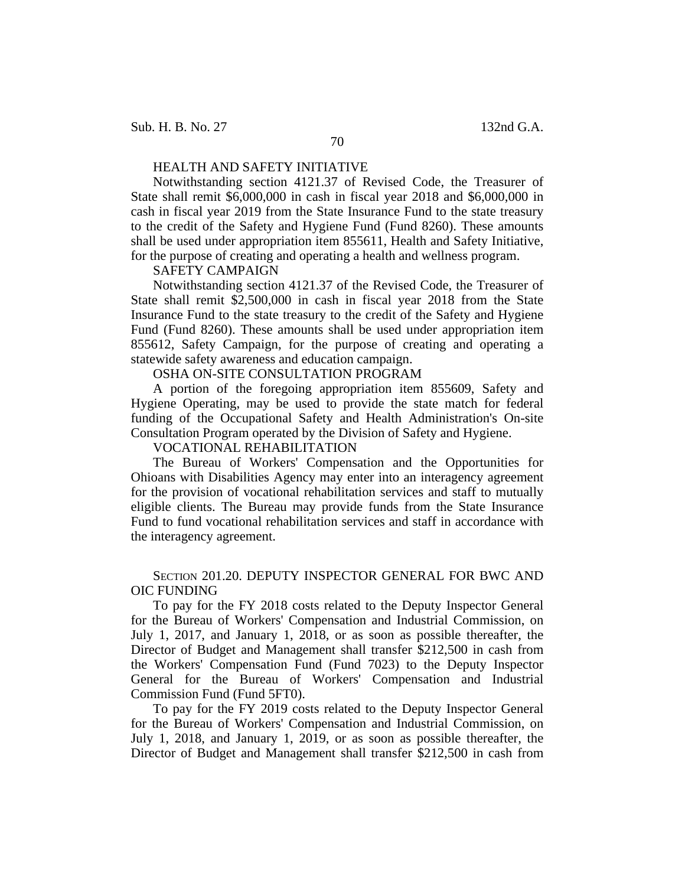# 70

## HEALTH AND SAFETY INITIATIVE

Notwithstanding section 4121.37 of Revised Code, the Treasurer of State shall remit \$6,000,000 in cash in fiscal year 2018 and \$6,000,000 in cash in fiscal year 2019 from the State Insurance Fund to the state treasury to the credit of the Safety and Hygiene Fund (Fund 8260). These amounts shall be used under appropriation item 855611, Health and Safety Initiative, for the purpose of creating and operating a health and wellness program.

SAFETY CAMPAIGN

Notwithstanding section 4121.37 of the Revised Code, the Treasurer of State shall remit \$2,500,000 in cash in fiscal year 2018 from the State Insurance Fund to the state treasury to the credit of the Safety and Hygiene Fund (Fund 8260). These amounts shall be used under appropriation item 855612, Safety Campaign, for the purpose of creating and operating a statewide safety awareness and education campaign.

### OSHA ON-SITE CONSULTATION PROGRAM

A portion of the foregoing appropriation item 855609, Safety and Hygiene Operating, may be used to provide the state match for federal funding of the Occupational Safety and Health Administration's On-site Consultation Program operated by the Division of Safety and Hygiene.

### VOCATIONAL REHABILITATION

The Bureau of Workers' Compensation and the Opportunities for Ohioans with Disabilities Agency may enter into an interagency agreement for the provision of vocational rehabilitation services and staff to mutually eligible clients. The Bureau may provide funds from the State Insurance Fund to fund vocational rehabilitation services and staff in accordance with the interagency agreement.

# SECTION 201.20. DEPUTY INSPECTOR GENERAL FOR BWC AND OIC FUNDING

To pay for the FY 2018 costs related to the Deputy Inspector General for the Bureau of Workers' Compensation and Industrial Commission, on July 1, 2017, and January 1, 2018, or as soon as possible thereafter, the Director of Budget and Management shall transfer \$212,500 in cash from the Workers' Compensation Fund (Fund 7023) to the Deputy Inspector General for the Bureau of Workers' Compensation and Industrial Commission Fund (Fund 5FT0).

To pay for the FY 2019 costs related to the Deputy Inspector General for the Bureau of Workers' Compensation and Industrial Commission, on July 1, 2018, and January 1, 2019, or as soon as possible thereafter, the Director of Budget and Management shall transfer \$212,500 in cash from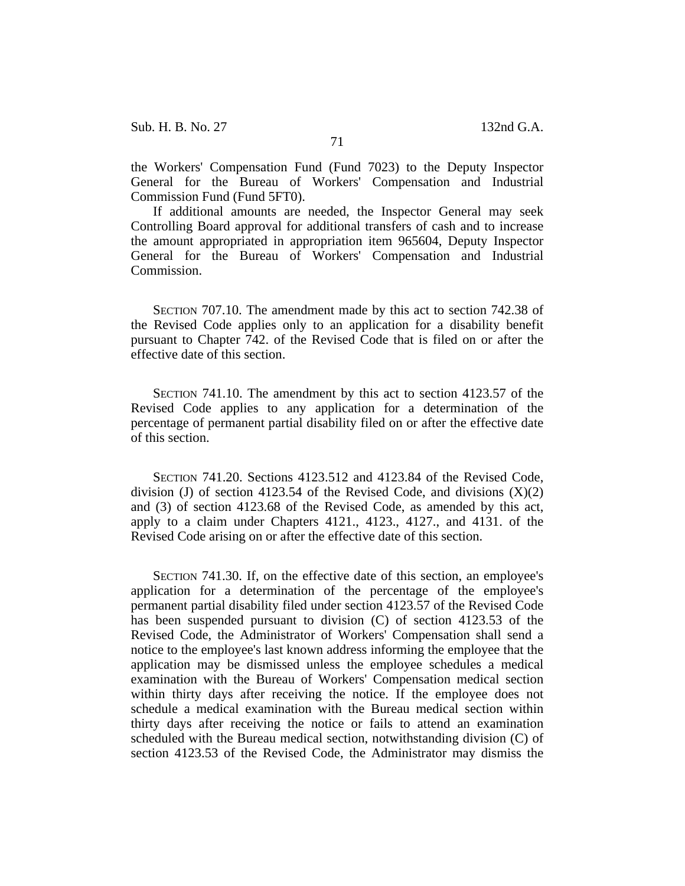Sub. H. B. No. 27 132nd G.A.

the Workers' Compensation Fund (Fund 7023) to the Deputy Inspector General for the Bureau of Workers' Compensation and Industrial Commission Fund (Fund 5FT0).

If additional amounts are needed, the Inspector General may seek Controlling Board approval for additional transfers of cash and to increase the amount appropriated in appropriation item 965604, Deputy Inspector General for the Bureau of Workers' Compensation and Industrial Commission.

SECTION 707.10. The amendment made by this act to section 742.38 of the Revised Code applies only to an application for a disability benefit pursuant to Chapter 742. of the Revised Code that is filed on or after the effective date of this section.

SECTION 741.10. The amendment by this act to section 4123.57 of the Revised Code applies to any application for a determination of the percentage of permanent partial disability filed on or after the effective date of this section.

SECTION 741.20. Sections 4123.512 and 4123.84 of the Revised Code, division (J) of section 4123.54 of the Revised Code, and divisions  $(X)(2)$ and (3) of section 4123.68 of the Revised Code, as amended by this act, apply to a claim under Chapters 4121., 4123., 4127., and 4131. of the Revised Code arising on or after the effective date of this section.

SECTION 741.30. If, on the effective date of this section, an employee's application for a determination of the percentage of the employee's permanent partial disability filed under section 4123.57 of the Revised Code has been suspended pursuant to division (C) of section 4123.53 of the Revised Code, the Administrator of Workers' Compensation shall send a notice to the employee's last known address informing the employee that the application may be dismissed unless the employee schedules a medical examination with the Bureau of Workers' Compensation medical section within thirty days after receiving the notice. If the employee does not schedule a medical examination with the Bureau medical section within thirty days after receiving the notice or fails to attend an examination scheduled with the Bureau medical section, notwithstanding division (C) of section 4123.53 of the Revised Code, the Administrator may dismiss the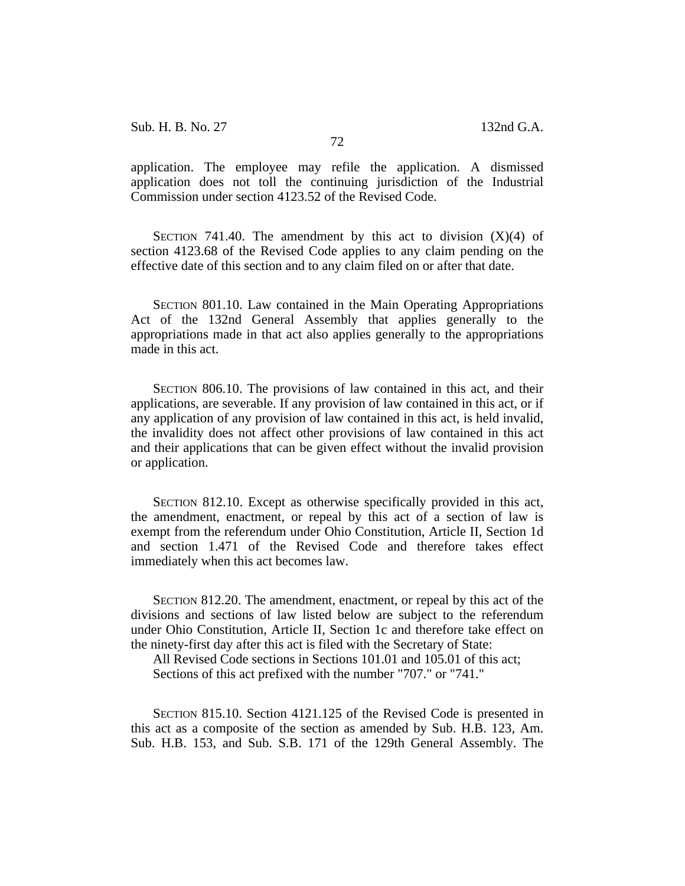Sub. H. B. No. 27 132nd G.A.

application. The employee may refile the application. A dismissed application does not toll the continuing jurisdiction of the Industrial Commission under section 4123.52 of the Revised Code.

SECTION 741.40. The amendment by this act to division  $(X)(4)$  of section 4123.68 of the Revised Code applies to any claim pending on the effective date of this section and to any claim filed on or after that date.

SECTION 801.10. Law contained in the Main Operating Appropriations Act of the 132nd General Assembly that applies generally to the appropriations made in that act also applies generally to the appropriations made in this act.

SECTION 806.10. The provisions of law contained in this act, and their applications, are severable. If any provision of law contained in this act, or if any application of any provision of law contained in this act, is held invalid, the invalidity does not affect other provisions of law contained in this act and their applications that can be given effect without the invalid provision or application.

SECTION 812.10. Except as otherwise specifically provided in this act, the amendment, enactment, or repeal by this act of a section of law is exempt from the referendum under Ohio Constitution, Article II, Section 1d and section 1.471 of the Revised Code and therefore takes effect immediately when this act becomes law.

SECTION 812.20. The amendment, enactment, or repeal by this act of the divisions and sections of law listed below are subject to the referendum under Ohio Constitution, Article II, Section 1c and therefore take effect on the ninety-first day after this act is filed with the Secretary of State:

All Revised Code sections in Sections 101.01 and 105.01 of this act; Sections of this act prefixed with the number "707." or "741."

SECTION 815.10. Section 4121.125 of the Revised Code is presented in this act as a composite of the section as amended by Sub. H.B. 123, Am. Sub. H.B. 153, and Sub. S.B. 171 of the 129th General Assembly. The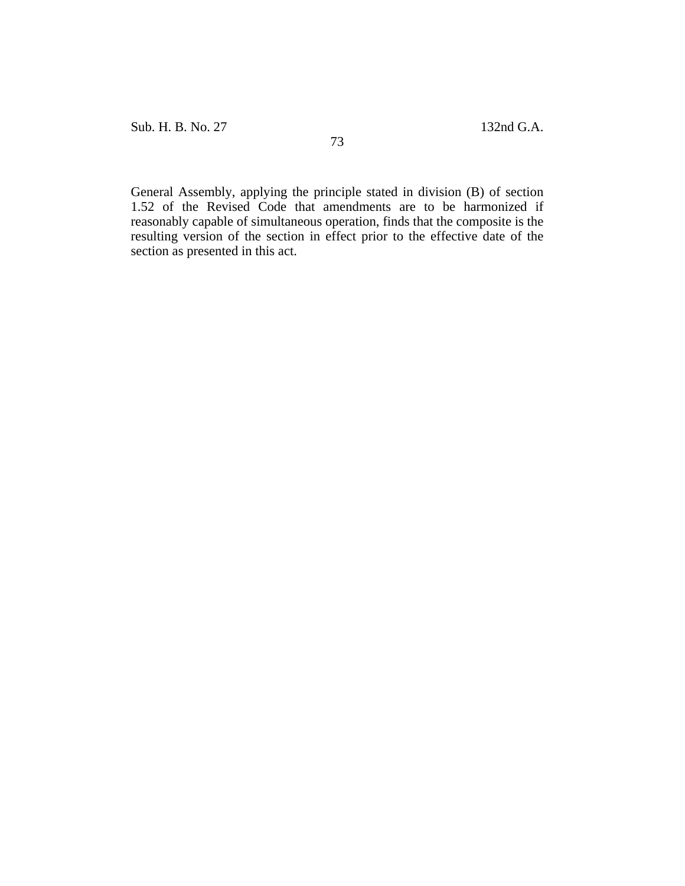Sub. H. B. No. 27 132nd G.A.

General Assembly, applying the principle stated in division (B) of section 1.52 of the Revised Code that amendments are to be harmonized if reasonably capable of simultaneous operation, finds that the composite is the resulting version of the section in effect prior to the effective date of the section as presented in this act.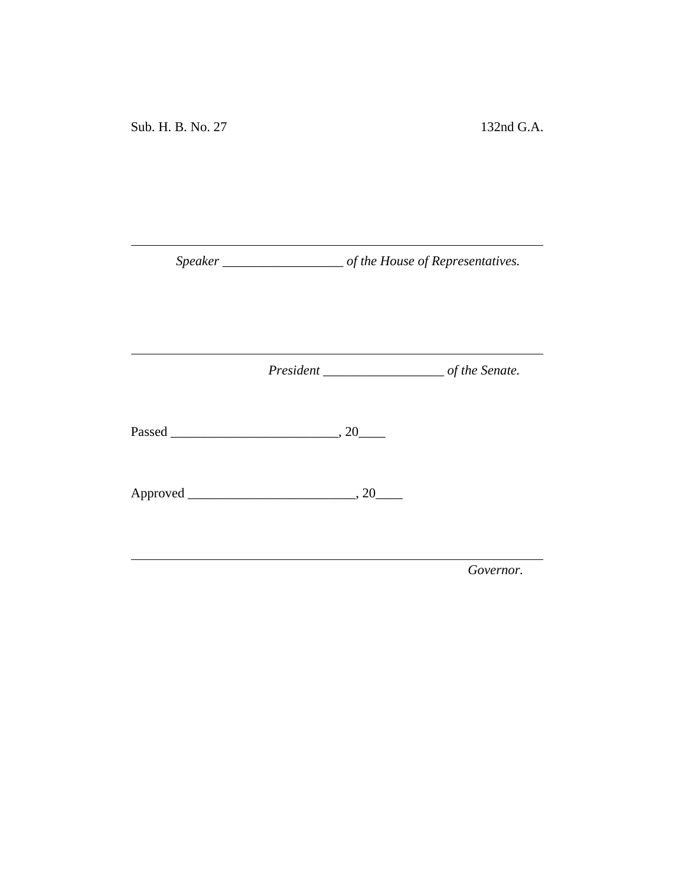*Speaker \_\_\_\_\_\_\_\_\_\_\_\_\_\_\_\_\_\_ of the House of Representatives.*

<u> 1980 - Johann Barbara, martxa a</u>

*President \_\_\_\_\_\_\_\_\_\_\_\_\_\_\_\_\_\_ of the Senate.*

<u> 1980 - Johann Barbara, martxa a</u>

Passed \_\_\_\_\_\_\_\_\_\_\_\_\_\_\_\_\_\_\_\_\_\_\_\_\_, 20\_\_\_\_

Approved \_\_\_\_\_\_\_\_\_\_\_\_\_\_\_\_\_\_\_\_\_\_\_\_\_, 20\_\_\_\_

*Governor.*